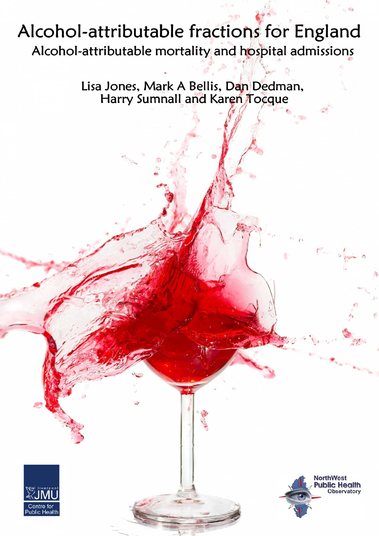# Alcohol-attributable fractions for England Alcohol-attributable mortality and hospital admissions

Lisa Jones, Mark A Bellis, Dan Dedman, Harry Sumnall and Karen Tocque



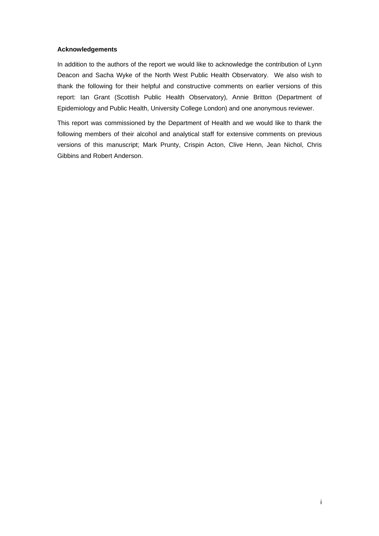## **Acknowledgements**

In addition to the authors of the report we would like to acknowledge the contribution of Lynn Deacon and Sacha Wyke of the North West Public Health Observatory. We also wish to thank the following for their helpful and constructive comments on earlier versions of this report: Ian Grant (Scottish Public Health Observatory), Annie Britton (Department of Epidemiology and Public Health, University College London) and one anonymous reviewer.

This report was commissioned by the Department of Health and we would like to thank the following members of their alcohol and analytical staff for extensive comments on previous versions of this manuscript; Mark Prunty, Crispin Acton, Clive Henn, Jean Nichol, Chris Gibbins and Robert Anderson.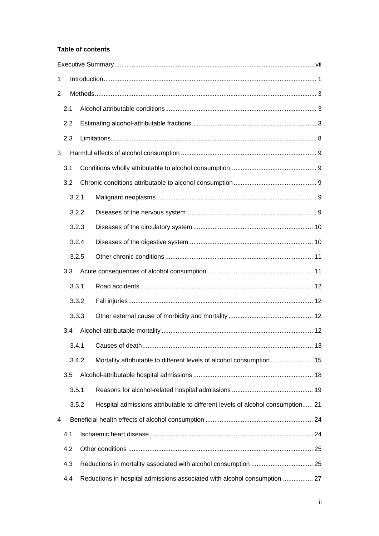## **Table of contents**

| 1   |     |       |  |                                                                                |  |  |  |  |  |  |
|-----|-----|-------|--|--------------------------------------------------------------------------------|--|--|--|--|--|--|
| 2   |     |       |  |                                                                                |  |  |  |  |  |  |
|     | 2.1 |       |  |                                                                                |  |  |  |  |  |  |
| 2.2 |     |       |  |                                                                                |  |  |  |  |  |  |
|     | 2.3 |       |  |                                                                                |  |  |  |  |  |  |
| 3   |     |       |  |                                                                                |  |  |  |  |  |  |
|     | 3.1 |       |  |                                                                                |  |  |  |  |  |  |
|     | 3.2 |       |  |                                                                                |  |  |  |  |  |  |
|     |     | 3.2.1 |  |                                                                                |  |  |  |  |  |  |
|     |     | 3.2.2 |  |                                                                                |  |  |  |  |  |  |
|     |     | 3.2.3 |  |                                                                                |  |  |  |  |  |  |
|     |     | 3.2.4 |  |                                                                                |  |  |  |  |  |  |
|     |     | 3.2.5 |  |                                                                                |  |  |  |  |  |  |
|     | 3.3 |       |  |                                                                                |  |  |  |  |  |  |
|     |     | 3.3.1 |  |                                                                                |  |  |  |  |  |  |
|     |     | 3.3.2 |  |                                                                                |  |  |  |  |  |  |
|     |     | 3.3.3 |  |                                                                                |  |  |  |  |  |  |
|     | 3.4 |       |  |                                                                                |  |  |  |  |  |  |
|     |     |       |  |                                                                                |  |  |  |  |  |  |
|     |     | 3.4.2 |  | Mortality attributable to different levels of alcohol consumption  15          |  |  |  |  |  |  |
|     | 3.5 |       |  |                                                                                |  |  |  |  |  |  |
|     |     | 3.5.1 |  |                                                                                |  |  |  |  |  |  |
|     |     | 3.5.2 |  | Hospital admissions attributable to different levels of alcohol consumption 21 |  |  |  |  |  |  |
| 4   |     |       |  |                                                                                |  |  |  |  |  |  |
|     | 4.1 |       |  |                                                                                |  |  |  |  |  |  |
|     | 4.2 |       |  |                                                                                |  |  |  |  |  |  |
|     | 4.3 |       |  |                                                                                |  |  |  |  |  |  |
|     | 4.4 |       |  | Reductions in hospital admissions associated with alcohol consumption  27      |  |  |  |  |  |  |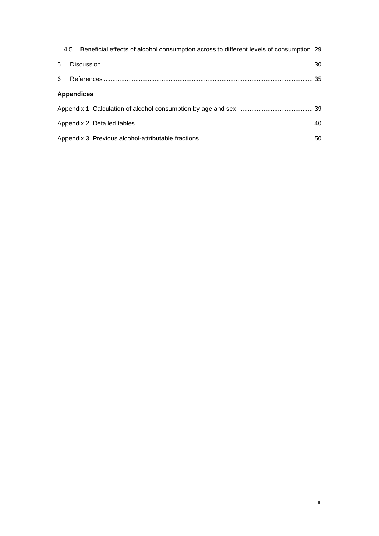|   |                   | 4.5 Beneficial effects of alcohol consumption across to different levels of consumption. 29 |  |
|---|-------------------|---------------------------------------------------------------------------------------------|--|
| 5 |                   |                                                                                             |  |
|   |                   |                                                                                             |  |
|   | <b>Appendices</b> |                                                                                             |  |
|   |                   |                                                                                             |  |
|   |                   |                                                                                             |  |
|   |                   |                                                                                             |  |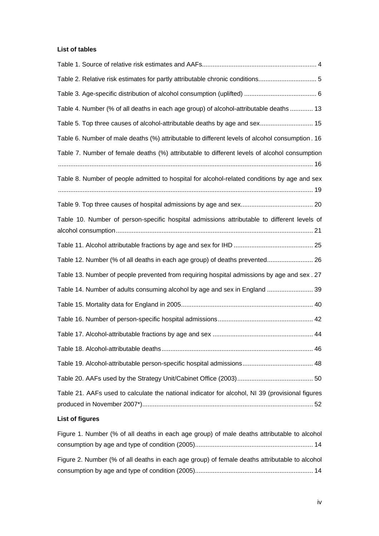## **List of tables**

| Table 2. Relative risk estimates for partly attributable chronic conditions 5                   |
|-------------------------------------------------------------------------------------------------|
|                                                                                                 |
| Table 4. Number (% of all deaths in each age group) of alcohol-attributable deaths  13          |
| Table 5. Top three causes of alcohol-attributable deaths by age and sex 15                      |
| Table 6. Number of male deaths (%) attributable to different levels of alcohol consumption. 16  |
| Table 7. Number of female deaths (%) attributable to different levels of alcohol consumption    |
| Table 8. Number of people admitted to hospital for alcohol-related conditions by age and sex    |
|                                                                                                 |
| Table 10. Number of person-specific hospital admissions attributable to different levels of     |
|                                                                                                 |
| Table 12. Number (% of all deaths in each age group) of deaths prevented 26                     |
| Table 13. Number of people prevented from requiring hospital admissions by age and sex. 27      |
| Table 14. Number of adults consuming alcohol by age and sex in England  39                      |
|                                                                                                 |
|                                                                                                 |
|                                                                                                 |
|                                                                                                 |
|                                                                                                 |
|                                                                                                 |
| Table 21. AAFs used to calculate the national indicator for alcohol, NI 39 (provisional figures |

## **List of figures**

| Figure 1. Number (% of all deaths in each age group) of male deaths attributable to alcohol   |
|-----------------------------------------------------------------------------------------------|
|                                                                                               |
| Figure 2. Number (% of all deaths in each age group) of female deaths attributable to alcohol |
|                                                                                               |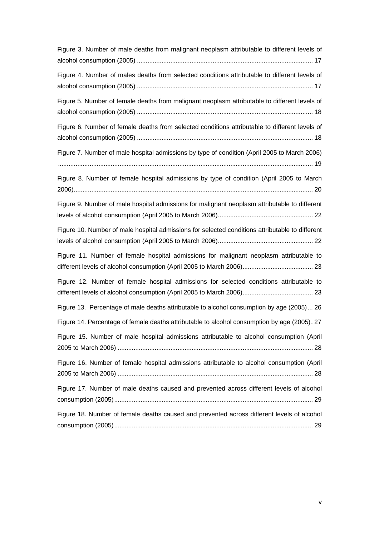| Figure 3. Number of male deaths from malignant neoplasm attributable to different levels of     |
|-------------------------------------------------------------------------------------------------|
| Figure 4. Number of males deaths from selected conditions attributable to different levels of   |
| Figure 5. Number of female deaths from malignant neoplasm attributable to different levels of   |
| Figure 6. Number of female deaths from selected conditions attributable to different levels of  |
| Figure 7. Number of male hospital admissions by type of condition (April 2005 to March 2006)    |
| Figure 8. Number of female hospital admissions by type of condition (April 2005 to March        |
| Figure 9. Number of male hospital admissions for malignant neoplasm attributable to different   |
| Figure 10. Number of male hospital admissions for selected conditions attributable to different |
| Figure 11. Number of female hospital admissions for malignant neoplasm attributable to          |
| Figure 12. Number of female hospital admissions for selected conditions attributable to         |
| Figure 13. Percentage of male deaths attributable to alcohol consumption by age (2005) 26       |
| Figure 14. Percentage of female deaths attributable to alcohol consumption by age (2005). 27    |
| Figure 15. Number of male hospital admissions attributable to alcohol consumption (April        |
| Figure 16. Number of female hospital admissions attributable to alcohol consumption (April      |
| Figure 17. Number of male deaths caused and prevented across different levels of alcohol        |
| Figure 18. Number of female deaths caused and prevented across different levels of alcohol      |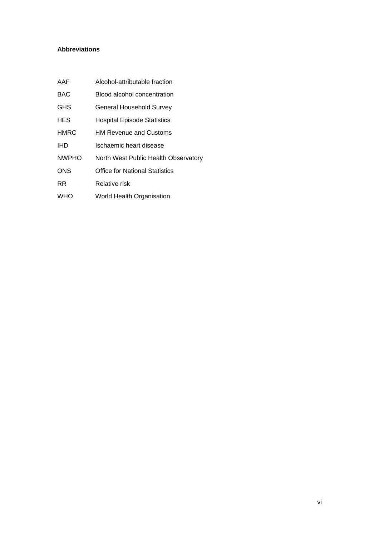## **Abbreviations**

| AAF          | Alcohol-attributable fraction         |
|--------------|---------------------------------------|
| <b>BAC</b>   | Blood alcohol concentration           |
| <b>GHS</b>   | <b>General Household Survey</b>       |
| <b>HES</b>   | <b>Hospital Episode Statistics</b>    |
| <b>HMRC</b>  | <b>HM Revenue and Customs</b>         |
| <b>IHD</b>   | Ischaemic heart disease               |
| <b>NWPHO</b> | North West Public Health Observatory  |
| <b>ONS</b>   | <b>Office for National Statistics</b> |
| RR.          | Relative risk                         |
| <b>WHO</b>   | World Health Organisation             |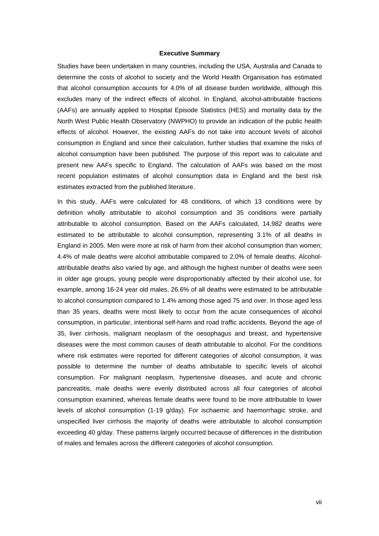#### **Executive Summary**

Studies have been undertaken in many countries, including the USA, Australia and Canada to determine the costs of alcohol to society and the World Health Organisation has estimated that alcohol consumption accounts for 4.0% of all disease burden worldwide, although this excludes many of the indirect effects of alcohol. In England, alcohol-attributable fractions (AAFs) are annually applied to Hospital Episode Statistics (HES) and mortality data by the North West Public Health Observatory (NWPHO) to provide an indication of the public health effects of alcohol. However, the existing AAFs do not take into account levels of alcohol consumption in England and since their calculation, further studies that examine the risks of alcohol consumption have been published. The purpose of this report was to calculate and present new AAFs specific to England. The calculation of AAFs was based on the most recent population estimates of alcohol consumption data in England and the best risk estimates extracted from the published literature.

In this study, AAFs were calculated for 48 conditions, of which 13 conditions were by definition wholly attributable to alcohol consumption and 35 conditions were partially attributable to alcohol consumption. Based on the AAFs calculated, 14,982 deaths were estimated to be attributable to alcohol consumption, representing 3.1% of all deaths in England in 2005. Men were more at risk of harm from their alcohol consumption than women; 4.4% of male deaths were alcohol attributable compared to 2.0% of female deaths. Alcoholattributable deaths also varied by age, and although the highest number of deaths were seen in older age groups, young people were disproportionably affected by their alcohol use, for example, among 16-24 year old males, 26.6% of all deaths were estimated to be attributable to alcohol consumption compared to 1.4% among those aged 75 and over. In those aged less than 35 years, deaths were most likely to occur from the acute consequences of alcohol consumption, in particular, intentional self-harm and road traffic accidents. Beyond the age of 35, liver cirrhosis, malignant neoplasm of the oesophagus and breast, and hypertensive diseases were the most common causes of death attributable to alcohol. For the conditions where risk estimates were reported for different categories of alcohol consumption, it was possible to determine the number of deaths attributable to specific levels of alcohol consumption. For malignant neoplasm, hypertensive diseases, and acute and chronic pancreatitis, male deaths were evenly distributed across all four categories of alcohol consumption examined, whereas female deaths were found to be more attributable to lower levels of alcohol consumption (1-19 g/day). For ischaemic and haemorrhagic stroke, and unspecified liver cirrhosis the majority of deaths were attributable to alcohol consumption exceeding 40 g/day. These patterns largely occurred because of differences in the distribution of males and females across the different categories of alcohol consumption.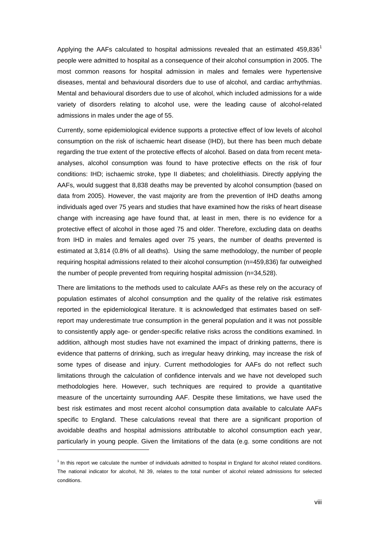Applying the AAFs calculated to hospital admissions revealed that an estimated  $459,836<sup>1</sup>$ people were admitted to hospital as a consequence of their alcohol consumption in 2005. The most common reasons for hospital admission in males and females were hypertensive diseases, mental and behavioural disorders due to use of alcohol, and cardiac arrhythmias. Mental and behavioural disorders due to use of alcohol, which included admissions for a wide variety of disorders relating to alcohol use, were the leading cause of alcohol-related admissions in males under the age of 55.

Currently, some epidemiological evidence supports a protective effect of low levels of alcohol consumption on the risk of ischaemic heart disease (IHD), but there has been much debate regarding the true extent of the protective effects of alcohol. Based on data from recent metaanalyses, alcohol consumption was found to have protective effects on the risk of four conditions: IHD; ischaemic stroke, type II diabetes; and cholelithiasis. Directly applying the AAFs, would suggest that 8,838 deaths may be prevented by alcohol consumption (based on data from 2005). However, the vast majority are from the prevention of IHD deaths among individuals aged over 75 years and studies that have examined how the risks of heart disease change with increasing age have found that, at least in men, there is no evidence for a protective effect of alcohol in those aged 75 and older. Therefore, excluding data on deaths from IHD in males and females aged over 75 years, the number of deaths prevented is estimated at 3,814 (0.8% of all deaths). Using the same methodology, the number of people requiring hospital admissions related to their alcohol consumption (n=459,836) far outweighed the number of people prevented from requiring hospital admission (n=34,528).

There are limitations to the methods used to calculate AAFs as these rely on the accuracy of population estimates of alcohol consumption and the quality of the relative risk estimates reported in the epidemiological literature. It is acknowledged that estimates based on selfreport may underestimate true consumption in the general population and it was not possible to consistently apply age- or gender-specific relative risks across the conditions examined. In addition, although most studies have not examined the impact of drinking patterns, there is evidence that patterns of drinking, such as irregular heavy drinking, may increase the risk of some types of disease and injury. Current methodologies for AAFs do not reflect such limitations through the calculation of confidence intervals and we have not developed such methodologies here. However, such techniques are required to provide a quantitative measure of the uncertainty surrounding AAF. Despite these limitations, we have used the best risk estimates and most recent alcohol consumption data available to calculate AAFs specific to England. These calculations reveal that there are a significant proportion of avoidable deaths and hospital admissions attributable to alcohol consumption each year, particularly in young people. Given the limitations of the data (e.g. some conditions are not

l

<sup>&</sup>lt;sup>1</sup> In this report we calculate the number of individuals admitted to hospital in England for alcohol related conditions. The national indicator for alcohol, NI 39, relates to the total number of alcohol related admissions for selected conditions.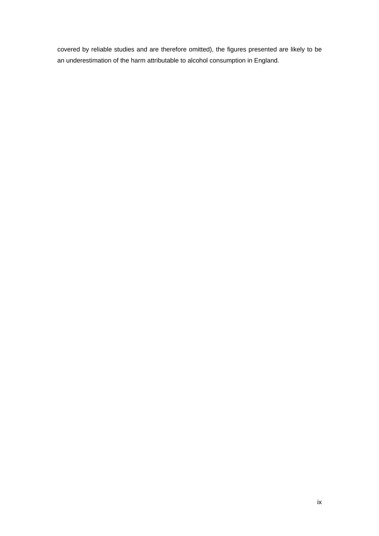covered by reliable studies and are therefore omitted), the figures presented are likely to be an underestimation of the harm attributable to alcohol consumption in England.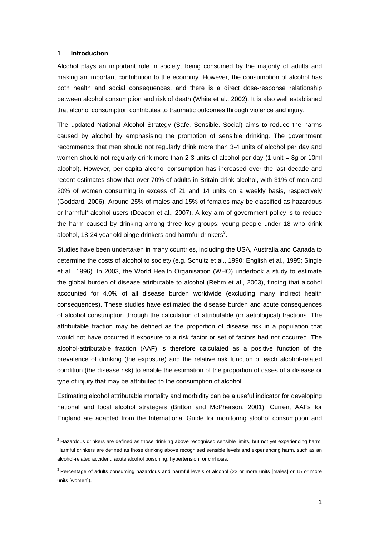#### **1 Introduction**

l

Alcohol plays an important role in society, being consumed by the majority of adults and making an important contribution to the economy. However, the consumption of alcohol has both health and social consequences, and there is a direct dose-response relationship between alcohol consumption and risk of death (White et al., 2002). It is also well established that alcohol consumption contributes to traumatic outcomes through violence and injury.

The updated National Alcohol Strategy (Safe. Sensible. Social) aims to reduce the harms caused by alcohol by emphasising the promotion of sensible drinking. The government recommends that men should not regularly drink more than 3-4 units of alcohol per day and women should not regularly drink more than 2-3 units of alcohol per day (1 unit = 8g or 10ml alcohol). However, per capita alcohol consumption has increased over the last decade and recent estimates show that over 70% of adults in Britain drink alcohol, with 31% of men and 20% of women consuming in excess of 21 and 14 units on a weekly basis, respectively (Goddard, 2006). Around 25% of males and 15% of females may be classified as hazardous or harmful<sup>2</sup> alcohol users (Deacon et al., 2007). A key aim of government policy is to reduce the harm caused by drinking among three key groups; young people under 18 who drink alcohol, 18-24 year old binge drinkers and harmful drinkers<sup>3</sup>.

Studies have been undertaken in many countries, including the USA, Australia and Canada to determine the costs of alcohol to society (e.g. Schultz et al., 1990; English et al., 1995; Single et al., 1996). In 2003, the World Health Organisation (WHO) undertook a study to estimate the global burden of disease attributable to alcohol (Rehm et al., 2003), finding that alcohol accounted for 4.0% of all disease burden worldwide (excluding many indirect health consequences). These studies have estimated the disease burden and acute consequences of alcohol consumption through the calculation of attributable (or aetiological) fractions. The attributable fraction may be defined as the proportion of disease risk in a population that would not have occurred if exposure to a risk factor or set of factors had not occurred. The alcohol-attributable fraction (AAF) is therefore calculated as a positive function of the prevalence of drinking (the exposure) and the relative risk function of each alcohol-related condition (the disease risk) to enable the estimation of the proportion of cases of a disease or type of injury that may be attributed to the consumption of alcohol.

Estimating alcohol attributable mortality and morbidity can be a useful indicator for developing national and local alcohol strategies (Britton and McPherson, 2001). Current AAFs for England are adapted from the International Guide for monitoring alcohol consumption and

<sup>&</sup>lt;sup>2</sup> Hazardous drinkers are defined as those drinking above recognised sensible limits, but not yet experiencing harm. Harmful drinkers are defined as those drinking above recognised sensible levels and experiencing harm, such as an alcohol-related accident, acute alcohol poisoning, hypertension, or cirrhosis.

<sup>&</sup>lt;sup>3</sup> Percentage of adults consuming hazardous and harmful levels of alcohol (22 or more units [males] or 15 or more units [women]).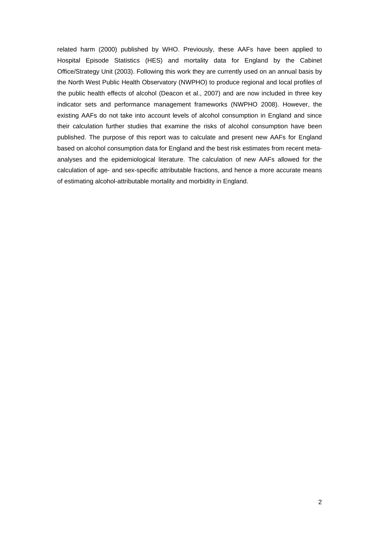related harm (2000) published by WHO. Previously, these AAFs have been applied to Hospital Episode Statistics (HES) and mortality data for England by the Cabinet Office/Strategy Unit (2003). Following this work they are currently used on an annual basis by the North West Public Health Observatory (NWPHO) to produce regional and local profiles of the public health effects of alcohol (Deacon et al., 2007) and are now included in three key indicator sets and performance management frameworks (NWPHO 2008). However, the existing AAFs do not take into account levels of alcohol consumption in England and since their calculation further studies that examine the risks of alcohol consumption have been published. The purpose of this report was to calculate and present new AAFs for England based on alcohol consumption data for England and the best risk estimates from recent metaanalyses and the epidemiological literature. The calculation of new AAFs allowed for the calculation of age- and sex-specific attributable fractions, and hence a more accurate means of estimating alcohol-attributable mortality and morbidity in England.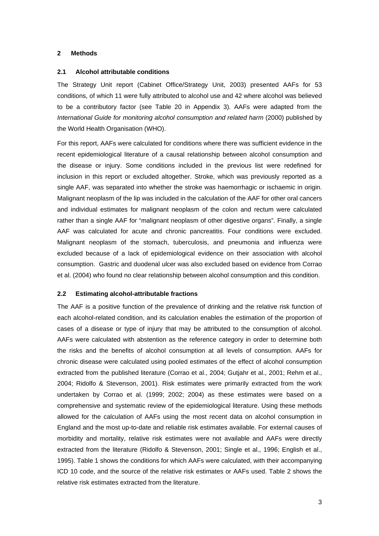### **2 Methods**

#### **2.1 Alcohol attributable conditions**

The Strategy Unit report (Cabinet Office/Strategy Unit, 2003) presented AAFs for 53 conditions, of which 11 were fully attributed to alcohol use and 42 where alcohol was believed to be a contributory factor (see Table 20 in Appendix 3). AAFs were adapted from the *International Guide for monitoring alcohol consumption and related harm* (2000) published by the World Health Organisation (WHO).

For this report, AAFs were calculated for conditions where there was sufficient evidence in the recent epidemiological literature of a causal relationship between alcohol consumption and the disease or injury. Some conditions included in the previous list were redefined for inclusion in this report or excluded altogether. Stroke, which was previously reported as a single AAF, was separated into whether the stroke was haemorrhagic or ischaemic in origin. Malignant neoplasm of the lip was included in the calculation of the AAF for other oral cancers and individual estimates for malignant neoplasm of the colon and rectum were calculated rather than a single AAF for "malignant neoplasm of other digestive organs". Finally, a single AAF was calculated for acute and chronic pancreatitis. Four conditions were excluded. Malignant neoplasm of the stomach, tuberculosis, and pneumonia and influenza were excluded because of a lack of epidemiological evidence on their association with alcohol consumption. Gastric and duodenal ulcer was also excluded based on evidence from Corrao et al. (2004) who found no clear relationship between alcohol consumption and this condition.

#### **2.2 Estimating alcohol-attributable fractions**

The AAF is a positive function of the prevalence of drinking and the relative risk function of each alcohol-related condition, and its calculation enables the estimation of the proportion of cases of a disease or type of injury that may be attributed to the consumption of alcohol. AAFs were calculated with abstention as the reference category in order to determine both the risks and the benefits of alcohol consumption at all levels of consumption. AAFs for chronic disease were calculated using pooled estimates of the effect of alcohol consumption extracted from the published literature (Corrao et al., 2004; Gutjahr et al., 2001; Rehm et al., 2004; Ridolfo & Stevenson, 2001). Risk estimates were primarily extracted from the work undertaken by Corrao et al. (1999; 2002; 2004) as these estimates were based on a comprehensive and systematic review of the epidemiological literature. Using these methods allowed for the calculation of AAFs using the most recent data on alcohol consumption in England and the most up-to-date and reliable risk estimates available. For external causes of morbidity and mortality, relative risk estimates were not available and AAFs were directly extracted from the literature (Ridolfo & Stevenson, 2001; Single et al., 1996; English et al., 1995). Table 1 shows the conditions for which AAFs were calculated, with their accompanying ICD 10 code, and the source of the relative risk estimates or AAFs used. Table 2 shows the relative risk estimates extracted from the literature.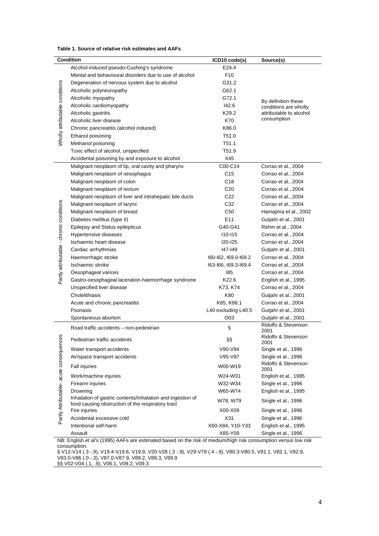|                                          | <b>Condition</b>                                                                                                | ICD10 code(s)        | Source(s)                                    |
|------------------------------------------|-----------------------------------------------------------------------------------------------------------------|----------------------|----------------------------------------------|
|                                          | Alcohol-induced pseudo-Cushing's syndrome                                                                       | E24.4                |                                              |
|                                          | Mental and behavioural disorders due to use of alcohol                                                          | F <sub>10</sub>      |                                              |
|                                          | Degeneration of nervous system due to alcohol                                                                   | G31.2                |                                              |
|                                          | Alcoholic polyneuropathy                                                                                        | G62.1                |                                              |
|                                          | Alcoholic myopathy                                                                                              | G72.1                |                                              |
|                                          | Alcoholic cardiomyopathy                                                                                        | 142.6                | By definition these<br>conditions are wholly |
|                                          | Alcoholic gastritis                                                                                             | K <sub>29.2</sub>    | attributable to alcohol                      |
|                                          | Alcoholic liver disease                                                                                         | K70                  | consumption                                  |
| Wholly attributable conditions           | Chronic pancreatitis (alcohol induced)                                                                          | K86.0                |                                              |
|                                          | Ethanol poisoning                                                                                               | T51.0                |                                              |
|                                          | Methanol poisoning                                                                                              | T51.1                |                                              |
|                                          | Toxic effect of alcohol, unspecified                                                                            | T51.9                |                                              |
|                                          | Accidental poisoning by and exposure to alcohol                                                                 | X45                  |                                              |
|                                          | Malignant neoplasm of lip, oral cavity and pharynx                                                              | C00-C14              | Corrao et al., 2004                          |
|                                          | Malignant neoplasm of oesophagus                                                                                | C <sub>15</sub>      | Corrao et al., 2004                          |
|                                          | Malignant neoplasm of colon                                                                                     | C18                  | Corrao et al., 2004                          |
|                                          | Malignant neoplasm of rectum                                                                                    | C <sub>20</sub>      | Corrao et al., 2004                          |
|                                          | Malignant neoplasm of liver and intrahepatic bile ducts                                                         | C22                  | Corrao et al., 2004                          |
|                                          | Malignant neoplasm of larynx                                                                                    | C32                  | Corrao et al., 2004                          |
|                                          | Malignant neoplasm of breast                                                                                    | C <sub>50</sub>      | Hamajima et al., 2002                        |
|                                          | Diabetes mellitus (type II)                                                                                     | E <sub>11</sub>      | Gutjahr et al., 2001                         |
|                                          | Epilepsy and Status epilepticus                                                                                 | G40-G41              | Rehm et al., 2004                            |
|                                          | Hypertensive diseases                                                                                           | $110 - 115$          | Corrao et al., 2004                          |
|                                          | Ischaemic heart disease                                                                                         | <b>I20-I25</b>       | Corrao et al., 2004                          |
|                                          | Cardiac arrhythmias                                                                                             | 147-149              | Gutjahr et al., 2001                         |
|                                          | Haemorrhagic stroke                                                                                             | 160-162, 169.0-169.2 | Corrao et al., 2004                          |
|                                          | Ischaemic stroke                                                                                                | 163-166, 169.3-169.4 | Corrao et al., 2004                          |
| Partly attributable - chronic conditions | Oesophageal varices                                                                                             | 185                  | Corrao et al., 2004                          |
|                                          | Gastro-oesophageal laceration-haemorrhage syndrome                                                              | K22.6                | English et al., 1995                         |
|                                          | Unspecified liver disease                                                                                       | K73, K74             | Corrao et al., 2004                          |
|                                          | Cholelithiasis                                                                                                  | K80                  | Gutjahr et al., 2001                         |
|                                          | Acute and chronic pancreatitis                                                                                  | K85, K86.1           | Corrao et al., 2004                          |
|                                          | Psoriasis                                                                                                       | L40 excluding L40.5  | Gutjahr et al., 2001                         |
|                                          | Spontaneous abortion                                                                                            | O03                  | Gutjahr et al., 2001                         |
|                                          | Road traffic accidents - non-pedestrian                                                                         | §                    | Ridolfo & Stevenson                          |
| es                                       |                                                                                                                 |                      | 2001<br>Ridolfo & Stevenson                  |
|                                          | Pedestrian traffic accidents                                                                                    | §δ                   | 2001                                         |
|                                          | Water transport accidents                                                                                       | V90-V94              | Single et al., 1996                          |
|                                          | Air/space transport accidents                                                                                   | V95-V97              | Single et al., 1996                          |
| Partly Attributable-acute consequenc     | <b>Fall injuries</b>                                                                                            | W00-W19              | Ridolfo & Stevenson<br>2001                  |
|                                          | Work/machine injuries                                                                                           | W24-W31              | English et al., 1995                         |
|                                          | Firearm injuries                                                                                                | W32-W34              | Single et al., 1996                          |
|                                          | Drowning                                                                                                        | W65-W74              | English et al., 1995                         |
|                                          | Inhalation of gastric contents/Inhalation and ingestion of                                                      | W78, W79             | Single et al., 1996                          |
|                                          | food causing obstruction of the respiratory tract                                                               |                      |                                              |
|                                          | Fire injuries                                                                                                   | X00-X09              | Single et al., 1996                          |
|                                          | Accidental excessive cold                                                                                       | X31                  | Single et al., 1996                          |
|                                          | Intentional self-harm                                                                                           | X60-X84, Y10-Y33     | English et al., 1995                         |
|                                          | Assault                                                                                                         | X85-Y09              | Single et al., 1996                          |
|                                          | NB: English et al's (1995) AAFs are estimated based on the risk of medium/high risk consumption versus low risk |                      |                                              |

consumption. § V12-V14 (.3 -.9), V19.4-V19.6, V19.9, V20-V28 (.3 -.9), V29-V79 (.4 -.9), V80.3-V80.5, V81.1, V82.1, V82.9, V83.0-V86 (.0 -.3), V87.0-V87.9, V89.2, V89.3, V89.9

§§ V02-V04 (.1, .9), V06.1, V09.2, V09.3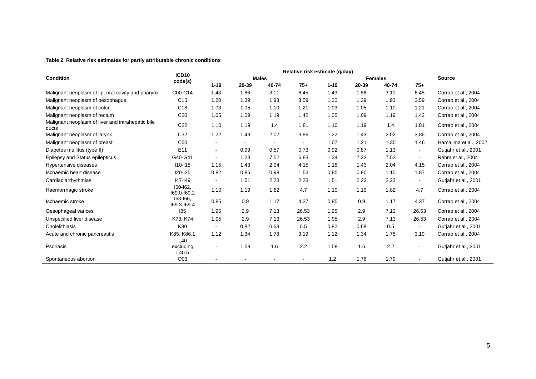#### **Table 2. Relative risk estimates for partly attributable chronic conditions**

|                                                            | Relative risk estimate (g/day) |                          |                          |                |                |          |       |       |                |                       |
|------------------------------------------------------------|--------------------------------|--------------------------|--------------------------|----------------|----------------|----------|-------|-------|----------------|-----------------------|
| <b>Condition</b>                                           | ICD10<br>code(s)               | <b>Males</b>             |                          |                | <b>Females</b> |          |       |       | <b>Source</b>  |                       |
|                                                            |                                | $1 - 19$                 | 20-39                    | 40-74          | $75+$          | $1 - 19$ | 20-39 | 40-74 | $75+$          |                       |
| Malignant neoplasm of lip, oral cavity and pharynx         | C00-C14                        | 1.43                     | 1.86                     | 3.11           | 6.45           | 1.43     | 1.86  | 3.11  | 6.45           | Corrao et al., 2004   |
| Malignant neoplasm of oesophagus                           | C <sub>15</sub>                | 1.20                     | 1.39                     | 1.93           | 3.59           | 1.20     | 1.39  | 1.93  | 3.59           | Corrao et al., 2004   |
| Malignant neoplasm of colon                                | C18                            | 1.03                     | 1.05                     | 1.10           | 1.21           | 1.03     | 1.05  | 1.10  | 1.21           | Corrao et al., 2004   |
| Malignant neoplasm of rectum                               | C <sub>20</sub>                | 1.05                     | 1.09                     | 1.19           | 1.42           | 1.05     | 1.09  | 1.19  | 1.42           | Corrao et al., 2004   |
| Malignant neoplasm of liver and intrahepatic bile<br>ducts | C <sub>22</sub>                | 1.10                     | 1.19                     | 1.4            | 1.81           | 1.10     | 1.19  | 1.4   | 1.81           | Corrao et al., 2004   |
| Malignant neoplasm of larynx                               | C32                            | 1.22                     | 1.43                     | 2.02           | 3.86           | 1.22     | 1.43  | 2.02  | 3.86           | Corrao et al., 2004   |
| Malignant neoplasm of breast                               | C <sub>50</sub>                | $\overline{\phantom{a}}$ | $\overline{\phantom{a}}$ | $\blacksquare$ | $\blacksquare$ | 1.07     | 1.21  | 1.35  | 1.46           | Hamajima et al., 2002 |
| Diabetes mellitus (type II)                                | E11                            | $\overline{\phantom{a}}$ | 0.99                     | 0.57           | 0.73           | 0.92     | 0.87  | 1.13  | $\blacksquare$ | Gutjahr et al., 2001  |
| Epilepsy and Status epilepticus                            | G40-G41                        | $\sim$                   | 1.23                     | 7.52           | 6.83           | 1.34     | 7.22  | 7.52  | $\sim$         | Rehm et al., 2004     |
| Hypertensive diseases                                      | $110 - 115$                    | 1.15                     | 1.43                     | 2.04           | 4.15           | 1.15     | 1.43  | 2.04  | 4.15           | Corrao et al., 2004   |
| Ischaemic heart disease                                    | $120 - 125$                    | 0.82                     | 0.85                     | 0.98           | 1.53           | 0.85     | 0.90  | 1.10  | 1.87           | Corrao et al., 2004   |
| Cardiac arrhythmias                                        | 147-149                        |                          | 1.51                     | 2.23           | 2.23           | 1.51     | 2.23  | 2.23  | $\blacksquare$ | Gutjahr et al., 2001  |
| Haemorrhagic stroke                                        | 160-162.<br>169.0-169.2        | 1.10                     | 1.19                     | 1.82           | 4.7            | 1.10     | 1.19  | 1.82  | 4.7            | Corrao et al., 2004   |
| Ischaemic stroke                                           | 163-166,<br>169.3-169.4        | 0.85                     | 0.9                      | 1.17           | 4.37           | 0.85     | 0.9   | 1.17  | 4.37           | Corrao et al., 2004   |
| Oesophageal varices                                        | 185                            | 1.95                     | 2.9                      | 7.13           | 26.53          | 1.95     | 2.9   | 7.13  | 26.53          | Corrao et al., 2004   |
| Unspecified liver disease                                  | K73, K74                       | 1.95                     | 2.9                      | 7.13           | 26.53          | 1.95     | 2.9   | 7.13  | 26.53          | Corrao et al., 2004   |
| Cholelithiasis                                             | K80                            | $\overline{\phantom{a}}$ | 0.82                     | 0.68           | 0.5            | 0.82     | 0.68  | 0.5   | $\blacksquare$ | Gutjahr et al., 2001  |
| Acute and chronic pancreatitis                             | K85, K86.1                     | 1.12                     | 1.34                     | 1.78           | 3.19           | 1.12     | 1.34  | 1.78  | 3.19           | Corrao et al., 2004   |
| Psoriasis                                                  | L40<br>excluding<br>L40.5      | $\overline{\phantom{a}}$ | 1.58                     | 1.6            | 2.2            | 1.58     | 1.6   | 2.2   | $\blacksquare$ | Gutjahr et al., 2001  |
| Spontaneous abortion                                       | O03                            |                          |                          |                |                | $1.2$    | 1.76  | 1.79  |                | Gutjahr et al., 2001  |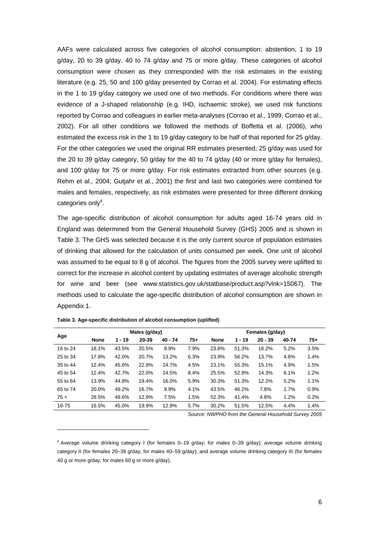AAFs were calculated across five categories of alcohol consumption: abstention, 1 to 19 g/day, 20 to 39 g/day, 40 to 74 g/day and 75 or more g/day. These categories of alcohol consumption were chosen as they corresponded with the risk estimates in the existing literature (e.g. 25, 50 and 100 g/day presented by Corrao et al. 2004). For estimating effects in the 1 to 19 g/day category we used one of two methods. For conditions where there was evidence of a J-shaped relationship (e.g. IHD, ischaemic stroke), we used risk functions reported by Corrao and colleagues in earlier meta-analyses (Corrao et al., 1999, Corrao et al., 2002). For all other conditions we followed the methods of Boffetta et al. (2006), who estimated the excess risk in the 1 to 19 g/day category to be half of that reported for 25 g/day. For the other categories we used the original RR estimates presented; 25 g/day was used for the 20 to 39 g/day category, 50 g/day for the 40 to 74 g/day (40 or more g/day for females). and 100 g/day for 75 or more g/day. For risk estimates extracted from other sources (e.g. Rehm et al., 2004; Gutjahr et al., 2001) the first and last two categories were combined for males and females, respectively, as risk estimates were presented for three different drinking categories only<sup>4</sup>.

The age-specific distribution of alcohol consumption for adults aged 16-74 years old in England was determined from the General Household Survey (GHS) 2005 and is shown in Table 3. The GHS was selected because it is the only current source of population estimates of drinking that allowed for the calculation of units consumed per week. One unit of alcohol was assumed to be equal to 8 g of alcohol. The figures from the 2005 survey were uplifted to correct for the increase in alcohol content by updating estimates of average alcoholic strength for wine and beer (see www.statistics.gov.uk/statbase/product.asp?vlnk=15067). The methods used to calculate the age-specific distribution of alcohol consumption are shown in Appendix 1.

|          | Males (g/day) |          |       |           |       |             | Females (g/day) |           |       |      |  |  |
|----------|---------------|----------|-------|-----------|-------|-------------|-----------------|-----------|-------|------|--|--|
| Age      | <b>None</b>   | $1 - 19$ | 20-39 | $40 - 74$ | $75+$ | <b>None</b> | $1 - 19$        | $20 - 39$ | 40-74 | 75+  |  |  |
| 16 to 24 | 18.1%         | 43.5%    | 20.5% | 9.9%      | 7.9%  | 23.8%       | 51.3%           | 16.2%     | 5.2%  | 3.5% |  |  |
| 25 to 34 | 17.8%         | 42.0%    | 20.7% | 13.2%     | 6.3%  | 23.9%       | 56.2%           | 13.7%     | 4.8%  | 1.4% |  |  |
| 35 to 44 | 12.4%         | 45.6%    | 22.9% | 14.7%     | 4.5%  | 23.1%       | 55.3%           | 15.1%     | 4.9%  | 1.5% |  |  |
| 45 to 54 | 12.4%         | 42.7%    | 22.0% | 14.5%     | 8.4%  | 25.5%       | 52.9%           | 14.3%     | 6.1%  | 1.2% |  |  |
| 55 to 64 | 13.9%         | 44.8%    | 19.4% | 16.0%     | 5.9%  | 30.3%       | 51.3%           | 12.2%     | 5.2%  | 1.1% |  |  |
| 65 to 74 | 20.0%         | 49.2%    | 16.7% | 9.9%      | 4.1%  | 43.5%       | 46.2%           | 7.8%      | 1.7%  | 0.9% |  |  |
| $75+$    | 28.5%         | 49.6%    | 12.9% | 7.5%      | 1.5%  | 52.3%       | 41.4%           | 4.8%      | 1.2%  | 0.2% |  |  |
| 16-75    | 16.5%         | 45.0%    | 19.9% | 12.9%     | 5.7%  | 30.2%       | 51.5%           | 12.5%     | 4.4%  | 1.4% |  |  |

**Table 3. Age-specific distribution of alcohol consumption (uplifted)** 

l

*Source: NWPHO from the General Household Survey 2005* 

<sup>4</sup> Average volume drinking category I (for females 0–19 g/day; for males 0–39 g/day); average volume drinking category II (for females 20–39 g/day; for males 40–59 g/day); and average volume drinking category III (for females 40 g or more g/day; for males 60 g or more g/day).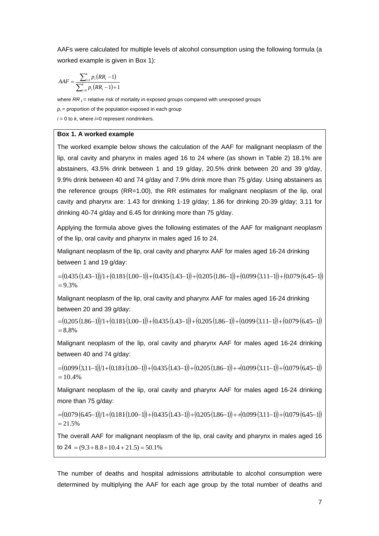AAFs were calculated for multiple levels of alcohol consumption using the following formula (a worked example is given in Box 1):

$$
AAF = \frac{\sum_{i=1}^{k} p_i (RR_i - 1)}{\sum_{i=0}^{k} p_i (RR_i - 1) + 1}
$$

where  $RR_1$  = relative risk of mortality in exposed groups compared with unexposed groups

 $p_i$  = proportion of the population exposed in each group

 $i = 0$  to  $k$ , where  $i=0$  represent nondrinkers.

### **Box 1. A worked example**

The worked example below shows the calculation of the AAF for malignant neoplasm of the lip, oral cavity and pharynx in males aged 16 to 24 where (as shown in Table 2) 18.1% are abstainers, 43.5% drink between 1 and 19 g/day, 20.5% drink between 20 and 39 g/day, 9.9% drink between 40 and 74 g/day and 7.9% drink more than 75 g/day. Using abstainers as the reference groups (RR=1.00), the RR estimates for malignant neoplasm of the lip, oral cavity and pharynx are: 1.43 for drinking 1-19 g/day; 1.86 for drinking 20-39 g/day; 3.11 for drinking 40-74 g/day and 6.45 for drinking more than 75 g/day.

Applying the formula above gives the following estimates of the AAF for malignant neoplasm of the lip, oral cavity and pharynx in males aged 16 to 24.

Malignant neoplasm of the lip, oral cavity and pharynx AAF for males aged 16-24 drinking between 1 and 19 g/day:

 $=(0.435(1.43-1))1+(0.181(1.00-1))+(0.435(1.43-1))+(0.205(1.86-1))+(0.099(3.11-1))+(0.079(6.45-1))$  $= 9.3%$ 

Malignant neoplasm of the lip, oral cavity and pharynx AAF for males aged 16-24 drinking between 20 and 39 g/day:

 $=( 0.205(1.86-1))/1+(0.181(1.00-1))+(0.435(1.43-1))+(0.205(1.86-1))+(0.099(3.11-1))+(0.079(6.45-1))$ = 8.8%

Malignant neoplasm of the lip, oral cavity and pharynx AAF for males aged 16-24 drinking between 40 and 74 g/day:

 $=( 0.099(3.11-1))/1+( 0.181(1.00-1))+( 0.435(1.43-1))+( 0.205(1.86-1)) ++( 0.099(3.11-1))+( 0.079(6.45-1))$  $= 10.4%$ 

Malignant neoplasm of the lip, oral cavity and pharynx AAF for males aged 16-24 drinking more than 75 g/day:

 $= (0.079(6.45-1))/1+(0.181(1.00-1))+(0.435(1.43-1))+(0.205(1.86-1))+(0.099(3.11-1))+(0.079(6.45-1))$  $= 21.5%$ 

The overall AAF for malignant neoplasm of the lip, oral cavity and pharynx in males aged 16 to  $24 = (9.3 + 8.8 + 10.4 + 21.5) = 50.1\%$ 

The number of deaths and hospital admissions attributable to alcohol consumption were determined by multiplying the AAF for each age group by the total number of deaths and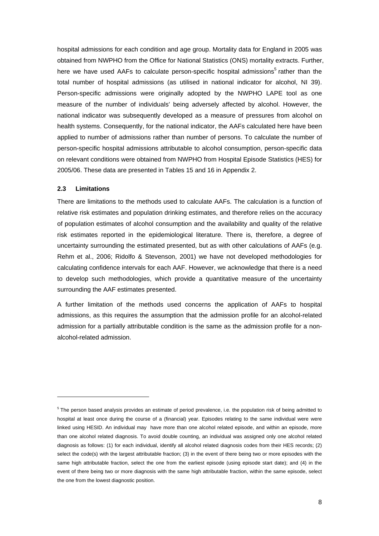hospital admissions for each condition and age group. Mortality data for England in 2005 was obtained from NWPHO from the Office for National Statistics (ONS) mortality extracts. Further, here we have used AAFs to calculate person-specific hospital admissions<sup>5</sup> rather than the total number of hospital admissions (as utilised in national indicator for alcohol, NI 39). Person-specific admissions were originally adopted by the NWPHO LAPE tool as one measure of the number of individuals' being adversely affected by alcohol. However, the national indicator was subsequently developed as a measure of pressures from alcohol on health systems. Consequently, for the national indicator, the AAFs calculated here have been applied to number of admissions rather than number of persons. To calculate the number of person-specific hospital admissions attributable to alcohol consumption, person-specific data on relevant conditions were obtained from NWPHO from Hospital Episode Statistics (HES) for 2005/06. These data are presented in Tables 15 and 16 in Appendix 2.

#### **2.3 Limitations**

l

There are limitations to the methods used to calculate AAFs. The calculation is a function of relative risk estimates and population drinking estimates, and therefore relies on the accuracy of population estimates of alcohol consumption and the availability and quality of the relative risk estimates reported in the epidemiological literature. There is, therefore, a degree of uncertainty surrounding the estimated presented, but as with other calculations of AAFs (e.g. Rehm et al., 2006; Ridolfo & Stevenson, 2001) we have not developed methodologies for calculating confidence intervals for each AAF. However, we acknowledge that there is a need to develop such methodologies, which provide a quantitative measure of the uncertainty surrounding the AAF estimates presented.

A further limitation of the methods used concerns the application of AAFs to hospital admissions, as this requires the assumption that the admission profile for an alcohol-related admission for a partially attributable condition is the same as the admission profile for a nonalcohol-related admission.

<sup>&</sup>lt;sup>5</sup> The person based analysis provides an estimate of period prevalence, i.e. the population risk of being admitted to hospital at least once during the course of a (financial) year. Episodes relating to the same individual were were linked using HESID. An individual may have more than one alcohol related episode, and within an episode, more than one alcohol related diagnosis. To avoid double counting, an individual was assigned only one alcohol related diagnosis as follows: (1) for each individual, identify all alcohol related diagnosis codes from their HES records; (2) select the code(s) with the largest attributable fraction; (3) in the event of there being two or more episodes with the same high attributable fraction, select the one from the earliest episode (using episode start date); and (4) in the event of there being two or more diagnosis with the same high attributable fraction, within the same episode, select the one from the lowest diagnostic position.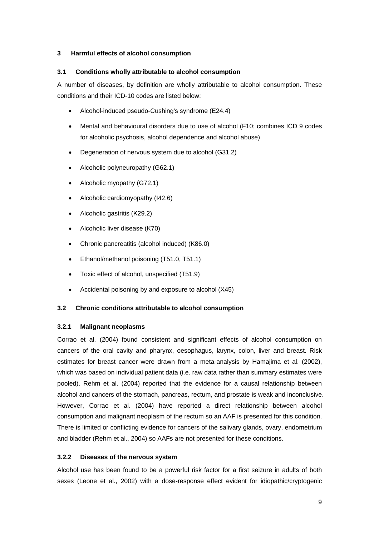## **3 Harmful effects of alcohol consumption**

## **3.1 Conditions wholly attributable to alcohol consumption**

A number of diseases, by definition are wholly attributable to alcohol consumption. These conditions and their ICD-10 codes are listed below:

- Alcohol-induced pseudo-Cushing's syndrome (E24.4)
- Mental and behavioural disorders due to use of alcohol (F10; combines ICD 9 codes for alcoholic psychosis, alcohol dependence and alcohol abuse)
- Degeneration of nervous system due to alcohol (G31.2)
- Alcoholic polyneuropathy (G62.1)
- Alcoholic myopathy (G72.1)
- Alcoholic cardiomyopathy (I42.6)
- Alcoholic gastritis (K29.2)
- Alcoholic liver disease (K70)
- Chronic pancreatitis (alcohol induced) (K86.0)
- Ethanol/methanol poisoning (T51.0, T51.1)
- Toxic effect of alcohol, unspecified (T51.9)
- Accidental poisoning by and exposure to alcohol (X45)

## **3.2 Chronic conditions attributable to alcohol consumption**

## **3.2.1 Malignant neoplasms**

Corrao et al. (2004) found consistent and significant effects of alcohol consumption on cancers of the oral cavity and pharynx, oesophagus, larynx, colon, liver and breast. Risk estimates for breast cancer were drawn from a meta-analysis by Hamajima et al. (2002), which was based on individual patient data (i.e. raw data rather than summary estimates were pooled). Rehm et al. (2004) reported that the evidence for a causal relationship between alcohol and cancers of the stomach, pancreas, rectum, and prostate is weak and inconclusive. However, Corrao et al. (2004) have reported a direct relationship between alcohol consumption and malignant neoplasm of the rectum so an AAF is presented for this condition. There is limited or conflicting evidence for cancers of the salivary glands, ovary, endometrium and bladder (Rehm et al., 2004) so AAFs are not presented for these conditions.

## **3.2.2 Diseases of the nervous system**

Alcohol use has been found to be a powerful risk factor for a first seizure in adults of both sexes (Leone et al., 2002) with a dose-response effect evident for idiopathic/cryptogenic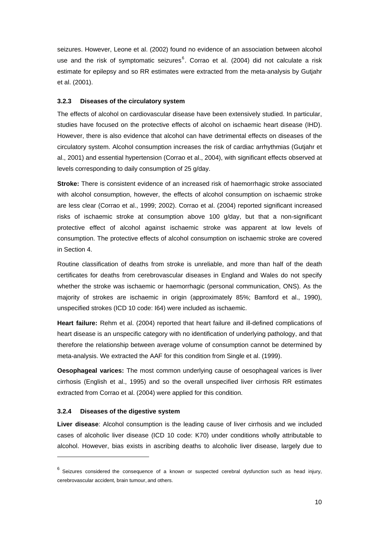seizures. However, Leone et al. (2002) found no evidence of an association between alcohol use and the risk of symptomatic seizures $^{6}$ . Corrao et al. (2004) did not calculate a risk estimate for epilepsy and so RR estimates were extracted from the meta-analysis by Gutjahr et al. (2001).

#### **3.2.3 Diseases of the circulatory system**

The effects of alcohol on cardiovascular disease have been extensively studied. In particular, studies have focused on the protective effects of alcohol on ischaemic heart disease (IHD). However, there is also evidence that alcohol can have detrimental effects on diseases of the circulatory system. Alcohol consumption increases the risk of cardiac arrhythmias (Gutjahr et al., 2001) and essential hypertension (Corrao et al., 2004), with significant effects observed at levels corresponding to daily consumption of 25 g/day.

**Stroke:** There is consistent evidence of an increased risk of haemorrhagic stroke associated with alcohol consumption, however, the effects of alcohol consumption on ischaemic stroke are less clear (Corrao et al., 1999; 2002). Corrao et al. (2004) reported significant increased risks of ischaemic stroke at consumption above 100 g/day, but that a non-significant protective effect of alcohol against ischaemic stroke was apparent at low levels of consumption. The protective effects of alcohol consumption on ischaemic stroke are covered in Section 4.

Routine classification of deaths from stroke is unreliable, and more than half of the death certificates for deaths from cerebrovascular diseases in England and Wales do not specify whether the stroke was ischaemic or haemorrhagic (personal communication, ONS). As the majority of strokes are ischaemic in origin (approximately 85%; Bamford et al., 1990), unspecified strokes (ICD 10 code: I64) were included as ischaemic.

**Heart failure:** Rehm et al. (2004) reported that heart failure and ill-defined complications of heart disease is an unspecific category with no identification of underlying pathology, and that therefore the relationship between average volume of consumption cannot be determined by meta-analysis. We extracted the AAF for this condition from Single et al. (1999).

**Oesophageal varices:** The most common underlying cause of oesophageal varices is liver cirrhosis (English et al., 1995) and so the overall unspecified liver cirrhosis RR estimates extracted from Corrao et al. (2004) were applied for this condition.

#### **3.2.4 Diseases of the digestive system**

l

**Liver disease**: Alcohol consumption is the leading cause of liver cirrhosis and we included cases of alcoholic liver disease (ICD 10 code: K70) under conditions wholly attributable to alcohol. However, bias exists in ascribing deaths to alcoholic liver disease, largely due to

 $6$  Seizures considered the consequence of a known or suspected cerebral dysfunction such as head injury, cerebrovascular accident, brain tumour, and others.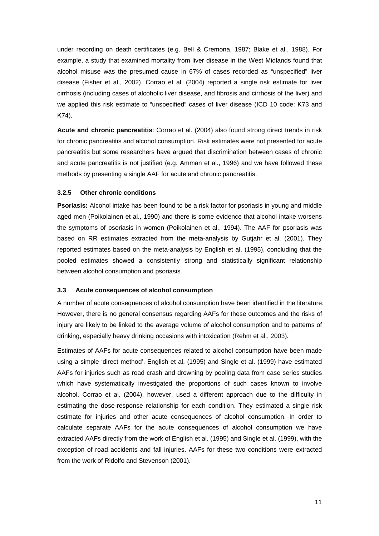under recording on death certificates (e.g. Bell & Cremona, 1987; Blake et al., 1988). For example, a study that examined mortality from liver disease in the West Midlands found that alcohol misuse was the presumed cause in 67% of cases recorded as "unspecified" liver disease (Fisher et al., 2002). Corrao et al. (2004) reported a single risk estimate for liver cirrhosis (including cases of alcoholic liver disease, and fibrosis and cirrhosis of the liver) and we applied this risk estimate to "unspecified" cases of liver disease (ICD 10 code: K73 and K74).

**Acute and chronic pancreatitis**: Corrao et al. (2004) also found strong direct trends in risk for chronic pancreatitis and alcohol consumption. Risk estimates were not presented for acute pancreatitis but some researchers have argued that discrimination between cases of chronic and acute pancreatitis is not justified (e.g. Amman et al., 1996) and we have followed these methods by presenting a single AAF for acute and chronic pancreatitis.

### **3.2.5 Other chronic conditions**

**Psoriasis:** Alcohol intake has been found to be a risk factor for psoriasis in young and middle aged men (Poikolainen et al., 1990) and there is some evidence that alcohol intake worsens the symptoms of psoriasis in women (Poikolainen et al., 1994). The AAF for psoriasis was based on RR estimates extracted from the meta-analysis by Gutjahr et al. (2001). They reported estimates based on the meta-analysis by English et al. (1995), concluding that the pooled estimates showed a consistently strong and statistically significant relationship between alcohol consumption and psoriasis.

#### **3.3 Acute consequences of alcohol consumption**

A number of acute consequences of alcohol consumption have been identified in the literature. However, there is no general consensus regarding AAFs for these outcomes and the risks of injury are likely to be linked to the average volume of alcohol consumption and to patterns of drinking, especially heavy drinking occasions with intoxication (Rehm et al., 2003).

Estimates of AAFs for acute consequences related to alcohol consumption have been made using a simple 'direct method'. English et al. (1995) and Single et al. (1999) have estimated AAFs for injuries such as road crash and drowning by pooling data from case series studies which have systematically investigated the proportions of such cases known to involve alcohol. Corrao et al. (2004), however, used a different approach due to the difficulty in estimating the dose-response relationship for each condition. They estimated a single risk estimate for injuries and other acute consequences of alcohol consumption. In order to calculate separate AAFs for the acute consequences of alcohol consumption we have extracted AAFs directly from the work of English et al. (1995) and Single et al. (1999), with the exception of road accidents and fall injuries. AAFs for these two conditions were extracted from the work of Ridolfo and Stevenson (2001).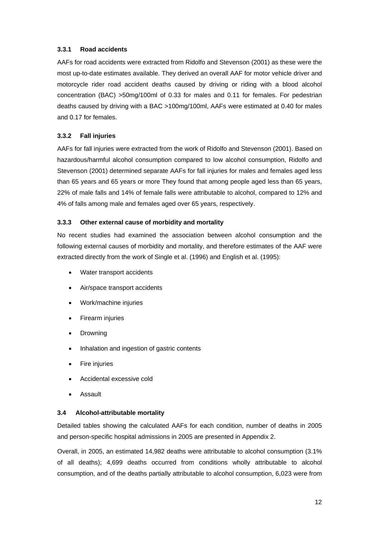## **3.3.1 Road accidents**

AAFs for road accidents were extracted from Ridolfo and Stevenson (2001) as these were the most up-to-date estimates available. They derived an overall AAF for motor vehicle driver and motorcycle rider road accident deaths caused by driving or riding with a blood alcohol concentration (BAC) >50mg/100ml of 0.33 for males and 0.11 for females. For pedestrian deaths caused by driving with a BAC >100mg/100ml, AAFs were estimated at 0.40 for males and 0.17 for females.

## **3.3.2 Fall injuries**

AAFs for fall injuries were extracted from the work of Ridolfo and Stevenson (2001). Based on hazardous/harmful alcohol consumption compared to low alcohol consumption, Ridolfo and Stevenson (2001) determined separate AAFs for fall injuries for males and females aged less than 65 years and 65 years or more They found that among people aged less than 65 years, 22% of male falls and 14% of female falls were attributable to alcohol, compared to 12% and 4% of falls among male and females aged over 65 years, respectively.

## **3.3.3 Other external cause of morbidity and mortality**

No recent studies had examined the association between alcohol consumption and the following external causes of morbidity and mortality, and therefore estimates of the AAF were extracted directly from the work of Single et al. (1996) and English et al. (1995):

- Water transport accidents
- Air/space transport accidents
- Work/machine injuries
- Firearm injuries
- Drowning
- Inhalation and ingestion of gastric contents
- **Fire injuries**
- Accidental excessive cold
- **Assault**

## **3.4 Alcohol-attributable mortality**

Detailed tables showing the calculated AAFs for each condition, number of deaths in 2005 and person-specific hospital admissions in 2005 are presented in Appendix 2.

Overall, in 2005, an estimated 14,982 deaths were attributable to alcohol consumption (3.1% of all deaths); 4,699 deaths occurred from conditions wholly attributable to alcohol consumption, and of the deaths partially attributable to alcohol consumption, 6,023 were from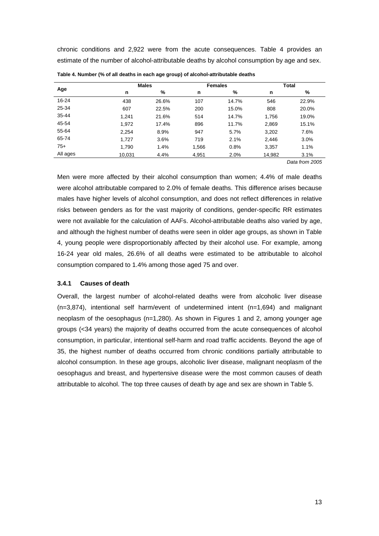chronic conditions and 2,922 were from the acute consequences. Table 4 provides an estimate of the number of alcohol-attributable deaths by alcohol consumption by age and sex.

|          |        | <b>Males</b> |       | <b>Females</b> | Total  |       |  |
|----------|--------|--------------|-------|----------------|--------|-------|--|
| Age      | n      | %            | n     | %              | n      | %     |  |
| 16-24    | 438    | 26.6%        | 107   | 14.7%          | 546    | 22.9% |  |
| 25-34    | 607    | 22.5%        | 200   | 15.0%          | 808    | 20.0% |  |
| 35-44    | 1.241  | 21.6%        | 514   | 14.7%          | 1,756  | 19.0% |  |
| 45-54    | 1.972  | 17.4%        | 896   | 11.7%          | 2,869  | 15.1% |  |
| 55-64    | 2,254  | 8.9%         | 947   | 5.7%           | 3,202  | 7.6%  |  |
| 65-74    | 1.727  | 3.6%         | 719   | 2.1%           | 2,446  | 3.0%  |  |
| $75+$    | 1,790  | 1.4%         | 1,566 | 0.8%           | 3,357  | 1.1%  |  |
| All ages | 10.031 | 4.4%         | 4,951 | 2.0%           | 14,982 | 3.1%  |  |

**Table 4. Number (% of all deaths in each age group) of alcohol-attributable deaths** 

*Data from 2005* 

Men were more affected by their alcohol consumption than women; 4.4% of male deaths were alcohol attributable compared to 2.0% of female deaths. This difference arises because males have higher levels of alcohol consumption, and does not reflect differences in relative risks between genders as for the vast majority of conditions, gender-specific RR estimates were not available for the calculation of AAFs. Alcohol-attributable deaths also varied by age, and although the highest number of deaths were seen in older age groups, as shown in Table 4, young people were disproportionably affected by their alcohol use. For example, among 16-24 year old males, 26.6% of all deaths were estimated to be attributable to alcohol consumption compared to 1.4% among those aged 75 and over.

#### **3.4.1 Causes of death**

Overall, the largest number of alcohol-related deaths were from alcoholic liver disease (n=3,874), intentional self harm/event of undetermined intent (n=1,694) and malignant neoplasm of the oesophagus (n=1,280). As shown in Figures 1 and 2, among younger age groups (<34 years) the majority of deaths occurred from the acute consequences of alcohol consumption, in particular, intentional self-harm and road traffic accidents. Beyond the age of 35, the highest number of deaths occurred from chronic conditions partially attributable to alcohol consumption. In these age groups, alcoholic liver disease, malignant neoplasm of the oesophagus and breast, and hypertensive disease were the most common causes of death attributable to alcohol. The top three causes of death by age and sex are shown in Table 5.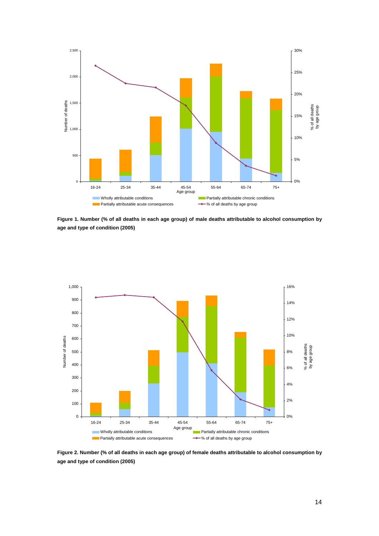

**Figure 1. Number (% of all deaths in each age group) of male deaths attributable to alcohol consumption by age and type of condition (2005)** 



**Figure 2. Number (% of all deaths in each age group) of female deaths attributable to alcohol consumption by age and type of condition (2005)**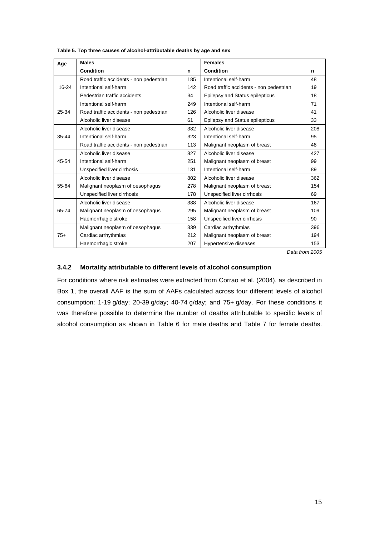| Age   | <b>Males</b>                            | <b>Females</b> |                                         |     |  |
|-------|-----------------------------------------|----------------|-----------------------------------------|-----|--|
|       | <b>Condition</b>                        | n              | <b>Condition</b>                        | n   |  |
|       | Road traffic accidents - non pedestrian | 185            | Intentional self-harm                   | 48  |  |
| 16-24 | Intentional self-harm                   | 142            | Road traffic accidents - non pedestrian | 19  |  |
|       | Pedestrian traffic accidents            | 34             | Epilepsy and Status epilepticus         | 18  |  |
|       | Intentional self-harm                   | 249            | Intentional self-harm                   | 71  |  |
| 25-34 | Road traffic accidents - non pedestrian | 126            | Alcoholic liver disease                 | 41  |  |
|       | Alcoholic liver disease                 | 61             | Epilepsy and Status epilepticus         | 33  |  |
|       | Alcoholic liver disease                 | 382            | Alcoholic liver disease                 | 208 |  |
| 35-44 | Intentional self-harm                   | 323            | Intentional self-harm                   | 95  |  |
|       | Road traffic accidents - non pedestrian | 113            | Malignant neoplasm of breast            | 48  |  |
|       | Alcoholic liver disease                 | 827            | Alcoholic liver disease                 | 427 |  |
| 45-54 | Intentional self-harm                   | 251            | Malignant neoplasm of breast            | 99  |  |
|       | Unspecified liver cirrhosis             | 131            | Intentional self-harm                   | 89  |  |
|       | Alcoholic liver disease                 | 802            | Alcoholic liver disease                 | 362 |  |
| 55-64 | Malignant neoplasm of oesophagus        | 278            | Malignant neoplasm of breast            | 154 |  |
|       | Unspecified liver cirrhosis             | 178            | Unspecified liver cirrhosis             | 69  |  |
|       | Alcoholic liver disease                 | 388            | Alcoholic liver disease                 | 167 |  |
| 65-74 | Malignant neoplasm of oesophagus        | 295            | Malignant neoplasm of breast            | 109 |  |
|       | Haemorrhagic stroke                     | 158            | Unspecified liver cirrhosis             | 90  |  |
|       | Malignant neoplasm of oesophagus        | 339            | Cardiac arrhythmias                     | 396 |  |
| $75+$ | Cardiac arrhythmias                     | 212            | Malignant neoplasm of breast            | 194 |  |
|       | Haemorrhagic stroke                     | 207            | Hypertensive diseases                   | 153 |  |

**Table 5. Top three causes of alcohol-attributable deaths by age and sex** 

*Data from 2005* 

### **3.4.2 Mortality attributable to different levels of alcohol consumption**

For conditions where risk estimates were extracted from Corrao et al. (2004), as described in Box 1, the overall AAF is the sum of AAFs calculated across four different levels of alcohol consumption: 1-19 g/day; 20-39 g/day; 40-74 g/day; and 75+ g/day. For these conditions it was therefore possible to determine the number of deaths attributable to specific levels of alcohol consumption as shown in Table 6 for male deaths and Table 7 for female deaths.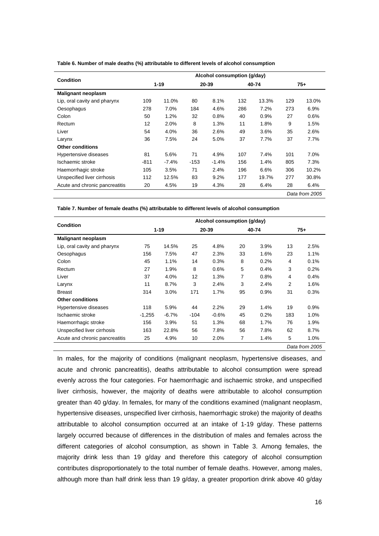| Table 6. Number of male deaths (%) attributable to different levels of alcohol consumption |  |  |
|--------------------------------------------------------------------------------------------|--|--|
|--------------------------------------------------------------------------------------------|--|--|

|                                | Alcohol consumption (g/day) |         |        |         |       |       |     |                |  |  |  |
|--------------------------------|-----------------------------|---------|--------|---------|-------|-------|-----|----------------|--|--|--|
| <b>Condition</b>               | $1 - 19$                    |         | 20-39  |         | 40-74 |       |     | $75+$          |  |  |  |
| <b>Malignant neoplasm</b>      |                             |         |        |         |       |       |     |                |  |  |  |
| Lip, oral cavity and pharynx   | 109                         | 11.0%   | 80     | 8.1%    | 132   | 13.3% | 129 | 13.0%          |  |  |  |
| Oesophagus                     | 278                         | 7.0%    | 184    | 4.6%    | 286   | 7.2%  | 273 | 6.9%           |  |  |  |
| Colon                          | 50                          | 1.2%    | 32     | 0.8%    | 40    | 0.9%  | 27  | 0.6%           |  |  |  |
| Rectum                         | $12 \overline{ }$           | 2.0%    | 8      | 1.3%    | 11    | 1.8%  | 9   | 1.5%           |  |  |  |
| Liver                          | 54                          | 4.0%    |        | 2.6%    | 49    | 3.6%  | 35  | 2.6%           |  |  |  |
| Larynx                         | 36                          | 7.5%    | 24     | 5.0%    | 37    | 7.7%  | 37  | 7.7%           |  |  |  |
| <b>Other conditions</b>        |                             |         |        |         |       |       |     |                |  |  |  |
| Hypertensive diseases          | 81                          | 5.6%    | 71     | 4.9%    | 107   | 7.4%  | 101 | 7.0%           |  |  |  |
| Ischaemic stroke               | -811                        | $-7.4%$ | $-153$ | $-1.4%$ | 156   | 1.4%  | 805 | 7.3%           |  |  |  |
| Haemorrhagic stroke            | 105                         | 3.5%    | 71     | 2.4%    | 196   | 6.6%  | 306 | 10.2%          |  |  |  |
| Unspecified liver cirrhosis    | 112                         | 12.5%   | 83     | 9.2%    | 177   | 19.7% | 277 | 30.8%          |  |  |  |
| Acute and chronic pancreatitis | 20                          | 4.5%    | 19     | 4.3%    | 28    | 6.4%  | 28  | 6.4%           |  |  |  |
|                                |                             |         |        |         |       |       |     | Data from 2005 |  |  |  |

**Table 7. Number of female deaths (%) attributable to different levels of alcohol consumption** 

| <b>Condition</b>               | Alcohol consumption (g/day) |         |        |         |    |       |     |                |  |  |  |
|--------------------------------|-----------------------------|---------|--------|---------|----|-------|-----|----------------|--|--|--|
|                                | $1 - 19$                    |         |        | 20-39   |    | 40-74 |     | $75+$          |  |  |  |
| <b>Malignant neoplasm</b>      |                             |         |        |         |    |       |     |                |  |  |  |
| Lip, oral cavity and pharynx   | 75                          | 14.5%   | 25     | 4.8%    | 20 | 3.9%  | 13  | 2.5%           |  |  |  |
| Oesophagus                     | 156                         | 7.5%    | 47     | 2.3%    | 33 | 1.6%  | 23  | 1.1%           |  |  |  |
| Colon                          | 45                          | 1.1%    | 14     | 0.3%    | 8  | 0.2%  | 4   | 0.1%           |  |  |  |
| Rectum                         | 27                          | 1.9%    | 8      | 0.6%    | 5  | 0.4%  | 3   | 0.2%           |  |  |  |
| Liver                          | 37                          | 4.0%    | 12     | 1.3%    | 7  | 0.8%  | 4   | 0.4%           |  |  |  |
| Larynx                         | 11                          | 8.7%    | 3      | 2.4%    | 3  | 2.4%  | 2   | $1.6\%$        |  |  |  |
| <b>Breast</b>                  | 314                         | 3.0%    | 171    | 1.7%    | 95 | 0.9%  | 31  | 0.3%           |  |  |  |
| <b>Other conditions</b>        |                             |         |        |         |    |       |     |                |  |  |  |
| Hypertensive diseases          | 118                         | 5.9%    | 44     | 2.2%    | 29 | 1.4%  | 19  | 0.9%           |  |  |  |
| Ischaemic stroke               | $-1,255$                    | $-6.7%$ | $-104$ | $-0.6%$ | 45 | 0.2%  | 183 | 1.0%           |  |  |  |
| Haemorrhagic stroke            | 156                         | 3.9%    | 51     | 1.3%    | 68 | 1.7%  | 76  | 1.9%           |  |  |  |
| Unspecified liver cirrhosis    | 163                         | 22.8%   | 56     | 7.8%    | 56 | 7.8%  | 62  | 8.7%           |  |  |  |
| Acute and chronic pancreatitis | 25                          | 4.9%    | 10     | 2.0%    | 7  | 1.4%  | 5   | 1.0%           |  |  |  |
|                                |                             |         |        |         |    |       |     | Data from 2005 |  |  |  |

In males, for the majority of conditions (malignant neoplasm, hypertensive diseases, and acute and chronic pancreatitis), deaths attributable to alcohol consumption were spread evenly across the four categories. For haemorrhagic and ischaemic stroke, and unspecified liver cirrhosis, however, the majority of deaths were attributable to alcohol consumption greater than 40 g/day. In females, for many of the conditions examined (malignant neoplasm, hypertensive diseases, unspecified liver cirrhosis, haemorrhagic stroke) the majority of deaths attributable to alcohol consumption occurred at an intake of 1-19 g/day. These patterns largely occurred because of differences in the distribution of males and females across the different categories of alcohol consumption, as shown in Table 3. Among females, the majority drink less than 19 g/day and therefore this category of alcohol consumption contributes disproportionately to the total number of female deaths. However, among males, although more than half drink less than 19 g/day, a greater proportion drink above 40 g/day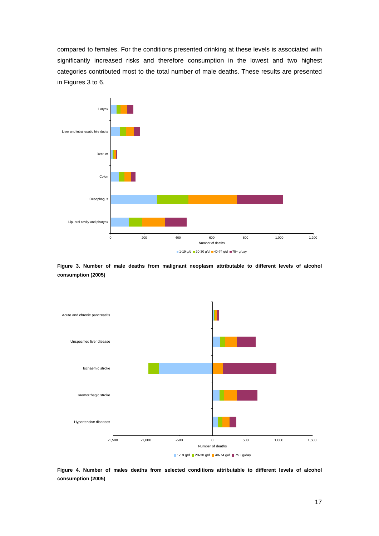compared to females. For the conditions presented drinking at these levels is associated with significantly increased risks and therefore consumption in the lowest and two highest categories contributed most to the total number of male deaths. These results are presented in Figures 3 to 6.



**Figure 3. Number of male deaths from malignant neoplasm attributable to different levels of alcohol consumption (2005)** 



**Figure 4. Number of males deaths from selected conditions attributable to different levels of alcohol consumption (2005)**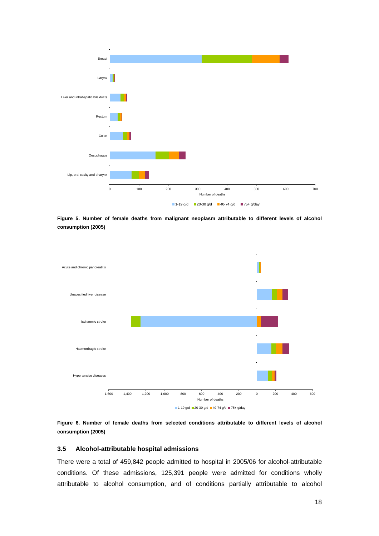

**Figure 5. Number of female deaths from malignant neoplasm attributable to different levels of alcohol consumption (2005)** 





#### **3.5 Alcohol-attributable hospital admissions**

There were a total of 459,842 people admitted to hospital in 2005/06 for alcohol-attributable conditions. Of these admissions, 125,391 people were admitted for conditions wholly attributable to alcohol consumption, and of conditions partially attributable to alcohol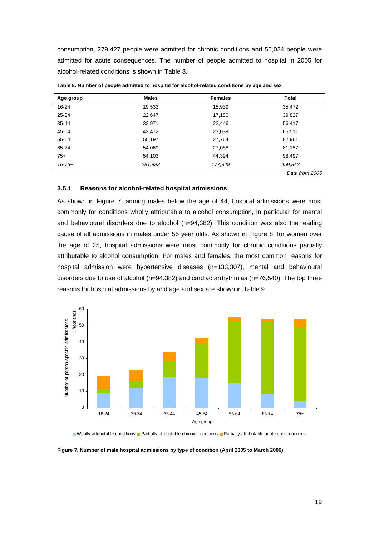consumption, 279,427 people were admitted for chronic conditions and 55,024 people were admitted for acute consequences. The number of people admitted to hospital in 2005 for alcohol-related conditions is shown in Table 8.

| Age group   | <b>Males</b> | <b>Females</b> | <b>Total</b> |
|-------------|--------------|----------------|--------------|
| 16-24       | 19,533       | 15,939         | 35,472       |
| 25-34       | 22,647       | 17,180         | 39,827       |
| $35 - 44$   | 33,971       | 22,446         | 56,417       |
| 45-54       | 42,472       | 23,039         | 65,511       |
| 55-64       | 55,197       | 27,764         | 82,961       |
| 65-74       | 54,069       | 27,088         | 81,157       |
| $75+$       | 54,103       | 44.394         | 98.497       |
| $16 - 75 +$ | 281,993      | 177,849        | 459,842      |

**Table 8. Number of people admitted to hospital for alcohol-related conditions by age and sex** 

*Data from 2005* 

#### **3.5.1 Reasons for alcohol-related hospital admissions**

As shown in Figure 7, among males below the age of 44, hospital admissions were most commonly for conditions wholly attributable to alcohol consumption, in particular for mental and behavioural disorders due to alcohol (n=94,382). This condition was also the leading cause of all admissions in males under 55 year olds. As shown in Figure 8, for women over the age of 25, hospital admissions were most commonly for chronic conditions partially attributable to alcohol consumption. For males and females, the most common reasons for hospital admission were hypertensive diseases (n=133,307), mental and behavioural disorders due to use of alcohol (n=94,382) and cardiac arrhythmias (n=76,540). The top three reasons for hospital admissions by and age and sex are shown in Table 9.



Nholly attributable conditions **Partially attributable chronic conditions** Partially attributable acute consequences

**Figure 7. Number of male hospital admissions by type of condition (April 2005 to March 2006)**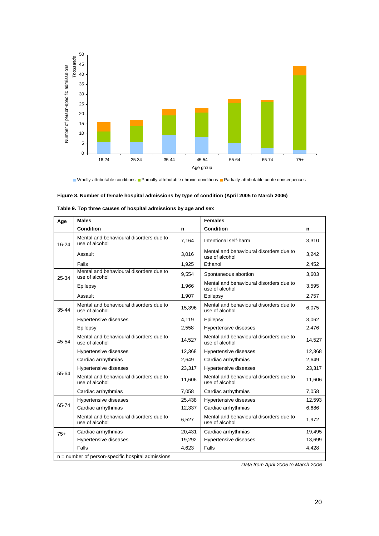

Nholly attributable conditions Partially attributable chronic conditions Partially attributable acute consequences

### **Figure 8. Number of female hospital admissions by type of condition (April 2005 to March 2006)**

| Age       | <b>Males</b>                                              |        | <b>Females</b>                                            |        |
|-----------|-----------------------------------------------------------|--------|-----------------------------------------------------------|--------|
|           | <b>Condition</b>                                          | n      | <b>Condition</b>                                          | n      |
| $16 - 24$ | Mental and behavioural disorders due to<br>use of alcohol | 7,164  | Intentional self-harm                                     | 3,310  |
|           | Assault                                                   | 3,016  | Mental and behavioural disorders due to<br>use of alcohol | 3,242  |
|           | Falls                                                     | 1,925  | Ethanol                                                   | 2,452  |
| 25-34     | Mental and behavioural disorders due to<br>use of alcohol | 9,554  | Spontaneous abortion                                      | 3,603  |
|           | Epilepsy                                                  | 1,966  | Mental and behavioural disorders due to<br>use of alcohol | 3,595  |
|           | Assault                                                   | 1,907  | Epilepsy                                                  | 2,757  |
| 35-44     | Mental and behavioural disorders due to<br>use of alcohol | 15,396 | Mental and behavioural disorders due to<br>use of alcohol | 6,075  |
|           | Hypertensive diseases                                     | 4,119  | Epilepsy                                                  | 3,062  |
|           | Epilepsy                                                  | 2,558  | Hypertensive diseases                                     | 2,476  |
| 45-54     | Mental and behavioural disorders due to<br>use of alcohol | 14,527 | Mental and behavioural disorders due to<br>use of alcohol | 14,527 |
|           | Hypertensive diseases                                     | 12,368 | Hypertensive diseases                                     | 12,368 |
|           | Cardiac arrhythmias                                       | 2,649  | Cardiac arrhythmias                                       | 2,649  |
|           | Hypertensive diseases                                     | 23,317 | Hypertensive diseases                                     | 23,317 |
| 55-64     | Mental and behavioural disorders due to<br>use of alcohol | 11,606 | Mental and behavioural disorders due to<br>use of alcohol | 11,606 |
|           | Cardiac arrhythmias                                       | 7,058  | Cardiac arrhythmias                                       | 7,058  |
|           | Hypertensive diseases                                     | 25,438 | Hypertensive diseases                                     | 12,593 |
| 65-74     | Cardiac arrhythmias                                       | 12,337 | Cardiac arrhythmias                                       | 6,686  |
|           | Mental and behavioural disorders due to<br>use of alcohol | 6,527  | Mental and behavioural disorders due to<br>use of alcohol | 1,972  |
| $75+$     | Cardiac arrhythmias                                       | 20,431 | Cardiac arrhythmias                                       | 19,495 |
|           | Hypertensive diseases                                     | 19,292 | Hypertensive diseases                                     | 13,699 |
|           | Falls                                                     | 4,623  | Falls                                                     | 4,428  |
|           | $n =$ number of person-specific hospital admissions       |        |                                                           |        |

| Table 9. Top three causes of hospital admissions by age and sex |
|-----------------------------------------------------------------|
|-----------------------------------------------------------------|

*Data from April 2005 to March 2006*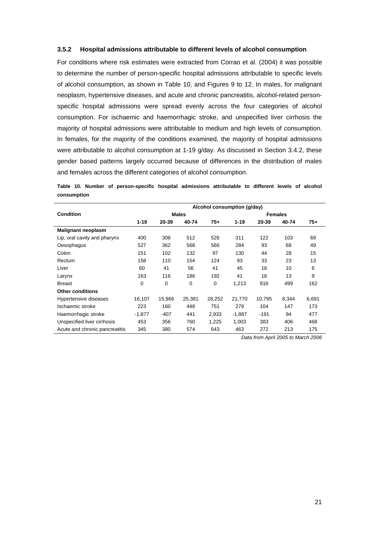#### **3.5.2 Hospital admissions attributable to different levels of alcohol consumption**

For conditions where risk estimates were extracted from Corrao et al. (2004) it was possible to determine the number of person-specific hospital admissions attributable to specific levels of alcohol consumption, as shown in Table 10, and Figures 9 to 12. In males, for malignant neoplasm, hypertensive diseases, and acute and chronic pancreatitis, alcohol-related personspecific hospital admissions were spread evenly across the four categories of alcohol consumption. For ischaemic and haemorrhagic stroke, and unspecified liver cirrhosis the majority of hospital admissions were attributable to medium and high levels of consumption. In females, for the majority of the conditions examined, the majority of hospital admissions were attributable to alcohol consumption at 1-19 g/day. As discussed in Section 3.4.2, these gender based patterns largely occurred because of differences in the distribution of males and females across the different categories of alcohol consumption.

**Table 10. Number of person-specific hospital admissions attributable to different levels of alcohol consumption** 

|                                | Alcohol consumption (g/day) |        |              |        |                |          |       |       |  |  |  |  |
|--------------------------------|-----------------------------|--------|--------------|--------|----------------|----------|-------|-------|--|--|--|--|
| <b>Condition</b>               |                             |        | <b>Males</b> |        | <b>Females</b> |          |       |       |  |  |  |  |
|                                | $1 - 19$                    | 20-39  | 40-74        | $75+$  | $1 - 19$       | 20-39    | 40-74 | $75+$ |  |  |  |  |
| <b>Malignant neoplasm</b>      |                             |        |              |        |                |          |       |       |  |  |  |  |
| Lip, oral cavity and pharynx   | 400                         | 308    | 512          | 526    | 311            | 122      | 103   | 69    |  |  |  |  |
| Oesophagus                     | 527                         | 362    | 568          | 566    | 284            | 93       | 68    | 49    |  |  |  |  |
| Colon                          | 151                         | 102    | 132          | 97     | 130            | 44<br>28 |       | 15    |  |  |  |  |
| Rectum                         | 158                         | 110    | 154          | 124    | 93             | 33       | 23    | 13    |  |  |  |  |
| Liver                          | 60                          | 41     | 56           | 41     | 45             | 16       | 10    | 6     |  |  |  |  |
| Larynx                         | 163                         | 116    | 186          | 192    | 41             | 16       | 13    | 9     |  |  |  |  |
| <b>Breast</b>                  | 0                           | 0      | 0            | 0      | 1,213          | 816      | 499   | 162   |  |  |  |  |
| <b>Other conditions</b>        |                             |        |              |        |                |          |       |       |  |  |  |  |
| Hypertensive diseases          | 16,107                      | 15,966 | 25,381       | 28,252 | 21,770         | 10.795   | 8,344 | 6,691 |  |  |  |  |
| Ischaemic stroke               | 223                         | 160    | 448          | 751    | 279            | 104      | 147   | 173   |  |  |  |  |
| Haemorrhagic stroke            | $-1,877$                    | $-407$ | 441          | 2,933  | $-1,887$       | $-191$   | 94    | 477   |  |  |  |  |
| Unspecified liver cirrhosis    | 453                         | 356    | 760          | 1,225  | 1,003          | 383      | 406   | 468   |  |  |  |  |
| Acute and chronic pancreatitis | 345                         | 380    | 574          | 643    | 463            | 272      | 213   | 175   |  |  |  |  |

*Data from April 2005 to March 2006*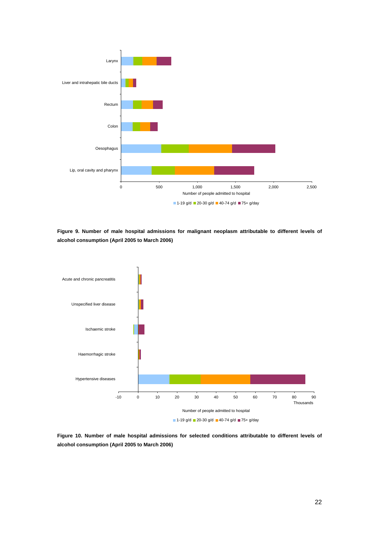

**Figure 9. Number of male hospital admissions for malignant neoplasm attributable to different levels of alcohol consumption (April 2005 to March 2006)** 



**Figure 10. Number of male hospital admissions for selected conditions attributable to different levels of alcohol consumption (April 2005 to March 2006)**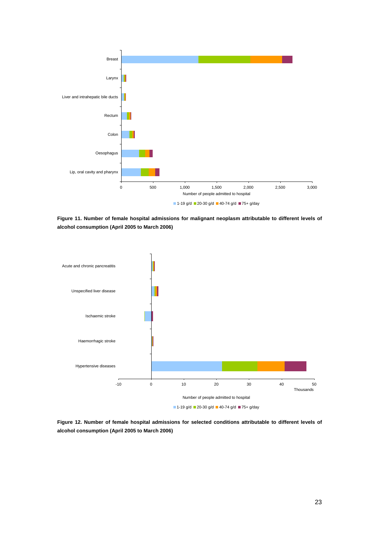

**Figure 11. Number of female hospital admissions for malignant neoplasm attributable to different levels of alcohol consumption (April 2005 to March 2006)** 



**Figure 12. Number of female hospital admissions for selected conditions attributable to different levels of alcohol consumption (April 2005 to March 2006)**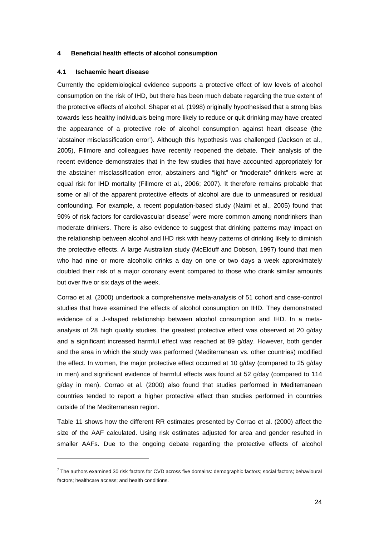#### **4 Beneficial health effects of alcohol consumption**

#### **4.1 Ischaemic heart disease**

l

Currently the epidemiological evidence supports a protective effect of low levels of alcohol consumption on the risk of IHD, but there has been much debate regarding the true extent of the protective effects of alcohol. Shaper et al. (1998) originally hypothesised that a strong bias towards less healthy individuals being more likely to reduce or quit drinking may have created the appearance of a protective role of alcohol consumption against heart disease (the 'abstainer misclassification error'). Although this hypothesis was challenged (Jackson et al., 2005), Fillmore and colleagues have recently reopened the debate. Their analysis of the recent evidence demonstrates that in the few studies that have accounted appropriately for the abstainer misclassification error, abstainers and "light" or "moderate" drinkers were at equal risk for IHD mortality (Fillmore et al., 2006; 2007). It therefore remains probable that some or all of the apparent protective effects of alcohol are due to unmeasured or residual confounding. For example, a recent population-based study (Naimi et al., 2005) found that 90% of risk factors for cardiovascular disease<sup>7</sup> were more common among nondrinkers than moderate drinkers. There is also evidence to suggest that drinking patterns may impact on the relationship between alcohol and IHD risk with heavy patterns of drinking likely to diminish the protective effects. A large Australian study (McElduff and Dobson, 1997) found that men who had nine or more alcoholic drinks a day on one or two days a week approximately doubled their risk of a major coronary event compared to those who drank similar amounts but over five or six days of the week.

Corrao et al. (2000) undertook a comprehensive meta-analysis of 51 cohort and case-control studies that have examined the effects of alcohol consumption on IHD. They demonstrated evidence of a J-shaped relationship between alcohol consumption and IHD. In a metaanalysis of 28 high quality studies, the greatest protective effect was observed at 20 g/day and a significant increased harmful effect was reached at 89 g/day. However, both gender and the area in which the study was performed (Mediterranean vs. other countries) modified the effect. In women, the major protective effect occurred at 10 g/day (compared to 25 g/day in men) and significant evidence of harmful effects was found at  $52$  g/day (compared to  $114$ ) g/day in men). Corrao et al. (2000) also found that studies performed in Mediterranean countries tended to report a higher protective effect than studies performed in countries outside of the Mediterranean region.

Table 11 shows how the different RR estimates presented by Corrao et al. (2000) affect the size of the AAF calculated. Using risk estimates adjusted for area and gender resulted in smaller AAFs. Due to the ongoing debate regarding the protective effects of alcohol

<sup>&</sup>lt;sup>7</sup> The authors examined 30 risk factors for CVD across five domains: demographic factors; social factors; behavioural factors; healthcare access; and health conditions.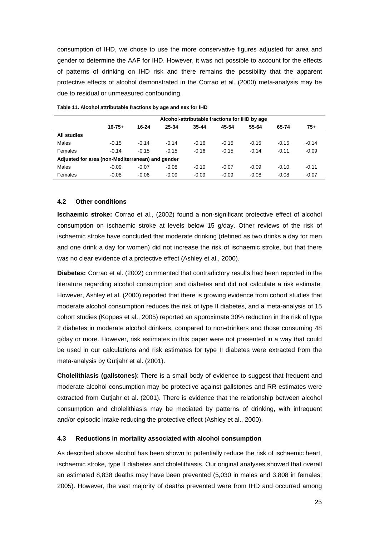consumption of IHD, we chose to use the more conservative figures adjusted for area and gender to determine the AAF for IHD. However, it was not possible to account for the effects of patterns of drinking on IHD risk and there remains the possibility that the apparent protective effects of alcohol demonstrated in the Corrao et al. (2000) meta-analysis may be due to residual or unmeasured confounding.

|                                                  | Alcohol-attributable fractions for IHD by age |         |         |           |         |         |         |         |  |  |  |  |  |
|--------------------------------------------------|-----------------------------------------------|---------|---------|-----------|---------|---------|---------|---------|--|--|--|--|--|
|                                                  | $16 - 75 +$                                   | 16-24   | 25-34   | $35 - 44$ | 45-54   | 55-64   | 65-74   | $75+$   |  |  |  |  |  |
| <b>All studies</b>                               |                                               |         |         |           |         |         |         |         |  |  |  |  |  |
| Males                                            | $-0.15$                                       | $-0.14$ | $-0.14$ | $-0.16$   | $-0.15$ | $-0.15$ | $-0.15$ | $-0.14$ |  |  |  |  |  |
| Females                                          | $-0.14$                                       | $-0.15$ | $-0.15$ | $-0.16$   | $-0.15$ | $-0.14$ | $-0.11$ | $-0.09$ |  |  |  |  |  |
| Adjusted for area (non-Mediterranean) and gender |                                               |         |         |           |         |         |         |         |  |  |  |  |  |
| Males                                            | $-0.09$                                       | $-0.07$ | $-0.08$ | $-0.10$   | $-0.07$ | $-0.09$ | $-0.10$ | $-0.11$ |  |  |  |  |  |
| Females                                          | $-0.08$                                       | $-0.06$ | $-0.09$ | $-0.09$   | $-0.09$ | $-0.08$ | $-0.08$ | $-0.07$ |  |  |  |  |  |

**Table 11. Alcohol attributable fractions by age and sex for IHD** 

### **4.2 Other conditions**

**Ischaemic stroke:** Corrao et al., (2002) found a non-significant protective effect of alcohol consumption on ischaemic stroke at levels below 15 g/day. Other reviews of the risk of ischaemic stroke have concluded that moderate drinking (defined as two drinks a day for men and one drink a day for women) did not increase the risk of ischaemic stroke, but that there was no clear evidence of a protective effect (Ashley et al., 2000).

**Diabetes:** Corrao et al. (2002) commented that contradictory results had been reported in the literature regarding alcohol consumption and diabetes and did not calculate a risk estimate. However, Ashley et al. (2000) reported that there is growing evidence from cohort studies that moderate alcohol consumption reduces the risk of type II diabetes, and a meta-analysis of 15 cohort studies (Koppes et al., 2005) reported an approximate 30% reduction in the risk of type 2 diabetes in moderate alcohol drinkers, compared to non-drinkers and those consuming 48 g/day or more. However, risk estimates in this paper were not presented in a way that could be used in our calculations and risk estimates for type II diabetes were extracted from the meta-analysis by Gutjahr et al. (2001).

**Cholelithiasis (gallstones)**: There is a small body of evidence to suggest that frequent and moderate alcohol consumption may be protective against gallstones and RR estimates were extracted from Gutjahr et al. (2001). There is evidence that the relationship between alcohol consumption and cholelithiasis may be mediated by patterns of drinking, with infrequent and/or episodic intake reducing the protective effect (Ashley et al., 2000).

#### **4.3 Reductions in mortality associated with alcohol consumption**

As described above alcohol has been shown to potentially reduce the risk of ischaemic heart, ischaemic stroke, type II diabetes and cholelithiasis. Our original analyses showed that overall an estimated 8,838 deaths may have been prevented (5,030 in males and 3,808 in females; 2005). However, the vast majority of deaths prevented were from IHD and occurred among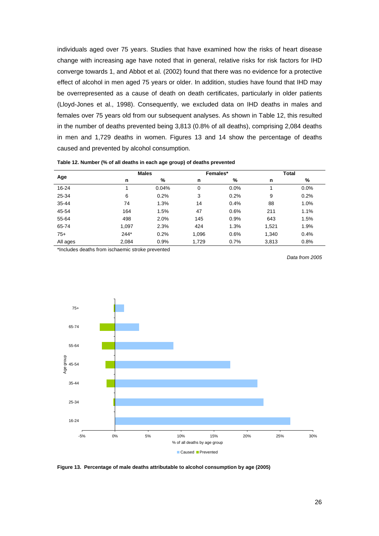individuals aged over 75 years. Studies that have examined how the risks of heart disease change with increasing age have noted that in general, relative risks for risk factors for IHD converge towards 1, and Abbot et al. (2002) found that there was no evidence for a protective effect of alcohol in men aged 75 years or older. In addition, studies have found that IHD may be overrepresented as a cause of death on death certificates, particularly in older patients (Lloyd-Jones et al., 1998). Consequently, we excluded data on IHD deaths in males and females over 75 years old from our subsequent analyses. As shown in Table 12, this resulted in the number of deaths prevented being 3,813 (0.8% of all deaths), comprising 2,084 deaths in men and 1,729 deaths in women. Figures 13 and 14 show the percentage of deaths caused and prevented by alcohol consumption.

|          |        | <b>Males</b> |       | Females* | Total |      |  |
|----------|--------|--------------|-------|----------|-------|------|--|
| Age      | n      | %            | n     | %        | n     | %    |  |
| 16-24    |        | 0.04%        | 0     | 0.0%     | 4     | 0.0% |  |
| 25-34    | 6      | 0.2%         | 3     | 0.2%     | 9     | 0.2% |  |
| 35-44    | 74     | 1.3%         | 14    | 0.4%     | 88    | 1.0% |  |
| 45-54    | 164    | 1.5%         | 47    | 0.6%     | 211   | 1.1% |  |
| 55-64    | 498    | 2.0%         | 145   | 0.9%     | 643   | 1.5% |  |
| 65-74    | 1,097  | 2.3%         | 424   | 1.3%     | 1,521 | 1.9% |  |
| $75+$    | $244*$ | 0.2%         | 1,096 | 0.6%     | 1,340 | 0.4% |  |
| All ages | 2,084  | 0.9%         | 1,729 | 0.7%     | 3,813 | 0.8% |  |

**Table 12. Number (% of all deaths in each age group) of deaths prevented** 

\*Includes deaths from ischaemic stroke prevented

*Data from 2005* 



**Figure 13. Percentage of male deaths attributable to alcohol consumption by age (2005)**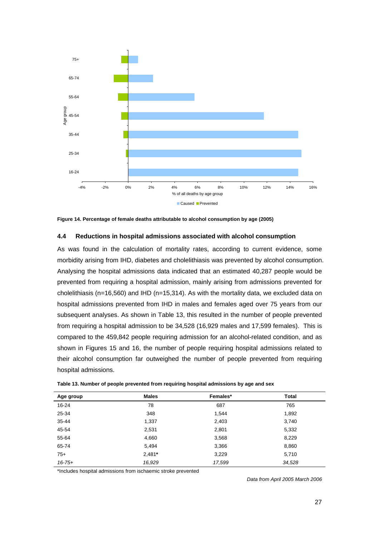

**Figure 14. Percentage of female deaths attributable to alcohol consumption by age (2005)** 

#### **4.4 Reductions in hospital admissions associated with alcohol consumption**

As was found in the calculation of mortality rates, according to current evidence, some morbidity arising from IHD, diabetes and cholelithiasis was prevented by alcohol consumption. Analysing the hospital admissions data indicated that an estimated 40,287 people would be prevented from requiring a hospital admission, mainly arising from admissions prevented for cholelithiasis (n=16,560) and IHD (n=15,314). As with the mortality data, we excluded data on hospital admissions prevented from IHD in males and females aged over 75 years from our subsequent analyses. As shown in Table 13, this resulted in the number of people prevented from requiring a hospital admission to be 34,528 (16,929 males and 17,599 females). This is compared to the 459,842 people requiring admission for an alcohol-related condition, and as shown in Figures 15 and 16, the number of people requiring hospital admissions related to their alcohol consumption far outweighed the number of people prevented from requiring hospital admissions.

| Age group   | <b>Males</b> | Females* | <b>Total</b> |
|-------------|--------------|----------|--------------|
| 16-24       | 78           | 687      | 765          |
| 25-34       | 348          | 1,544    | 1,892        |
| $35 - 44$   | 1,337        | 2,403    | 3,740        |
| 45-54       | 2,531        | 2,801    | 5,332        |
| 55-64       | 4,660        | 3,568    | 8,229        |
| 65-74       | 5,494        | 3,366    | 8,860        |
| $75+$       | $2,481*$     | 3,229    | 5,710        |
| $16 - 75 +$ | 16,929       | 17,599   | 34,528       |

**Table 13. Number of people prevented from requiring hospital admissions by age and sex** 

\*Includes hospital admissions from ischaemic stroke prevented

*Data from April 2005 March 2006*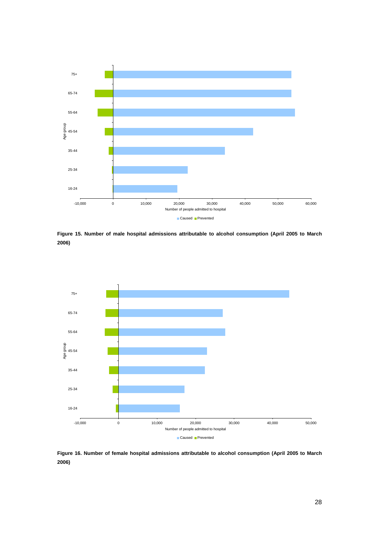

**Figure 15. Number of male hospital admissions attributable to alcohol consumption (April 2005 to March 2006)** 



**Figure 16. Number of female hospital admissions attributable to alcohol consumption (April 2005 to March 2006)**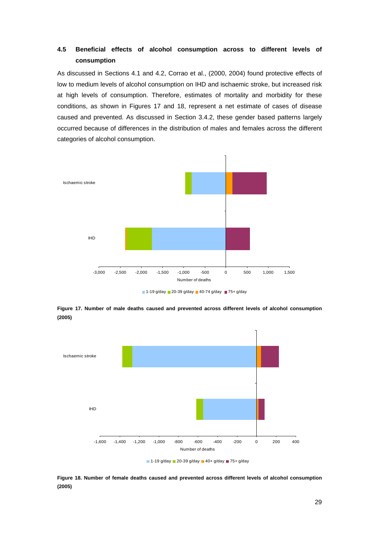## **4.5 Beneficial effects of alcohol consumption across to different levels of consumption**

As discussed in Sections 4.1 and 4.2, Corrao et al., (2000, 2004) found protective effects of low to medium levels of alcohol consumption on IHD and ischaemic stroke, but increased risk at high levels of consumption. Therefore, estimates of mortality and morbidity for these conditions, as shown in Figures 17 and 18, represent a net estimate of cases of disease caused and prevented. As discussed in Section 3.4.2, these gender based patterns largely occurred because of differences in the distribution of males and females across the different categories of alcohol consumption.



 $1-19$  g/day 20-39 g/day 40-74 g/day 75+ g/day

**Figure 17. Number of male deaths caused and prevented across different levels of alcohol consumption (2005)** 



**Figure 18. Number of female deaths caused and prevented across different levels of alcohol consumption (2005)**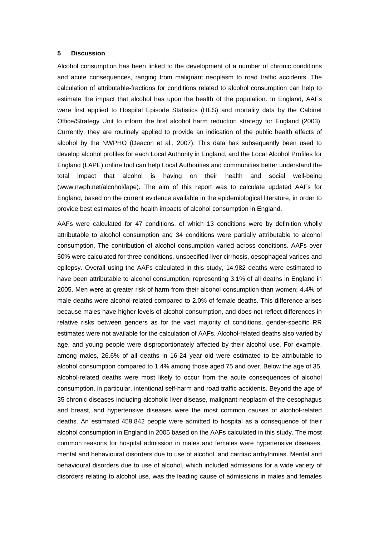#### **5 Discussion**

Alcohol consumption has been linked to the development of a number of chronic conditions and acute consequences, ranging from malignant neoplasm to road traffic accidents. The calculation of attributable-fractions for conditions related to alcohol consumption can help to estimate the impact that alcohol has upon the health of the population. In England, AAFs were first applied to Hospital Episode Statistics (HES) and mortality data by the Cabinet Office/Strategy Unit to inform the first alcohol harm reduction strategy for England (2003). Currently, they are routinely applied to provide an indication of the public health effects of alcohol by the NWPHO (Deacon et al., 2007). This data has subsequently been used to develop alcohol profiles for each Local Authority in England, and the Local Alcohol Profiles for England (LAPE) online tool can help Local Authorities and communities better understand the total impact that alcohol is having on their health and social well-being (www.nwph.net/alcohol/lape). The aim of this report was to calculate updated AAFs for England, based on the current evidence available in the epidemiological literature, in order to provide best estimates of the health impacts of alcohol consumption in England.

AAFs were calculated for 47 conditions, of which 13 conditions were by definition wholly attributable to alcohol consumption and 34 conditions were partially attributable to alcohol consumption. The contribution of alcohol consumption varied across conditions. AAFs over 50% were calculated for three conditions, unspecified liver cirrhosis, oesophageal varices and epilepsy. Overall using the AAFs calculated in this study, 14,982 deaths were estimated to have been attributable to alcohol consumption, representing 3.1% of all deaths in England in 2005. Men were at greater risk of harm from their alcohol consumption than women; 4.4% of male deaths were alcohol-related compared to 2.0% of female deaths. This difference arises because males have higher levels of alcohol consumption, and does not reflect differences in relative risks between genders as for the vast majority of conditions, gender-specific RR estimates were not available for the calculation of AAFs. Alcohol-related deaths also varied by age, and young people were disproportionately affected by their alcohol use. For example, among males, 26.6% of all deaths in 16-24 year old were estimated to be attributable to alcohol consumption compared to 1.4% among those aged 75 and over. Below the age of 35, alcohol-related deaths were most likely to occur from the acute consequences of alcohol consumption, in particular, intentional self-harm and road traffic accidents. Beyond the age of 35 chronic diseases including alcoholic liver disease, malignant neoplasm of the oesophagus and breast, and hypertensive diseases were the most common causes of alcohol-related deaths. An estimated 459,842 people were admitted to hospital as a consequence of their alcohol consumption in England in 2005 based on the AAFs calculated in this study. The most common reasons for hospital admission in males and females were hypertensive diseases, mental and behavioural disorders due to use of alcohol, and cardiac arrhythmias. Mental and behavioural disorders due to use of alcohol, which included admissions for a wide variety of disorders relating to alcohol use, was the leading cause of admissions in males and females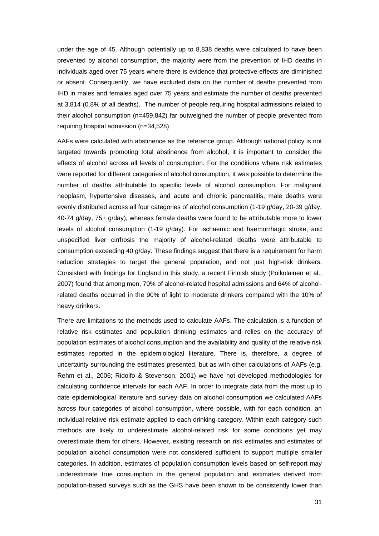under the age of 45. Although potentially up to 8,838 deaths were calculated to have been prevented by alcohol consumption, the majority were from the prevention of IHD deaths in individuals aged over 75 years where there is evidence that protective effects are diminished or absent. Consequently, we have excluded data on the number of deaths prevented from IHD in males and females aged over 75 years and estimate the number of deaths prevented at 3,814 (0.8% of all deaths). The number of people requiring hospital admissions related to their alcohol consumption (n=459,842) far outweighed the number of people prevented from requiring hospital admission (n=34,528).

AAFs were calculated with abstinence as the reference group. Although national policy is not targeted towards promoting total abstinence from alcohol, it is important to consider the effects of alcohol across all levels of consumption. For the conditions where risk estimates were reported for different categories of alcohol consumption, it was possible to determine the number of deaths attributable to specific levels of alcohol consumption. For malignant neoplasm, hypertensive diseases, and acute and chronic pancreatitis, male deaths were evenly distributed across all four categories of alcohol consumption (1-19 g/day, 20-39 g/day, 40-74 g/day, 75+ g/day), whereas female deaths were found to be attributable more to lower levels of alcohol consumption (1-19 g/day). For ischaemic and haemorrhagic stroke, and unspecified liver cirrhosis the majority of alcohol-related deaths were attributable to consumption exceeding 40 g/day. These findings suggest that there is a requirement for harm reduction strategies to target the general population, and not just high-risk drinkers. Consistent with findings for England in this study, a recent Finnish study (Poikolainen et al., 2007) found that among men, 70% of alcohol-related hospital admissions and 64% of alcoholrelated deaths occurred in the 90% of light to moderate drinkers compared with the 10% of heavy drinkers.

There are limitations to the methods used to calculate AAFs. The calculation is a function of relative risk estimates and population drinking estimates and relies on the accuracy of population estimates of alcohol consumption and the availability and quality of the relative risk estimates reported in the epidemiological literature. There is, therefore, a degree of uncertainty surrounding the estimates presented, but as with other calculations of AAFs (e.g. Rehm et al., 2006; Ridolfo & Stevenson, 2001) we have not developed methodologies for calculating confidence intervals for each AAF. In order to integrate data from the most up to date epidemiological literature and survey data on alcohol consumption we calculated AAFs across four categories of alcohol consumption, where possible, with for each condition, an individual relative risk estimate applied to each drinking category. Within each category such methods are likely to underestimate alcohol-related risk for some conditions yet may overestimate them for others. However, existing research on risk estimates and estimates of population alcohol consumption were not considered sufficient to support multiple smaller categories. In addition, estimates of population consumption levels based on self-report may underestimate true consumption in the general population and estimates derived from population-based surveys such as the GHS have been shown to be consistently lower than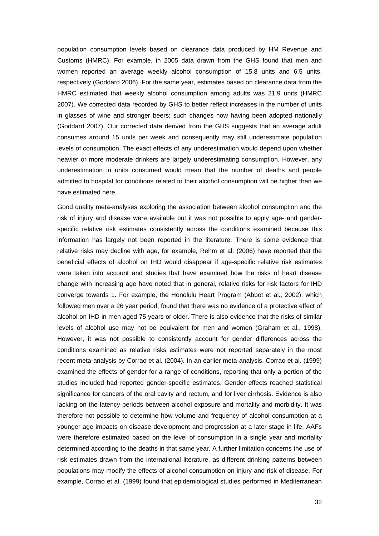population consumption levels based on clearance data produced by HM Revenue and Customs (HMRC). For example, in 2005 data drawn from the GHS found that men and women reported an average weekly alcohol consumption of 15.8 units and 6.5 units, respectively (Goddard 2006). For the same year, estimates based on clearance data from the HMRC estimated that weekly alcohol consumption among adults was 21.9 units (HMRC 2007). We corrected data recorded by GHS to better reflect increases in the number of units in glasses of wine and stronger beers; such changes now having been adopted nationally (Goddard 2007). Our corrected data derived from the GHS suggests that an average adult consumes around 15 units per week and consequently may still underestimate population levels of consumption. The exact effects of any underestimation would depend upon whether heavier or more moderate drinkers are largely underestimating consumption. However, any underestimation in units consumed would mean that the number of deaths and people admitted to hospital for conditions related to their alcohol consumption will be higher than we have estimated here.

Good quality meta-analyses exploring the association between alcohol consumption and the risk of injury and disease were available but it was not possible to apply age- and genderspecific relative risk estimates consistently across the conditions examined because this information has largely not been reported in the literature. There is some evidence that relative risks may decline with age, for example, Rehm et al. (2006) have reported that the beneficial effects of alcohol on IHD would disappear if age-specific relative risk estimates were taken into account and studies that have examined how the risks of heart disease change with increasing age have noted that in general, relative risks for risk factors for IHD converge towards 1. For example, the Honolulu Heart Program (Abbot et al., 2002), which followed men over a 26 year period, found that there was no evidence of a protective effect of alcohol on IHD in men aged 75 years or older. There is also evidence that the risks of similar levels of alcohol use may not be equivalent for men and women (Graham et al., 1998). However, it was not possible to consistently account for gender differences across the conditions examined as relative risks estimates were not reported separately in the most recent meta-analysis by Corrao et al. (2004). In an earlier meta-analysis, Corrao et al. (1999) examined the effects of gender for a range of conditions, reporting that only a portion of the studies included had reported gender-specific estimates. Gender effects reached statistical significance for cancers of the oral cavity and rectum, and for liver cirrhosis. Evidence is also lacking on the latency periods between alcohol exposure and mortality and morbidity. It was therefore not possible to determine how volume and frequency of alcohol consumption at a younger age impacts on disease development and progression at a later stage in life. AAFs were therefore estimated based on the level of consumption in a single year and mortality determined according to the deaths in that same year. A further limitation concerns the use of risk estimates drawn from the international literature, as different drinking patterns between populations may modify the effects of alcohol consumption on injury and risk of disease. For example, Corrao et al. (1999) found that epidemiological studies performed in Mediterranean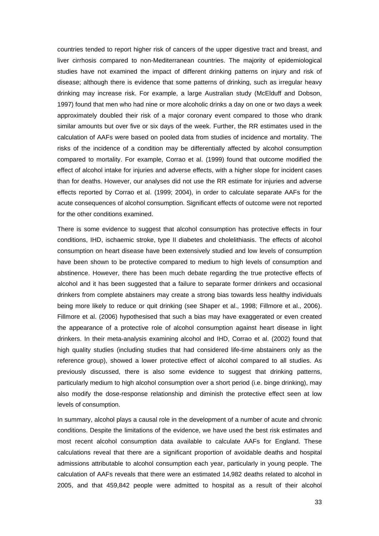countries tended to report higher risk of cancers of the upper digestive tract and breast, and liver cirrhosis compared to non-Mediterranean countries. The majority of epidemiological studies have not examined the impact of different drinking patterns on injury and risk of disease; although there is evidence that some patterns of drinking, such as irregular heavy drinking may increase risk. For example, a large Australian study (McElduff and Dobson, 1997) found that men who had nine or more alcoholic drinks a day on one or two days a week approximately doubled their risk of a major coronary event compared to those who drank similar amounts but over five or six days of the week. Further, the RR estimates used in the calculation of AAFs were based on pooled data from studies of incidence and mortality. The risks of the incidence of a condition may be differentially affected by alcohol consumption compared to mortality. For example, Corrao et al. (1999) found that outcome modified the effect of alcohol intake for injuries and adverse effects, with a higher slope for incident cases than for deaths. However, our analyses did not use the RR estimate for injuries and adverse effects reported by Corrao et al. (1999; 2004), in order to calculate separate AAFs for the acute consequences of alcohol consumption. Significant effects of outcome were not reported for the other conditions examined.

There is some evidence to suggest that alcohol consumption has protective effects in four conditions, IHD, ischaemic stroke, type II diabetes and cholelithiasis. The effects of alcohol consumption on heart disease have been extensively studied and low levels of consumption have been shown to be protective compared to medium to high levels of consumption and abstinence. However, there has been much debate regarding the true protective effects of alcohol and it has been suggested that a failure to separate former drinkers and occasional drinkers from complete abstainers may create a strong bias towards less healthy individuals being more likely to reduce or quit drinking (see Shaper et al., 1998; Fillmore et al., 2006). Fillmore et al. (2006) hypothesised that such a bias may have exaggerated or even created the appearance of a protective role of alcohol consumption against heart disease in light drinkers. In their meta-analysis examining alcohol and IHD, Corrao et al. (2002) found that high quality studies (including studies that had considered life-time abstainers only as the reference group), showed a lower protective effect of alcohol compared to all studies. As previously discussed, there is also some evidence to suggest that drinking patterns, particularly medium to high alcohol consumption over a short period (i.e. binge drinking), may also modify the dose-response relationship and diminish the protective effect seen at low levels of consumption.

In summary, alcohol plays a causal role in the development of a number of acute and chronic conditions. Despite the limitations of the evidence, we have used the best risk estimates and most recent alcohol consumption data available to calculate AAFs for England. These calculations reveal that there are a significant proportion of avoidable deaths and hospital admissions attributable to alcohol consumption each year, particularly in young people. The calculation of AAFs reveals that there were an estimated 14,982 deaths related to alcohol in 2005, and that 459,842 people were admitted to hospital as a result of their alcohol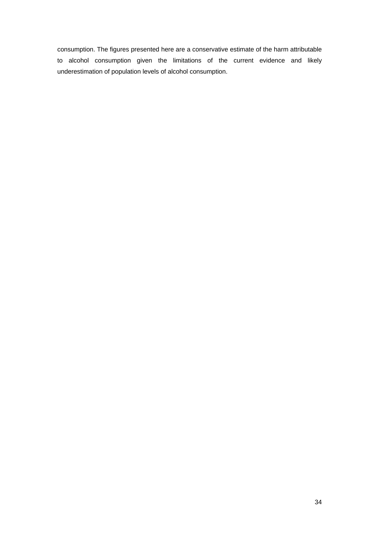consumption. The figures presented here are a conservative estimate of the harm attributable to alcohol consumption given the limitations of the current evidence and likely underestimation of population levels of alcohol consumption.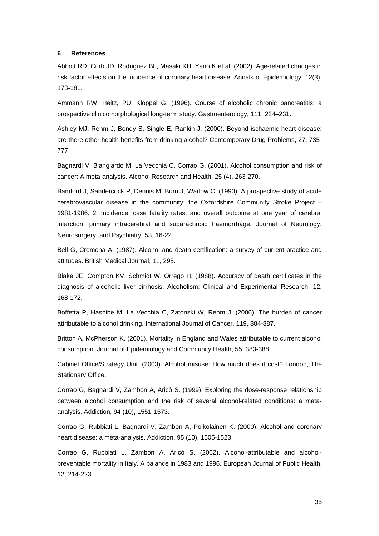#### **6 References**

Abbott RD, Curb JD, Rodriguez BL, Masaki KH, Yano K et al. (2002). Age-related changes in risk factor effects on the incidence of coronary heart disease. Annals of Epidemiology, 12(3), 173-181.

Ammann RW, Heitz, PU, Klöppel G. (1996). Course of alcoholic chronic pancreatitis: a prospective clinicomorphological long-term study. Gastroenterology, 111, 224–231.

Ashley MJ, Rehm J, Bondy S, Single E, Rankin J. (2000). Beyond ischaemic heart disease: are there other health benefits from drinking alcohol? Contemporary Drug Problems, 27, 735- 777

Bagnardi V, Blangiardo M, La Vecchia C, Corrao G. (2001). Alcohol consumption and risk of cancer: A meta-analysis. Alcohol Research and Health, 25 (4), 263-270.

Bamford J, Sandercock P, Dennis M, Burn J, Warlow C. (1990). A prospective study of acute cerebrovascular disease in the community: the Oxfordshire Community Stroke Project – 1981-1986. 2. Incidence, case fatality rates, and overall outcome at one year of cerebral infarction, primary intracerebral and subarachnoid haemorrhage. Journal of Neurology, Neurosurgery, and Psychiatry, 53, 16-22.

Bell G, Cremona A. (1987). Alcohol and death certification: a survey of current practice and attitudes. British Medical Journal, 11, 295.

Blake JE, Compton KV, Schmidt W, Orrego H. (1988). Accuracy of death certificates in the diagnosis of alcoholic liver cirrhosis. Alcoholism: Clinical and Experimental Research, 12, 168-172.

Boffetta P, Hashibe M, La Vecchia C, Zatonski W, Rehm J. (2006). The burden of cancer attributable to alcohol drinking. International Journal of Cancer, 119, 884-887.

Britton A, McPherson K. (2001). Mortality in England and Wales attributable to current alcohol consumption. Journal of Epidemiology and Community Health, 55, 383-388.

Cabinet Office/Strategy Unit. (2003). Alcohol misuse: How much does it cost? London, The Stationary Office.

Corrao G, Bagnardi V, Zambon A, Aricò S. (1999). Exploring the dose-response relationship between alcohol consumption and the risk of several alcohol-related conditions: a metaanalysis. Addiction, 94 (10), 1551-1573.

Corrao G, Rubbiati L, Bagnardi V, Zambon A, Poikolainen K. (2000). Alcohol and coronary heart disease: a meta-analysis. Addiction, 95 (10), 1505-1523.

Corrao G, Rubbiati L, Zambon A, Aricò S. (2002). Alcohol-attributable and alcoholpreventable mortality in Italy. A balance in 1983 and 1996. European Journal of Public Health, 12, 214-223.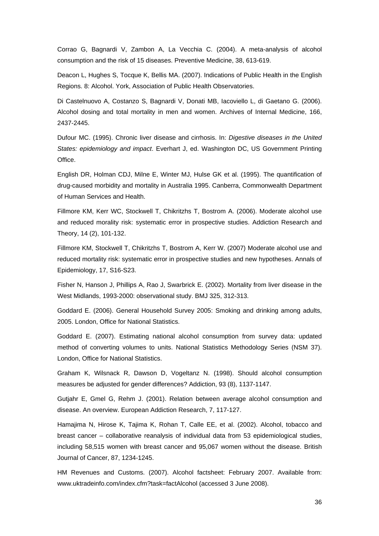Corrao G, Bagnardi V, Zambon A, La Vecchia C. (2004). A meta-analysis of alcohol consumption and the risk of 15 diseases. Preventive Medicine, 38, 613-619.

Deacon L, Hughes S, Tocque K, Bellis MA. (2007). Indications of Public Health in the English Regions. 8: Alcohol. York, Association of Public Health Observatories.

Di Castelnuovo A, Costanzo S, Bagnardi V, Donati MB, Iacoviello L, di Gaetano G. (2006). Alcohol dosing and total mortality in men and women. Archives of Internal Medicine, 166, 2437-2445.

Dufour MC. (1995). Chronic liver disease and cirrhosis. In: *Digestive diseases in the United States: epidemiology and impact*. Everhart J, ed. Washington DC, US Government Printing Office.

English DR, Holman CDJ, Milne E, Winter MJ, Hulse GK et al. (1995). The quantification of drug-caused morbidity and mortality in Australia 1995. Canberra, Commonwealth Department of Human Services and Health.

Fillmore KM, Kerr WC, Stockwell T, Chikritzhs T, Bostrom A. (2006). Moderate alcohol use and reduced morality risk: systematic error in prospective studies. Addiction Research and Theory, 14 (2), 101-132.

Fillmore KM, Stockwell T, Chikritzhs T, Bostrom A, Kerr W. (2007) Moderate alcohol use and reduced mortality risk: systematic error in prospective studies and new hypotheses. Annals of Epidemiology, 17, S16-S23.

Fisher N, Hanson J, Phillips A, Rao J, Swarbrick E. (2002). Mortality from liver disease in the West Midlands, 1993-2000: observational study. BMJ 325, 312-313.

Goddard E. (2006). General Household Survey 2005: Smoking and drinking among adults, 2005. London, Office for National Statistics.

Goddard E. (2007). Estimating national alcohol consumption from survey data: updated method of converting volumes to units. National Statistics Methodology Series (NSM 37). London, Office for National Statistics.

Graham K, Wilsnack R, Dawson D, Vogeltanz N. (1998). Should alcohol consumption measures be adjusted for gender differences? Addiction, 93 (8), 1137-1147.

Gutjahr E, Gmel G, Rehm J. (2001). Relation between average alcohol consumption and disease. An overview. European Addiction Research, 7, 117-127.

Hamajima N, Hirose K, Tajima K, Rohan T, Calle EE, et al. (2002). Alcohol, tobacco and breast cancer – collaborative reanalysis of individual data from 53 epidemiological studies, including 58,515 women with breast cancer and 95,067 women without the disease. British Journal of Cancer, 87, 1234-1245.

HM Revenues and Customs. (2007). Alcohol factsheet: February 2007. Available from: www.uktradeinfo.com/index.cfm?task=factAlcohol (accessed 3 June 2008).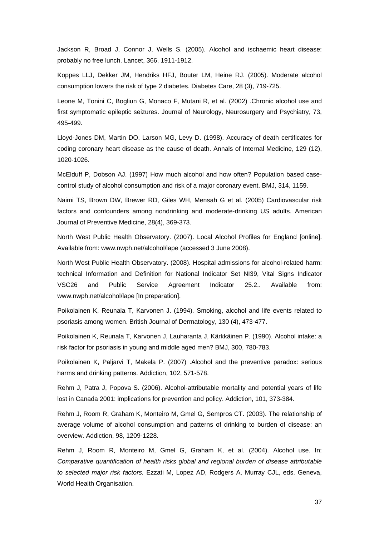Jackson R, Broad J, Connor J, Wells S. (2005). Alcohol and ischaemic heart disease: probably no free lunch. Lancet, 366, 1911-1912.

Koppes LLJ, Dekker JM, Hendriks HFJ, Bouter LM, Heine RJ. (2005). Moderate alcohol consumption lowers the risk of type 2 diabetes. Diabetes Care, 28 (3), 719-725.

Leone M, Tonini C, Bogliun G, Monaco F, Mutani R, et al. (2002) .Chronic alcohol use and first symptomatic epileptic seizures. Journal of Neurology, Neurosurgery and Psychiatry, 73, 495-499.

Lloyd-Jones DM, Martin DO, Larson MG, Levy D. (1998). Accuracy of death certificates for coding coronary heart disease as the cause of death. Annals of Internal Medicine, 129 (12), 1020-1026.

McElduff P, Dobson AJ. (1997) How much alcohol and how often? Population based casecontrol study of alcohol consumption and risk of a major coronary event. BMJ, 314, 1159.

Naimi TS, Brown DW, Brewer RD, Giles WH, Mensah G et al. (2005) Cardiovascular risk factors and confounders among nondrinking and moderate-drinking US adults. American Journal of Preventive Medicine, 28(4), 369-373.

North West Public Health Observatory. (2007). Local Alcohol Profiles for England [online]. Available from: www.nwph.net/alcohol/lape (accessed 3 June 2008).

North West Public Health Observatory. (2008). Hospital admissions for alcohol-related harm: technical Information and Definition for National Indicator Set NI39, Vital Signs Indicator VSC26 and Public Service Agreement Indicator 25.2.. Available from: www.nwph.net/alcohol/lape [In preparation].

Poikolainen K, Reunala T, Karvonen J. (1994). Smoking, alcohol and life events related to psoriasis among women. British Journal of Dermatology, 130 (4), 473-477.

Poikolainen K, Reunala T, Karvonen J, Lauharanta J, Kärkkäinen P. (1990). Alcohol intake: a risk factor for psoriasis in young and middle aged men? BMJ, 300, 780-783.

Poikolainen K, Paljarvi T, Makela P. (2007) .Alcohol and the preventive paradox: serious harms and drinking patterns. Addiction, 102, 571-578.

Rehm J, Patra J, Popova S. (2006). Alcohol-attributable mortality and potential years of life lost in Canada 2001: implications for prevention and policy. Addiction, 101, 373-384.

Rehm J, Room R, Graham K, Monteiro M, Gmel G, Sempros CT. (2003). The relationship of average volume of alcohol consumption and patterns of drinking to burden of disease: an overview. Addiction, 98, 1209-1228.

Rehm J, Room R, Monteiro M, Gmel G, Graham K, et al. (2004). Alcohol use. In: *Comparative quantification of health risks global and regional burden of disease attributable to selected major risk factors.* Ezzati M, Lopez AD, Rodgers A, Murray CJL, eds. Geneva, World Health Organisation.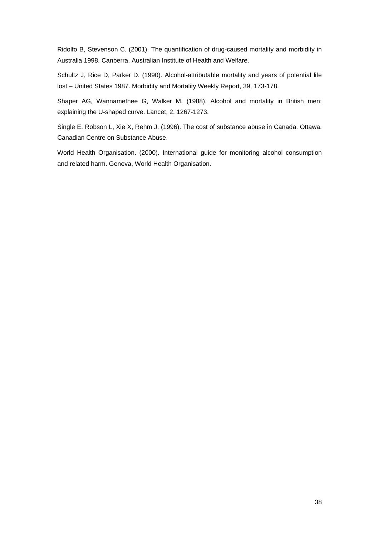Ridolfo B, Stevenson C. (2001). The quantification of drug-caused mortality and morbidity in Australia 1998. Canberra, Australian Institute of Health and Welfare.

Schultz J, Rice D, Parker D. (1990). Alcohol-attributable mortality and years of potential life lost – United States 1987. Morbidity and Mortality Weekly Report, 39, 173-178.

Shaper AG, Wannamethee G, Walker M. (1988). Alcohol and mortality in British men: explaining the U-shaped curve. Lancet, 2, 1267-1273.

Single E, Robson L, Xie X, Rehm J. (1996). The cost of substance abuse in Canada. Ottawa, Canadian Centre on Substance Abuse.

World Health Organisation. (2000). International guide for monitoring alcohol consumption and related harm. Geneva, World Health Organisation.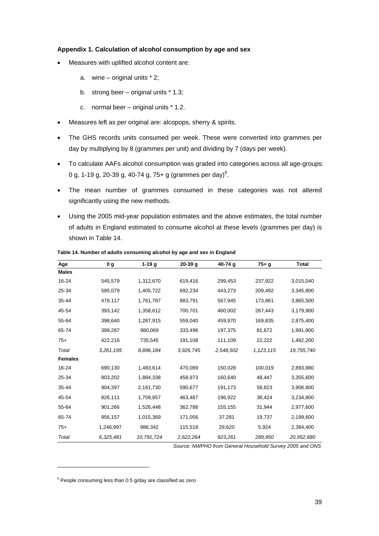#### **Appendix 1. Calculation of alcohol consumption by age and sex**

- Measures with uplifted alcohol content are:
	- a. wine original units  $* 2$ ;
	- b. strong beer original units \* 1.3;
	- c. normal beer original units \* 1.2.
- Measures left as per original are: alcopops, sherry & spirits.
- The GHS records units consumed per week. These were converted into grammes per day by multiplying by 8 (grammes per unit) and dividing by 7 (days per week).
- To calculate AAFs alcohol consumption was graded into categories across all age-groups: 0 g, 1-19 g, 20-39 g, 40-74 g, 75+ g (grammes per day)<sup>8</sup>.
- The mean number of grammes consumed in these categories was not altered significantly using the new methods.
- Using the 2005 mid-year population estimates and the above estimates, the total number of adults in England estimated to consume alcohol at these levels (grammes per day) is shown in Table 14.

| Age            | 0g        | $1-19g$    | $20-39$ g | 40-74 g   | $75+g$      | <b>Total</b> |
|----------------|-----------|------------|-----------|-----------|-------------|--------------|
| <b>Males</b>   |           |            |           |           |             |              |
| 16-24          | 545,579   | 1,312,670  | 619,416   | 299,453   | 237,922     | 3,015,040    |
| 25-34          | 595,079   | 1,405,722  | 692,234   | 443,273   | 209,492     | 3,345,800    |
| 35-44          | 478,117   | 1,761,787  | 883,791   | 567,945   | 173,861     | 3,865,500    |
| 45-54          | 393,142   | 1,358,612  | 700,701   | 460,002   | 267,443     | 3,179,900    |
| 55-64          | 398,640   | 1,287,915  | 559,040   | 459,970   | 169,835     | 2,875,400    |
| 65-74          | 399,287   | 980,069    | 333,496   | 197,375   | 81,672      | 1,991,900    |
| $75+$          | 422,216   | 735,545    | 191,108   | 111,109   | 22,222      | 1,482,200    |
| Total          | 3,261,195 | 8,896,184  | 3,926,745 | 2,548,502 | 1, 123, 115 | 19,755,740   |
| <b>Females</b> |           |            |           |           |             |              |
| 16-24          | 690,130   | 1,483,614  | 470,089   | 150,028   | 100,019     | 2,893,880    |
| 25-34          | 803,202   | 1,884,338  | 458,973   | 160,640   | 48,447      | 3,355,600    |
| 35-44          | 904,397   | 2,161,730  | 590,677   | 191,173   | 58,823      | 3,906,800    |
| 45-54          | 826,111   | 1,709,857  | 463,487   | 196,922   | 38,424      | 3,234,800    |
| 55-64          | 901,266   | 1,526,448  | 362,788   | 155,155   | 31,944      | 2,977,600    |
| 65-74          | 956,157   | 1,015,369  | 171,056   | 37,281    | 19,737      | 2,199,600    |
| $75+$          | 1,246,997 | 986,342    | 115,518   | 29,620    | 5,924       | 2,384,400    |
| Total          | 6,325,481 | 10,791,724 | 2,622,264 | 923,261   | 289,950     | 20,952,680   |

**Table 14. Number of adults consuming alcohol by age and sex in England** 

*Source: NWPHO from General Household Survey 2005 and ONS* 

 $8$  People consuming less than 0.5 g/day are classified as zero

l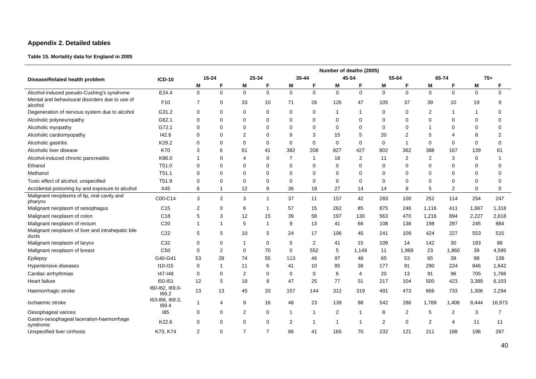## **Appendix 2. Detailed tables**

### **Table 15. Mortality data for England in 2005**

|                                                            |                          | Number of deaths (2005) |                |                |                |                |              |                |                |             |                |                |                |             |                |
|------------------------------------------------------------|--------------------------|-------------------------|----------------|----------------|----------------|----------------|--------------|----------------|----------------|-------------|----------------|----------------|----------------|-------------|----------------|
| Disease/Related health problem                             | <b>ICD-10</b>            | $16 - 24$               |                |                | 25-34          |                | $35 - 44$    |                | 45-54          |             | 55-64          |                | 65-74          | $75+$       |                |
|                                                            |                          | Μ                       | F              | М              | F              | Μ              | F            | М              | F              | М           |                | Μ              | F              | M           |                |
| Alcohol-induced pseudo-Cushing's syndrome                  | E24.4                    | $\overline{0}$          | $\pmb{0}$      | $\mathbf{0}$   | $\mathbf 0$    | $\mathbf{0}$   | $\mathbf 0$  | $\mathbf{0}$   | $\mathbf 0$    | $\mathbf 0$ | $\mathbf{0}$   | $\mathbf{0}$   | $\Omega$       | $\mathbf 0$ | $\mathbf 0$    |
| Mental and behavioural disorders due to use of<br>alcohol  | F10                      | $\overline{7}$          | 0              | 33             | 10             | 71             | 26           | 126            | 47             | 105         | 37             | 39             | 10             | 19          | 9              |
| Degeneration of nervous system due to alcohol              | G31.2                    | 0                       | $\mathbf 0$    | 0              | 0              | 0              | 0            | $\mathbf{1}$   | -1             | 0           | $\Omega$       | 2              | $\mathbf 1$    | -1          | 0              |
| Alcoholic polyneuropathy                                   | G62.1                    | 0                       | $\mathbf 0$    | $\mathbf 0$    | 0              | $\mathbf 0$    | $\mathbf 0$  | $\mathbf 0$    | $\mathbf 0$    | $\Omega$    | 0              | $\mathbf 0$    | $\mathbf 0$    | 0           | $\mathbf 0$    |
| Alcoholic myopathy                                         | G72.1                    | $\Omega$                | $\mathbf 0$    | $\mathbf 0$    | 0              | $\Omega$       | $\Omega$     | $\mathbf 0$    | $\Omega$       | $\Omega$    | $\Omega$       | -1             | $\mathbf 0$    | 0           | $\mathbf 0$    |
| Alcoholic cardiomyopathy                                   | 142.6                    | $\Omega$                | $\mathbf 0$    | 2              | 0              | 9              | 3            | 15             | 5              | 20          | $\overline{2}$ | 5              | 4              | 8           | $\overline{2}$ |
| Alcoholic gastritis                                        | K29.2                    | $\Omega$                | $\mathbf 0$    | $\mathbf 0$    | $\mathbf 0$    | $\mathbf 0$    | $\mathbf 0$  | $\mathbf 0$    | $\mathbf 0$    | $\mathbf 0$ | 1              | $\mathbf 0$    | $\mathbf 0$    | $\mathbf 0$ | $\mathbf 0$    |
| Alcoholic liver disease                                    | <b>K70</b>               | 3                       | 6              | 61             | 41             | 382            | 208          | 827            | 427            | 802         | 362            | 388            | 167            | 139         | 61             |
| Alcohol-induced chronic pancreatitis                       | K86.0                    | -1                      | $\Omega$       | 4              | 0              | $\overline{7}$ | $\mathbf{1}$ | 18             | $\sqrt{2}$     | 11          | $\overline{2}$ | $\overline{c}$ | 3              | $\mathbf 0$ | 1              |
| Ethanol                                                    | T51.0                    | $\Omega$                | $\mathbf 0$    | $\mathbf 0$    | 0              | $\Omega$       | $\Omega$     | $\mathbf 0$    | $\Omega$       | $\Omega$    | $\Omega$       | $\mathbf 0$    | $\mathbf 0$    | 0           | $\Omega$       |
| Methanol                                                   | T <sub>51.1</sub>        | $\Omega$                | $\mathbf 0$    | 0              | 0              | $\Omega$       | 0            | $\mathbf 0$    | $\Omega$       | 0           | $\Omega$       | 0              | 0              | 0           | $\mathbf 0$    |
| Toxic effect of alcohol, unspecified                       | T51.9                    | $\Omega$                | $\mathbf 0$    | $\mathbf 0$    | $\Omega$       | $\mathbf 0$    | 0            | $\mathbf 0$    | $\mathbf 0$    | $\Omega$    | $\Omega$       | $\mathbf 0$    | $\mathbf 0$    | 0           | $\mathbf 0$    |
| Accidental poisoning by and exposure to alcohol            | X45                      | 6                       | -1             | 12             | 8              | 36             | 18           | 27             | 14             | 14          | 8              | 5              | $\overline{2}$ | $\mathbf 0$ | $\mathbf 0$    |
| Malignant neoplasms of lip, oral cavity and<br>pharynx     | C00-C14                  | 3                       | $\overline{2}$ | 3              | $\overline{1}$ | 37             | 11           | 157            | 42             | 283         | 100            | 252            | 114            | 254         | 247            |
| Malignant neoplasm of oesophagus                           | C <sub>15</sub>          | $\overline{2}$          | $\mathbf 0$    | 6              | $\mathbf 1$    | 57             | 15           | 262            | 85             | 875         | 246            | 1,116          | 411            | 1,667       | 1,318          |
| Malignant neoplasm of colon                                | C <sub>18</sub>          | 5                       | 3              | 12             | 15             | 39             | 58           | 197            | 130            | 563         | 470            | 1,216          | 894            | 2,227       | 2,618          |
| Malignant neoplasm of rectum                               | C <sub>20</sub>          | 1                       | $\overline{1}$ | 5              | $\overline{1}$ | 9              | 13           | 41             | 66             | 108         | 138            | 198            | 287            | 245         | 884            |
| Malignant neoplasm of liver and intrahepatic bile<br>ducts | C <sub>22</sub>          | 5                       | 5              | 10             | 5              | 24             | 17           | 106            | 45             | 241         | 109            | 424            | 227            | 553         | 515            |
| Malignant neoplasm of larynx                               | C32                      | 0                       | 0              | $\mathbf 1$    | $\Omega$       | 5              | 2            | 41             | 15             | 109         | 14             | 142            | 30             | 183         | 66             |
| Malignant neoplasm of breast                               | C <sub>50</sub>          | 0                       | $\overline{2}$ | 0              | 70             | 0              | 552          | 5              | 1,149          | 11          | 1,969          | 23             | 1,960          | 39          | 4,595          |
| Epilepsy                                                   | G40-G41                  | 53                      | 28             | 74             | 55             | 113            | 46           | 97             | 48             | 65          | 53             | 65             | 39             | 98          | 138            |
| Hypertensive diseases                                      | $110 - 115$              | $\Omega$                | -1             | 11             | 6              | 41             | 10           | 85             | 38             | 177         | 91             | 290            | 224            | 846         | 1,642          |
| Cardiac arrhythmias                                        | 147-148                  | 0                       | $\mathbf 0$    | $\overline{2}$ | 0              | 0              | $\mathbf 0$  | 6              | 4              | 20          | 13             | 91             | 96             | 705         | 1,766          |
| <b>Heart failure</b>                                       | 150-151                  | 12                      | 5              | 18             | 8              | 47             | 25           | 77             | 51             | 217         | 104            | 500            | 423            | 3,389       | 6,103          |
| Haemorrhagic stroke                                        | 160-162, 169.0-<br>169.2 | 13                      | 13             | 45             | 33             | 157            | 144          | 312            | 319            | 491         | 473            | 666            | 733            | 1,306       | 2,294          |
| Ischaemic stroke                                           | 163-166, 169.3,<br>169.4 | -1                      | $\overline{4}$ | 9              | 16             | 48             | 23           | 139            | 88             | 542         | 286            | 1,789          | 1,406          | 8,444       | 16,973         |
| Oesophageal varices                                        | 185                      | $\Omega$                | $\mathbf 0$    | 2              | 0              | 1              | 1            | $\overline{2}$ | $\overline{1}$ | 8           | 2              | 5              | $\overline{2}$ | 3           | $\overline{7}$ |
| Gastro-oesophageal laceration-haemorrhage<br>syndrome      | K22.6                    | $\Omega$                | $\mathbf 0$    | 0              | 0              | 2              | $\mathbf 1$  | $\mathbf{1}$   | -1             | 2           | 0              | $\overline{2}$ | 4              | 11          | 11             |
| Unspecified liver cirrhosis                                | K73, K74                 | $\overline{2}$          | $\Omega$       | $\overline{7}$ | $\overline{7}$ | 86             | 41           | 165            | 70             | 232         | 121            | 211            | 188            | 196         | 287            |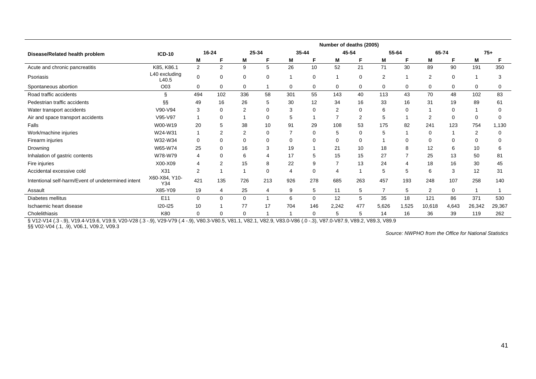|                                                    |                        |                |                |                |                 |     |             | Number of deaths (2005) |          |                |       |                |       |                |          |
|----------------------------------------------------|------------------------|----------------|----------------|----------------|-----------------|-----|-------------|-------------------------|----------|----------------|-------|----------------|-------|----------------|----------|
| Disease/Related health problem                     | <b>ICD-10</b>          |                | $16 - 24$      |                | 25-34           |     | 35-44       | 45-54                   |          |                | 55-64 | 65-74          |       |                | $75+$    |
|                                                    |                        | Μ              | F              | M              | F               | M   | F           | м                       | F        | M              | F.    | Μ              | F     | M              | F        |
| Acute and chronic pancreatitis                     | K85, K86.1             | 2              | $\overline{2}$ | 9              | $5\overline{)}$ | 26  | 10          | 52                      | 21       | 71             | 30    | 89             | 90    | 191            | 350      |
| Psoriasis                                          | L40 excluding<br>L40.5 | $\Omega$       | $\mathbf 0$    | $\Omega$       | 0               |     | $\mathbf 0$ |                         | 0        | 2              |       | $\overline{2}$ | 0     |                | 3        |
| Spontaneous abortion                               | O03                    | 0              | 0              | 0              |                 | 0   | 0           | $\mathbf 0$             | 0        | 0              | 0     | 0              | 0     | 0              | 0        |
| Road traffic accidents                             | Ş                      | 494            | 102            | 336            | 58              | 301 | 55          | 143                     | 40       | 113            | 43    | 70             | 48    | 102            | 83       |
| Pedestrian traffic accidents                       | §δ                     | 49             | 16             | 26             | 5               | 30  | 12          | 34                      | 16       | 33             | 16    | 31             | 19    | 89             | 61       |
| Water transport accidents                          | V90-V94                | 3              | $\Omega$       | $\overline{2}$ |                 | 3   | 0           | $\overline{2}$          | $\Omega$ | 6              |       |                | 0     |                | $\Omega$ |
| Air and space transport accidents                  | V95-V97                |                | 0              |                | $\Omega$        | 5   | 1           | $\overline{7}$          | 2        | 5              |       | 2              | 0     | $\Omega$       | 0        |
| Falls                                              | W00-W19                | 20             | 5              | 38             | 10              | 91  | 29          | 108                     | 53       | 175            | 82    | 241            | 123   | 754            | 1,130    |
| Work/machine injuries                              | W24-W31                |                | $\overline{2}$ | 2              | $\Omega$        |     | $\mathbf 0$ | 5                       | $\Omega$ | 5              |       | $\mathbf 0$    |       | $\overline{2}$ | $\Omega$ |
| Firearm injuries                                   | W32-W34                | $\mathbf 0$    | 0              | $\Omega$       |                 | 0   | 0           | 0                       | $\Omega$ |                |       | 0              | 0     | $\Omega$       | $\Omega$ |
| Drowning                                           | W65-W74                | 25             | 0              | 16             |                 | 19  |             | 21                      | 10       | 18             |       | 12             | 6     | 10             | 6        |
| Inhalation of gastric contents                     | W78-W79                | $\overline{4}$ | 0              | 6              |                 | 17  | 5           | 15                      | 15       | 27             |       | 25             | 13    | 50             | 81       |
| Fire injuries                                      | X00-X09                | $\overline{4}$ | 2              | 15             | 8               | 22  | 9           | $\overline{7}$          | 13       | 24             |       | 18             | 16    | 30             | 45       |
| Accidental excessive cold                          | X31                    | 2              |                |                | $\Omega$        | 4   | 0           | 4                       |          | 5              | 5     | 6              | 3     | 12             | 31       |
| Intentional self-harm/Event of undetermined intent | X60-X84, Y10-<br>Y34   | 421            | 135            | 726            | 213             | 926 | 278         | 685                     | 263      | 457            | 193   | 248            | 107   | 258            | 140      |
| Assault                                            | X85-Y09                | 19             | 4              | 25             | 4               | 9   | 5           | 11                      | 5        | $\overline{7}$ | 5     | $\overline{2}$ | 0     |                |          |
| Diabetes mellitus                                  | E <sub>11</sub>        | $\mathbf 0$    | 0              | 0              |                 | 6   | 0           | 12                      | 5        | 35             | 18    | 121            | 86    | 371            | 530      |
| Ischaemic heart disease                            | <b>I20-I25</b>         | 10             |                | 77             | 17              | 704 | 146         | 2,242                   | 477      | 5,626          | 1,525 | 10,618         | 4,643 | 26,342         | 29,367   |
| Cholelithiasis                                     | K80                    | 0              | $\Omega$       | $\Omega$       |                 |     | 0           | 5                       | 5        | 14             | 16    | 36             | 39    | 119            | 262      |

§ V12-V14 (.3 -.9), V19.4-V19.6, V19.9, V20-V28 (.3 -.9), V29-V79 (.4 -.9), V80.3-V80.5, V81.1, V82.1, V82.9, V83.0-V86 (.0 -.3), V87.0-V87.9, V89.2, V89.3, V89.9 §§ V02-V04 (.1, .9), V06.1, V09.2, V09.3

*Source: NWPHO from the Office for National Statistics*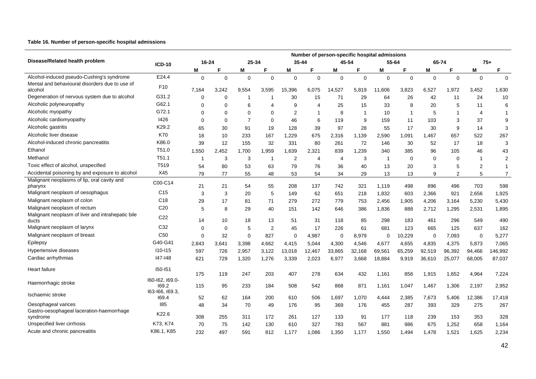#### **Table 16. Number of person-specific hospital admissions**

|                                                            |                          |          |             |                |                          |                |             | Number of person-specific hospital admissions |                |             |              |          |                |                         |                |
|------------------------------------------------------------|--------------------------|----------|-------------|----------------|--------------------------|----------------|-------------|-----------------------------------------------|----------------|-------------|--------------|----------|----------------|-------------------------|----------------|
| Disease/Related health problem                             | <b>ICD-10</b>            | 16-24    |             | 25-34          |                          | $35 - 44$      |             | 45-54                                         |                |             | 55-64        |          | 65-74          |                         | $75+$          |
|                                                            |                          | M        | F           | M              | F                        | M              | F           | M                                             | F              | Μ           | F            | M        | F              | M                       | F              |
| Alcohol-induced pseudo-Cushing's syndrome                  | E24.4                    | 0        | $\mathbf 0$ | $\mathbf 0$    | $\mathbf 0$              | $\Omega$       | $\mathbf 0$ | $\mathbf 0$                                   | $\mathbf 0$    | $\mathbf 0$ | $\mathbf 0$  | $\Omega$ | $\mathbf 0$    | $\mathbf 0$             | $\mathbf 0$    |
| Mental and behavioural disorders due to use of             | F <sub>10</sub>          |          |             |                |                          |                |             |                                               |                |             |              |          |                |                         |                |
| alcohol<br>Degeneration of nervous system due to alcohol   | G31.2                    | 7,164    | 3,242       | 9,554          | 3,595                    | 15,396         | 6,075       | 14,527                                        | 5,819          | 11,606      | 3,823        | 6,527    | 1,972          | 3,452                   | 1,630          |
| Alcoholic polyneuropathy                                   | G62.1                    | $\Omega$ | 0           | -1             | -1                       | 30             | 15          | 71                                            | 29             | 64          | 26           | 42       | 11             | 24                      | 10             |
|                                                            | G72.1                    | $\Omega$ | $\Omega$    | 6              | $\overline{\mathcal{A}}$ | 9              | Δ           | 25                                            | 15             | 33          | 8            | 20       | 5              | 11                      | 6              |
| Alcoholic myopathy                                         |                          | $\Omega$ | $\Omega$    | 0              | $\Omega$                 | $\overline{2}$ | -1          | 8                                             | $\overline{1}$ | 10          | $\mathbf{1}$ | 5        | $\overline{1}$ | 4                       | $\mathbf{1}$   |
| Alcoholic cardiomyopathy                                   | 1426                     | $\Omega$ | $\Omega$    | $\overline{7}$ | $\mathbf 0$              | 46             | 6           | 119                                           | 9              | 159         | 11           | 103      | 3              | 37                      | 9              |
| Alcoholic gastritis                                        | K29.2                    | 65       | 30          | 91             | 19                       | 128            | 39          | 97                                            | 28             | 55          | 17           | 30       | 9              | 14                      | 3              |
| Alcoholic liver disease                                    | K70                      | 18       | 10          | 233            | 167                      | 1,229          | 675         | 2,316                                         | 1,139          | 2,590       | 1,091        | 1.467    | 657            | 522                     | 267            |
| Alcohol-induced chronic pancreatitis                       | K86.0                    | 39       | 12          | 155            | 32                       | 331            | 80          | 261                                           | 72             | 146         | 30           | 52       | 17             | 18                      | 3              |
| Ethanol                                                    | T51.0                    | 1,550    | 2,452       | 1,700          | 1,959                    | 1,639          | 2,321       | 839                                           | 1,239          | 340         | 385          | 96       | 105            | 46                      | 43             |
| Methanol                                                   | T51.1                    | 1        | 3           | 3              | 1                        | $\overline{2}$ | 4           | $\overline{4}$                                | 3              | $\mathbf 1$ | $\mathbf 0$  | $\Omega$ | $\mathbf 0$    | $\overline{1}$          | $\overline{2}$ |
| Toxic effect of alcohol, unspecified                       | T519                     | 54       | 80          | 53             | 63                       | 79             | 76          | 36                                            | 40             | 13          | 20           | 3        | 5              | $\overline{\mathbf{c}}$ | $\overline{1}$ |
| Accidental poisoning by and exposure to alcohol            | X45                      | 79       | 77          | 55             | 48                       | 53             | 54          | 34                                            | 29             | 13          | 13           | 9        | $\overline{2}$ | 5                       | $\overline{7}$ |
| Malignant neoplasms of lip, oral cavity and<br>pharynx     | C00-C14                  | 21       | 21          | 54             | 55                       | 208            | 137         | 742                                           | 321            | 1,119       | 498          | 896      | 496            | 703                     | 598            |
| Malignant neoplasm of oesophagus                           | C <sub>15</sub>          | 3        | 3           | 20             | 5                        | 149            | 62          | 651                                           | 218            | 1,832       | 603          | 2,366    | 921            | 2,656                   | 1,925          |
| Malignant neoplasm of colon                                | C <sub>18</sub>          | 29       | 17          | 81             | 71                       | 279            | 272         | 779                                           | 753            | 2,456       | 1,905        | 4,206    | 3,164          | 5,230                   | 5,430          |
| Malignant neoplasm of rectum                               | C <sub>20</sub>          | 5        | 8           | 29             | 40                       | 151            | 142         | 646                                           | 386            | 1,836       | 888          | 2,712    | 1,295          | 2,531                   | 1,895          |
| Malignant neoplasm of liver and intrahepatic bile<br>ducts | C <sub>22</sub>          | 14       | 10          | 18             | 13                       | 51             | 31          | 118                                           | 85             | 298         | 183          | 461      | 296            | 549                     | 490            |
| Malignant neoplasm of larynx                               | C32                      | $\Omega$ | $\mathbf 0$ | 5              | $\overline{2}$           | 45             | 17          | 226                                           | 61             | 681         | 123          | 665      | 125            | 637                     | 162            |
| Malignant neoplasm of breast                               | C <sub>50</sub>          | $\Omega$ | 32          | $\Omega$       | 827                      | $\Omega$       | 4,987       | $\mathbf 0$                                   | 8,979          | 0           | 10,229       | $\Omega$ | 7,093          | $\mathbf 0$             | 5,277          |
| Epilepsy                                                   | G40-G41                  | 2,843    | 3,641       | 3,398          | 4,662                    | 4,415          | 5,044       | 4,300                                         | 4,546          | 4,677       | 4,655        | 4,835    | 4,375          | 5,873                   | 7,065          |
| Hypertensive diseases                                      | $110 - 115$              | 597      | 726         | 2,957          | 3,122                    | 13,018         | 12,467      | 33,865                                        | 32,168         | 69,561      | 65,259       | 92,519   | 96,392         | 94,466                  | 146,992        |
| Cardiac arrhythmias                                        | 147-148                  | 621      | 729         | 1,320          | 1,276                    | 3,339          | 2,023       | 6,977                                         | 3,668          | 18,884      | 9,919        | 36,610   | 25,077         | 68,005                  | 87,037         |
| Heart failure                                              | I50-I51                  | 175      | 119         | 247            | 203                      | 407            | 278         | 634                                           | 432            | 1,161       | 856          | 1,915    | 1,652          | 4,964                   | 7,224          |
| Haemorrhagic stroke                                        | 160-162, 169.0-<br>169.2 | 115      | 95          | 233            | 184                      | 508            | 542         | 868                                           | 871            | 1,161       | 1,047        | 1,467    | 1,306          | 2,197                   | 2,952          |
| Ischaemic stroke                                           | 163-166, 169.3,<br>169.4 | 52       | 62          | 164            | 200                      | 610            | 506         | 1,697                                         | 1,070          | 4,444       | 2,385        | 7,673    | 5,406          | 12,386                  | 17,418         |
| Oesophageal varices                                        | 185                      | 48       | 34          | 70             | 49                       | 176            | 95          | 369                                           | 176            | 455         | 287          | 393      | 329            | 275                     | 267            |
| Gastro-oesophageal laceration-haemorrhage<br>syndrome      | K22.6                    | 308      | 255         | 311            | 172                      | 261            | 127         | 133                                           | 91             | 177         | 118          | 239      | 153            | 353                     | 328            |
| Unspecified liver cirrhosis                                | K73, K74                 | 70       | 75          | 142            | 130                      | 610            | 327         | 783                                           | 567            | 881         | 986          | 675      | 1,252          | 658                     | 1,164          |
| Acute and chronic pancreatitis                             | K86.1, K85               | 232      | 497         | 591            | 812                      | 1.177          | 1.086       | 1.350                                         | 1.177          | 1,550       | 1.494        | 1,478    | 1.521          | 1,625                   | 2,234          |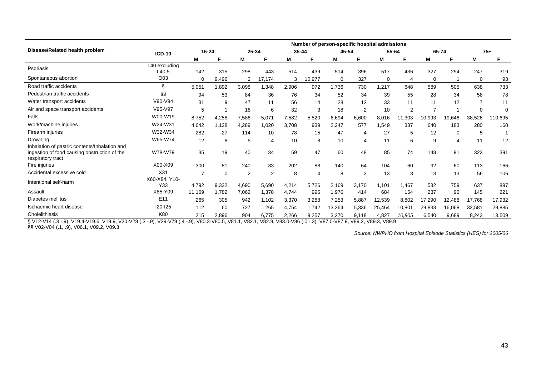|                                                                                                                    |                        |          |             |       |                |       |        | Number of person-specific hospital admissions |                |          |        |          |                |                |          |
|--------------------------------------------------------------------------------------------------------------------|------------------------|----------|-------------|-------|----------------|-------|--------|-----------------------------------------------|----------------|----------|--------|----------|----------------|----------------|----------|
| Disease/Related health problem                                                                                     | <b>ICD-10</b>          | 16-24    |             | 25-34 |                | 35-44 |        | 45-54                                         |                | 55-64    |        | 65-74    |                |                | $75+$    |
|                                                                                                                    |                        | M        |             | м     |                | М     | F      | М                                             | F              | М        | F      | M        | F              | M              |          |
| Psoriasis                                                                                                          | L40 excluding<br>L40.5 | 142      | 315         | 298   | 443            | 514   | 439    | 514                                           | 396            | 517      | 436    | 327      | 294            | 247            | 319      |
| Spontaneous abortion                                                                                               | O <sub>03</sub>        | $\Omega$ | 9,496       | 2     | 17,174         | 3     | 10,977 | 0                                             | 327            | $\Omega$ | 4      | $\Omega$ |                | 0              | 93       |
| Road traffic accidents                                                                                             | §                      | 5,051    | 1,892       | 3,098 | 1,348          | 2,906 | 972    | .736                                          | 730            | 1.217    | 648    | 589      | 505            | 638            | 733      |
| Pedestrian traffic accidents                                                                                       | ާ                      | 94       | 53          | 84    | 36             | 76    | 34     | 52                                            | 34             | 39       | 55     | 28       | 34             | 58             | 78       |
| Water transport accidents                                                                                          | V90-V94                | 31       | 9           | 47    | 11             | 56    | 14     | 28                                            | 12             | 33       | 11     | 11       | 12             | $\overline{7}$ | 11       |
| Air and space transport accidents                                                                                  | V95-V97                | 5        |             | 18    | 6              | 32    | 3      | 18                                            | $\overline{2}$ | 10       | 2      |          |                | 0              | $\Omega$ |
| Falls                                                                                                              | W00-W19                | 8,752    | 4,258       | 7,586 | 5,071          | 7,582 | 5,520  | 6,694                                         | 6,600          | 8,016    | 11,303 | 10,993   | 19,646         | 38,526         | 110,695  |
| Work/machine injuries                                                                                              | W24-W31                | 4.642    | 1.128       | 4,289 | 1.020          | 3.708 | 939    | 2,247                                         | 577            | 1.549    | 337    | 640      | 183            | 280            | 160      |
| Firearm injuries                                                                                                   | W32-W34                | 282      | 27          | 114   | 10             | 78    | 15     | 47                                            | 4              | 27       | 5      | 12       | $\mathbf 0$    | 5              |          |
| Drowning                                                                                                           | W65-W74                | 12       | 8           | 5     | 4              | 10    | 8      | 10                                            | 4              | 11       | 6      | 9        | $\overline{4}$ | 11             | 12       |
| Inhalation of gastric contents/Inhalation and<br>ingestion of food causing obstruction of the<br>respiratory tract | W78-W79                | 35       | 19          | 40    | 34             | 59    | 47     | 60                                            | 48             | 85       | 74     | 148      | 91             | 323            | 391      |
| Fire injuries                                                                                                      | X00-X09                | 300      | 81          | 240   | 83             | 202   | 88     | 140                                           | 64             | 104      | 60     | 92       | 60             | 113            | 166      |
| Accidental excessive cold                                                                                          | X <sub>31</sub>        | 7        | $\mathbf 0$ | 2     | $\overline{2}$ | 8     |        | 8                                             | $\overline{2}$ | 13       | 3      | 13       | 13             | 56             | 106      |
| Intentional self-harm                                                                                              | X60-X84, Y10-<br>Y33   | 4,792    | 9,332       | 4,690 | 5,690          | 4,214 | 5,726  | 2,169                                         | 3,170          | 1.101    | 1.467  | 532      | 759            | 637            | 897      |
| Assault                                                                                                            | X85-Y09                | 11.169   | 1.782       | 7,062 | 1,378          | 4,744 | 995    | 1,976                                         | 414            | 684      | 154    | 237      | 96             | 145            | 221      |
| Diabetes mellitus                                                                                                  | E <sub>11</sub>        | 265      | 305         | 942   | 1,102          | 3,370 | 3,288  | 7,253                                         | 5,887          | 12,539   | 8,802  | 17,290   | 12,488         | 17,768         | 17,932   |
| Ischaemic heart disease                                                                                            | $120 - 125$            | 112      | 60          | 727   | 265            | 4,754 | 1,742  | 13,264                                        | 5,336          | 25,464   | 10,801 | 29,833   | 16,068         | 32,581         | 29,885   |
| Cholelithiasis                                                                                                     | K80                    | 215      | 2,896       | 904   | 6,775          | 2,266 | 9,257  | 3,270                                         | 9,118          | 4,827    | 10,805 | 6,540    | 9,689          | 8,243          | 13,509   |

§ V12-V14 (.3 -.9), V19.4-V19.6, V19.9, V20-V28 (.3 -.9), V29-V79 (.4 -.9), V80.3-V80.5, V81.1, V82.1, V82.9, V83.0-V86 (.0 -.3), V87.0-V87.9, V89.2, V89.3, V89.9

§§ V02-V04 (.1, .9), V06.1, V09.2, V09.3

*Source: NWPHO from Hospital Episode Statistics (HES) for 2005/06*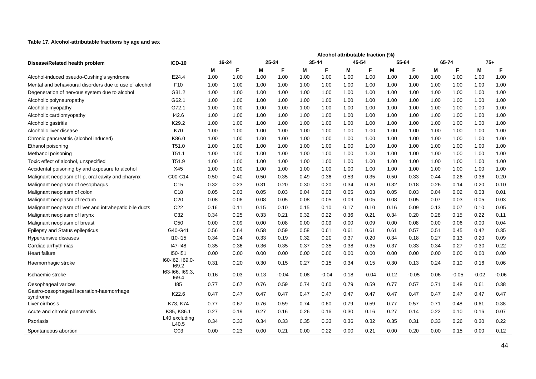#### **Table 17. Alcohol-attributable fractions by age and sex**

|                                                         |                          |      |       |      |         |           |         |       | Alcohol attributable fraction (%) |      |         |      |         |         |         |
|---------------------------------------------------------|--------------------------|------|-------|------|---------|-----------|---------|-------|-----------------------------------|------|---------|------|---------|---------|---------|
| Disease/Related health problem                          | <b>ICD-10</b>            |      | 16-24 |      | 25-34   | $35 - 44$ |         | 45-54 |                                   |      | 55-64   |      | 65-74   | $75+$   |         |
|                                                         |                          | M    | F     | M    | F       | Μ         | F       | M     | F                                 | M    | F       | M    | F       | M       | F       |
| Alcohol-induced pseudo-Cushing's syndrome               | E24.4                    | 1.00 | 1.00  | 1.00 | 1.00    | 1.00      | 1.00    | 1.00  | 1.00                              | 1.00 | 1.00    | 1.00 | 1.00    | 1.00    | 1.00    |
| Mental and behavioural disorders due to use of alcohol  | F <sub>10</sub>          | 1.00 | 1.00  | 1.00 | 1.00    | 1.00      | 1.00    | 1.00  | 1.00                              | 1.00 | 1.00    | 1.00 | 1.00    | 1.00    | 1.00    |
| Degeneration of nervous system due to alcohol           | G31.2                    | 1.00 | 1.00  | 1.00 | 1.00    | 1.00      | 1.00    | 1.00  | 1.00                              | 1.00 | 1.00    | 1.00 | 1.00    | 1.00    | 1.00    |
| Alcoholic polyneuropathy                                | G62.1                    | 1.00 | 1.00  | 1.00 | 1.00    | 1.00      | 1.00    | 1.00  | 1.00                              | 1.00 | 1.00    | 1.00 | 1.00    | 1.00    | 1.00    |
| Alcoholic myopathy                                      | G72.1                    | 1.00 | 1.00  | 1.00 | 1.00    | 1.00      | 1.00    | 1.00  | 1.00                              | 1.00 | 1.00    | 1.00 | 1.00    | 1.00    | 1.00    |
| Alcoholic cardiomyopathy                                | 142.6                    | 1.00 | 1.00  | 1.00 | 1.00    | 1.00      | 1.00    | 1.00  | 1.00                              | 1.00 | 1.00    | 1.00 | 1.00    | 1.00    | 1.00    |
| Alcoholic gastritis                                     | K29.2                    | 1.00 | 1.00  | 1.00 | 1.00    | 1.00      | 1.00    | 1.00  | 1.00                              | 1.00 | 1.00    | 1.00 | 1.00    | 1.00    | 1.00    |
| Alcoholic liver disease                                 | K70                      | 1.00 | 1.00  | 1.00 | 1.00    | 1.00      | 1.00    | 1.00  | 1.00                              | 1.00 | 1.00    | 1.00 | 1.00    | 1.00    | 1.00    |
| Chronic pancreatitis (alcohol induced)                  | K86.0                    | 1.00 | 1.00  | 1.00 | 1.00    | 1.00      | 1.00    | 1.00  | 1.00                              | 1.00 | 1.00    | 1.00 | 1.00    | 1.00    | 1.00    |
| Ethanol poisoning                                       | T51.0                    | 1.00 | 1.00  | 1.00 | 1.00    | 1.00      | 1.00    | 1.00  | 1.00                              | 1.00 | 1.00    | 1.00 | 1.00    | 1.00    | 1.00    |
| Methanol poisoning                                      | T <sub>51.1</sub>        | 1.00 | 1.00  | 1.00 | 1.00    | 1.00      | 1.00    | 1.00  | 1.00                              | 1.00 | 1.00    | 1.00 | 1.00    | 1.00    | 1.00    |
| Toxic effect of alcohol, unspecified                    | T51.9                    | 1.00 | 1.00  | 1.00 | 1.00    | 1.00      | 1.00    | 1.00  | 1.00                              | 1.00 | 1.00    | 1.00 | 1.00    | 1.00    | 1.00    |
| Accidental poisoning by and exposure to alcohol         | X45                      | 1.00 | 1.00  | 1.00 | 1.00    | 1.00      | 1.00    | 1.00  | 1.00                              | 1.00 | 1.00    | 1.00 | 1.00    | 1.00    | 1.00    |
| Malignant neoplasm of lip, oral cavity and pharynx      | C00-C14                  | 0.50 | 0.40  | 0.50 | 0.35    | 0.49      | 0.36    | 0.53  | 0.35                              | 0.50 | 0.33    | 0.44 | 0.26    | 0.36    | 0.20    |
| Malignant neoplasm of oesophagus                        | C <sub>15</sub>          | 0.32 | 0.23  | 0.31 | 0.20    | 0.30      | 0.20    | 0.34  | 0.20                              | 0.32 | 0.18    | 0.26 | 0.14    | 0.20    | 0.10    |
| Malignant neoplasm of colon                             | C <sub>18</sub>          | 0.05 | 0.03  | 0.05 | 0.03    | 0.04      | 0.03    | 0.05  | 0.03                              | 0.05 | 0.03    | 0.04 | 0.02    | 0.03    | 0.01    |
| Malignant neoplasm of rectum                            | C <sub>20</sub>          | 0.08 | 0.06  | 0.08 | 0.05    | 0.08      | 0.05    | 0.09  | 0.05                              | 0.08 | 0.05    | 0.07 | 0.03    | 0.05    | 0.03    |
| Malignant neoplasm of liver and intrahepatic bile ducts | C <sub>22</sub>          | 0.16 | 0.11  | 0.15 | 0.10    | 0.15      | 0.10    | 0.17  | 0.10                              | 0.16 | 0.09    | 0.13 | 0.07    | 0.10    | 0.05    |
| Malignant neoplasm of larynx                            | C <sub>32</sub>          | 0.34 | 0.25  | 0.33 | 0.21    | 0.32      | 0.22    | 0.36  | 0.21                              | 0.34 | 0.20    | 0.28 | 0.15    | 0.22    | 0.11    |
| Malignant neoplasm of breast                            | C <sub>50</sub>          | 0.00 | 0.09  | 0.00 | 0.08    | 0.00      | 0.09    | 0.00  | 0.09                              | 0.00 | 0.08    | 0.00 | 0.06    | 0.00    | 0.04    |
| Epilepsy and Status epilepticus                         | G40-G41                  | 0.56 | 0.64  | 0.58 | 0.59    | 0.58      | 0.61    | 0.61  | 0.61                              | 0.61 | 0.57    | 0.51 | 0.45    | 0.42    | 0.35    |
| Hypertensive diseases                                   | $110 - 115$              | 0.34 | 0.24  | 0.33 | 0.19    | 0.32      | 0.20    | 0.37  | 0.20                              | 0.34 | 0.18    | 0.27 | 0.13    | 0.20    | 0.09    |
| Cardiac arrhythmias                                     | 147-148                  | 0.35 | 0.36  | 0.36 | 0.35    | 0.37      | 0.35    | 0.38  | 0.35                              | 0.37 | 0.33    | 0.34 | 0.27    | 0.30    | 0.22    |
| Heart failure                                           | 150-151                  | 0.00 | 0.00  | 0.00 | 0.00    | 0.00      | 0.00    | 0.00  | 0.00                              | 0.00 | 0.00    | 0.00 | 0.00    | 0.00    | 0.00    |
| Haemorrhagic stroke                                     | 160-162, 169.0-<br>169.2 | 0.31 | 0.20  | 0.30 | 0.15    | 0.27      | 0.15    | 0.34  | 0.15                              | 0.30 | 0.13    | 0.24 | 0.10    | 0.16    | 0.06    |
| Ischaemic stroke                                        | 163-166, 169.3,<br>169.4 | 0.16 | 0.03  | 0.13 | $-0.04$ | 0.08      | $-0.04$ | 0.18  | $-0.04$                           | 0.12 | $-0.05$ | 0.06 | $-0.05$ | $-0.02$ | $-0.06$ |
| Oesophageal varices                                     | 185                      | 0.77 | 0.67  | 0.76 | 0.59    | 0.74      | 0.60    | 0.79  | 0.59                              | 0.77 | 0.57    | 0.71 | 0.48    | 0.61    | 0.38    |
| Gastro-oesophageal laceration-haemorrhage<br>syndrome   | K22.6                    | 0.47 | 0.47  | 0.47 | 0.47    | 0.47      | 0.47    | 0.47  | 0.47                              | 0.47 | 0.47    | 0.47 | 0.47    | 0.47    | 0.47    |
| Liver cirrhosis                                         | K73, K74                 | 0.77 | 0.67  | 0.76 | 0.59    | 0.74      | 0.60    | 0.79  | 0.59                              | 0.77 | 0.57    | 0.71 | 0.48    | 0.61    | 0.38    |
| Acute and chronic pancreatitis                          | K85, K86.1               | 0.27 | 0.19  | 0.27 | 0.16    | 0.26      | 0.16    | 0.30  | 0.16                              | 0.27 | 0.14    | 0.22 | 0.10    | 0.16    | 0.07    |
| Psoriasis                                               | L40 excludina<br>L40.5   | 0.34 | 0.33  | 0.34 | 0.33    | 0.35      | 0.33    | 0.36  | 0.32                              | 0.35 | 0.31    | 0.33 | 0.26    | 0.30    | 0.22    |
| Spontaneous abortion                                    | O03                      | 0.00 | 0.23  | 0.00 | 0.21    | 0.00      | 0.22    | 0.00  | 0.21                              | 0.00 | 0.20    | 0.00 | 0.15    | 0.00    | 0.12    |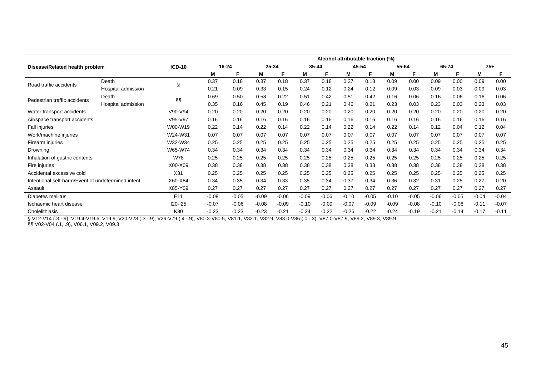|                                                    |                    |                 |         |           |         |         |         |           |         | Alcohol attributable fraction (%) |         |         |         |         |         |         |
|----------------------------------------------------|--------------------|-----------------|---------|-----------|---------|---------|---------|-----------|---------|-----------------------------------|---------|---------|---------|---------|---------|---------|
| Disease/Related health problem                     |                    | <b>ICD-10</b>   |         | $16 - 24$ |         | 25-34   |         | $35 - 44$ | 45-54   |                                   |         | 55-64   | 65-74   |         | $75+$   |         |
|                                                    |                    |                 | M       | F         | M       | Е       | M       | F         | M       | F                                 | M       | F       | M       | F       | М       | F       |
| Road traffic accidents                             | Death              | Ş               | 0.37    | 0.18      | 0.37    | 0.18    | 0.37    | 0.18      | 0.37    | 0.18                              | 0.09    | 0.00    | 0.09    | 0.00    | 0.09    | 0.00    |
|                                                    | Hospital admission |                 | 0.21    | 0.09      | 0.33    | 0.15    | 0.24    | 0.12      | 0.24    | 0.12                              | 0.09    | 0.03    | 0.09    | 0.03    | 0.09    | 0.03    |
| Pedestrian traffic accidents                       | Death              | ާ               | 0.69    | 0.50      | 0.58    | 0.22    | 0.51    | 0.42      | 0.51    | 0.42                              | 0.16    | 0.06    | 0.16    | 0.06    | 0.16    | 0.06    |
|                                                    | Hospital admission |                 | 0.35    | 0.16      | 0.45    | 0.19    | 0.46    | 0.21      | 0.46    | 0.21                              | 0.23    | 0.03    | 0.23    | 0.03    | 0.23    | 0.03    |
| Water transport accidents                          |                    | V90-V94         | 0.20    | 0.20      | 0.20    | 0.20    | 0.20    | 0.20      | 0.20    | 0.20                              | 0.20    | 0.20    | 0.20    | 0.20    | 0.20    | 0.20    |
| Air/space transport accidents                      |                    | V95-V97         | 0.16    | 0.16      | 0.16    | 0.16    | 0.16    | 0.16      | 0.16    | 0.16                              | 0.16    | 0.16    | 0.16    | 0.16    | 0.16    | 0.16    |
| Fall injuries                                      |                    | W00-W19         | 0.22    | 0.14      | 0.22    | 0.14    | 0.22    | 0.14      | 0.22    | 0.14                              | 0.22    | 0.14    | 0.12    | 0.04    | 0.12    | 0.04    |
| Work/machine injuries                              |                    | W24-W31         | 0.07    | 0.07      | 0.07    | 0.07    | 0.07    | 0.07      | 0.07    | 0.07                              | 0.07    | 0.07    | 0.07    | 0.07    | 0.07    | 0.07    |
| Firearm injuries                                   |                    | W32-W34         | 0.25    | 0.25      | 0.25    | 0.25    | 0.25    | 0.25      | 0.25    | 0.25                              | 0.25    | 0.25    | 0.25    | 0.25    | 0.25    | 0.25    |
| Drowning                                           |                    | W65-W74         | 0.34    | 0.34      | 0.34    | 0.34    | 0.34    | 0.34      | 0.34    | 0.34                              | 0.34    | 0.34    | 0.34    | 0.34    | 0.34    | 0.34    |
| Inhalation of gastric contents                     |                    | W78             | 0.25    | 0.25      | 0.25    | 0.25    | 0.25    | 0.25      | 0.25    | 0.25                              | 0.25    | 0.25    | 0.25    | 0.25    | 0.25    | 0.25    |
| Fire injuries                                      |                    | X00-X09         | 0.38    | 0.38      | 0.38    | 0.38    | 0.38    | 0.38      | 0.38    | 0.38                              | 0.38    | 0.38    | 0.38    | 0.38    | 0.38    | 0.38    |
| Accidental excessive cold                          |                    | X31             | 0.25    | 0.25      | 0.25    | 0.25    | 0.25    | 0.25      | 0.25    | 0.25                              | 0.25    | 0.25    | 0.25    | 0.25    | 0.25    | 0.25    |
| Intentional self-harm/Event of undetermined intent |                    | X60-X84         | 0.34    | 0.35      | 0.34    | 0.33    | 0.35    | 0.34      | 0.37    | 0.34                              | 0.36    | 0.32    | 0.31    | 0.25    | 0.27    | 0.20    |
| Assault                                            |                    | X85-Y09         | 0.27    | 0.27      | 0.27    | 0.27    | 0.27    | 0.27      | 0.27    | 0.27                              | 0.27    | 0.27    | 0.27    | 0.27    | 0.27    | 0.27    |
| Diabetes mellitus                                  |                    | E <sub>11</sub> | $-0.08$ | $-0.05$   | $-0.09$ | $-0.06$ | $-0.09$ | $-0.06$   | $-0.10$ | $-0.05$                           | $-0.10$ | $-0.05$ | $-0.06$ | $-0.05$ | $-0.04$ | $-0.04$ |
| Ischaemic heart disease                            |                    | I20-I25         | $-0.07$ | $-0.06$   | $-0.08$ | $-0.09$ | $-0.10$ | $-0.09$   | $-0.07$ | $-0.09$                           | $-0.09$ | $-0.08$ | $-0.10$ | $-0.08$ | $-0.11$ | $-0.07$ |
| Cholelithiasis                                     |                    | K80             | $-0.23$ | $-0.23$   | $-0.23$ | $-0.21$ | $-0.24$ | $-0.22$   | $-0.26$ | $-0.22$                           | $-0.24$ | $-0.19$ | $-0.21$ | $-0.14$ | $-0.17$ | $-0.11$ |

§ V12-V14 (.3 -.9), V19.4-V19.6, V19.9, V20-V28 (.3 -.9), V29-V79 (.4 -.9), V80.3-V80.5, V81.1, V82.1, V82.9, V83.0-V86 (.0 -.3), V87.0-V87.9, V89.2, V89.3, V89.9

§§ V02-V04 (.1, .9), V06.1, V09.2, V09.3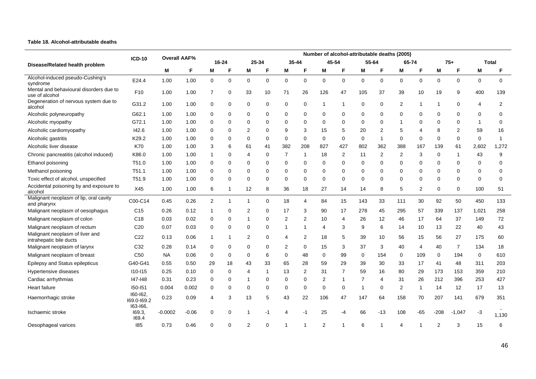#### **Table 18. Alcohol-attributable deaths**

|                                                            |                             |                     |         |                |                         |                |             |                |              |             |                |                |                | Number of alcohol-attributable deaths (2005) |                         |                |                |              |              |
|------------------------------------------------------------|-----------------------------|---------------------|---------|----------------|-------------------------|----------------|-------------|----------------|--------------|-------------|----------------|----------------|----------------|----------------------------------------------|-------------------------|----------------|----------------|--------------|--------------|
| Disease/Related health problem                             | <b>ICD-10</b>               | <b>Overall AAF%</b> |         |                | 16-24                   |                | 25-34       |                | 35-44        |             | 45-54          |                | 55-64          | 65-74                                        |                         |                | $75+$          |              | Total        |
|                                                            |                             | М                   |         | M              | F                       | M              | F           | M              | F            | M           | F              | M              | F              | M                                            | F                       | M              | F              | M            | F            |
| Alcohol-induced pseudo-Cushing's<br>syndrome               | E24.4                       | 1.00                | 1.00    | $\mathbf 0$    | 0                       | $\mathbf 0$    | 0           | 0              | $\mathbf 0$  | $\mathbf 0$ | $\mathbf 0$    | $\mathbf 0$    | $\mathbf 0$    | $\mathbf 0$                                  | $\mathbf 0$             | $\mathbf 0$    | $\mathbf 0$    | $\mathbf 0$  | $\mathbf 0$  |
| Mental and behavioural disorders due to<br>use of alcohol  | F <sub>10</sub>             | 1.00                | 1.00    | $\overline{7}$ | 0                       | 33             | 10          | 71             | 26           | 126         | 47             | 105            | 37             | 39                                           | 10                      | 19             | 9              | 400          | 139          |
| Degeneration of nervous system due to<br>alcohol           | G31.2                       | 1.00                | 1.00    | 0              | $\Omega$                | 0              | 0           | 0              | 0            | -1          | $\mathbf 1$    | 0              | 0              | 2                                            | -1                      | -1             | $\Omega$       | 4            | 2            |
| Alcoholic polyneuropathy                                   | G62.1                       | 1.00                | 1.00    | 0              | 0                       | 0              | 0           | 0              | 0            | 0           | $\Omega$       | $\mathbf 0$    | $\Omega$       | $\Omega$                                     | $\Omega$                | $\Omega$       | $\Omega$       | 0            | 0            |
| Alcoholic myopathy                                         | G72.1                       | 1.00                | 1.00    | 0              | 0                       | $\mathbf 0$    | 0           | 0              | $\Omega$     | $\Omega$    | $\Omega$       | 0              | $\Omega$       | $\mathbf 1$                                  | $\Omega$                | $\Omega$       | $\Omega$       | $\mathbf{1}$ | $\Omega$     |
| Alcoholic cardiomyopathy                                   | 142.6                       | 1.00                | 1.00    | 0              | 0                       | $\overline{2}$ | $\mathbf 0$ | 9              | 3            | 15          | 5              | 20             | $\overline{2}$ | 5                                            | $\overline{\mathbf{4}}$ | 8              | $\overline{2}$ | 59           | 16           |
| Alcoholic gastritis                                        | K29.2                       | 1.00                | 1.00    | 0              | 0                       | 0              | $\mathbf 0$ | $\mathbf 0$    | $\mathbf 0$  | $\mathbf 0$ | $\mathbf 0$    | $\mathbf 0$    | $\mathbf{1}$   | 0                                            | 0                       | 0              | 0              | $\mathbf 0$  | $\mathbf{1}$ |
| Alcoholic liver disease                                    | <b>K70</b>                  | 1.00                | 1.00    | 3              | 6                       | 61             | 41          | 382            | 208          | 827         | 427            | 802            | 362            | 388                                          | 167                     | 139            | 61             | 2,602        | 1,272        |
| Chronic pancreatitis (alcohol induced)                     | K86.0                       | 1.00                | 1.00    | 1              | 0                       | $\overline{4}$ | 0           | $\overline{7}$ | $\mathbf 1$  | 18          | 2              | 11             | 2              | 2                                            | 3                       | $\Omega$       | -1             | 43           | 9            |
| Ethanol poisoning                                          | T51.0                       | 1.00                | 1.00    | 0              | 0                       | 0              | $\mathbf 0$ | 0              | $\mathbf 0$  | $\mathbf 0$ | $\mathbf 0$    | 0              | $\mathbf 0$    | $\mathbf 0$                                  | $\mathbf 0$             | $\Omega$       | $\Omega$       | $\mathbf 0$  | $\mathbf 0$  |
| Methanol poisoning                                         | T <sub>51.1</sub>           | 1.00                | 1.00    | 0              | 0                       | $\mathbf 0$    | 0           | 0              | 0            | $\mathbf 0$ | $\mathbf 0$    | 0              | $\Omega$       | 0                                            | 0                       | $\Omega$       | $\Omega$       | $\mathbf 0$  | 0            |
| Toxic effect of alcohol, unspecified                       | T51.9                       | 1.00                | 1.00    | 0              | 0                       | $\mathbf 0$    | $\Omega$    | 0              | $\Omega$     | 0           | $\Omega$       | 0              | $\Omega$       | $\Omega$                                     | $\Omega$                | $\Omega$       | $\Omega$       | $\mathbf 0$  | $\mathbf 0$  |
| Accidental poisoning by and exposure to<br>alcohol         | X45                         | 1.00                | 1.00    | 6              | -1                      | 12             | 8           | 36             | 18           | 27          | 14             | 14             | 8              | 5                                            | 2                       | 0              | 0              | 100          | 51           |
| Malignant neoplasm of lip, oral cavity<br>and pharynx      | C00-C14                     | 0.45                | 0.26    | $\overline{2}$ | $\overline{\mathbf{1}}$ | $\overline{1}$ | $\mathbf 0$ | 18             | 4            | 84          | 15             | 143            | 33             | 111                                          | 30                      | 92             | 50             | 450          | 133          |
| Malignant neoplasm of oesophagus                           | C <sub>15</sub>             | 0.26                | 0.12    | 1              | 0                       | $\overline{2}$ | $\mathbf 0$ | 17             | 3            | 90          | 17             | 278            | 45             | 295                                          | 57                      | 339            | 137            | 1,021        | 258          |
| Malignant neoplasm of colon                                | C <sub>18</sub>             | 0.03                | 0.02    | $\Omega$       | 0                       | $\mathbf{1}$   | $\mathbf 0$ | $\overline{2}$ | 2            | 10          | $\overline{4}$ | 26             | 12             | 46                                           | 17                      | 64             | 37             | 149          | 72           |
| Malignant neoplasm of rectum                               | C <sub>20</sub>             | 0.07                | 0.03    | 0              | 0                       | 0              | $\mathbf 0$ | $\mathbf{1}$   | $\mathbf{1}$ | 4           | 3              | 9              | 6              | 14                                           | 10                      | 13             | 22             | 40           | 43           |
| Malignant neoplasm of liver and<br>intrahepatic bile ducts | C <sub>22</sub>             | 0.13                | 0.06    | 1              | 1                       | $\overline{2}$ | $\Omega$    | 4              | 2            | 18          | 5              | 39             | 10             | 56                                           | 15                      | 56             | 27             | 175          | 60           |
| Malignant neoplasm of larynx                               | C32                         | 0.28                | 0.14    | 0              | 0                       | 0              | 0           | $\overline{c}$ | 0            | 15          | 3              | 37             | 3              | 40                                           | 4                       | 40             | $\overline{7}$ | 134          | 18           |
| Malignant neoplasm of breast                               | C <sub>50</sub>             | <b>NA</b>           | 0.06    | 0              | $\Omega$                | 0              | 6           | 0              | 48           | $\mathbf 0$ | 99             | 0              | 154            | 0                                            | 109                     | 0              | 194            | 0            | 610          |
| Epilepsy and Status epilepticus                            | G40-G41                     | 0.55                | 0.50    | 29             | 18                      | 43             | 33          | 65             | 28           | 59          | 29             | 39             | 30             | 33                                           | 17                      | 41             | 48             | 311          | 203          |
| Hypertensive diseases                                      | $110 - 115$                 | 0.25                | 0.10    | 0              | 0                       | $\overline{4}$ | 1           | 13             | 2            | 31          | $\overline{7}$ | 59             | 16             | 80                                           | 29                      | 173            | 153            | 359          | 210          |
| Cardiac arrhythmias                                        | 147-148                     | 0.31                | 0.23    | $\Omega$       | 0                       | $\overline{1}$ | $\mathbf 0$ | 0              | $\mathbf 0$  | 2           | $\mathbf{1}$   | $\overline{7}$ | 4              | 31                                           | 26                      | 212            | 396            | 253          | 427          |
| Heart failure                                              | 150-151                     | 0.004               | 0.002   | 0              | 0                       | 0              | $\mathbf 0$ | 0              | 0            | 0           | $\mathbf 0$    | $\overline{1}$ | 0              | $\overline{2}$                               | $\mathbf{1}$            | 14             | 12             | 17           | 13           |
| Haemorrhagic stroke                                        | 160-162.<br>169.0-169.2     | 0.23                | 0.09    | 4              | 3                       | 13             | 5           | 43             | 22           | 106         | 47             | 147            | 64             | 158                                          | 70                      | 207            | 141            | 679          | 351          |
| Ischaemic stroke                                           | 163-166,<br>I69.3,<br>169.4 | $-0.0002$           | $-0.06$ | $\Omega$       | 0                       |                | -1          | 4              | -1           | 25          | -4             | 66             | $-13$          | 108                                          | -65                     | $-208$         | $-1,047$       | -3           | 1,130        |
| Oesophageal varices                                        | 185                         | 0.73                | 0.46    | 0              | $\mathbf 0$             | $\overline{2}$ | $\Omega$    |                |              | 2           |                | 6              |                | $\overline{4}$                               |                         | $\overline{2}$ | 3              | 15           | 6            |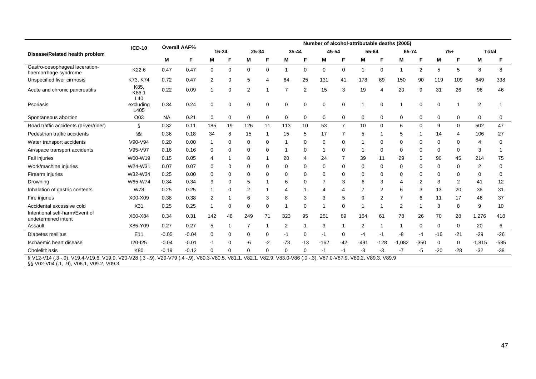|                                                                                                                                                                                                                |                      |           |                     |                |             |                |                |                |             |                         |                |                |                | Number of alcohol-attributable deaths (2005) |        |          |             |                |          |
|----------------------------------------------------------------------------------------------------------------------------------------------------------------------------------------------------------------|----------------------|-----------|---------------------|----------------|-------------|----------------|----------------|----------------|-------------|-------------------------|----------------|----------------|----------------|----------------------------------------------|--------|----------|-------------|----------------|----------|
| Disease/Related health problem                                                                                                                                                                                 | <b>ICD-10</b>        |           | <b>Overall AAF%</b> |                | $16 - 24$   | 25-34          |                | $35 - 44$      |             | 45-54                   |                | 55-64          |                | 65-74                                        |        |          | $75+$       | <b>Total</b>   |          |
|                                                                                                                                                                                                                |                      | М         | F                   | М              | F           | М              | F              | M              | F           | М                       | F              | М              | F              | M                                            | F      | M        | F           | M              | F        |
| Gastro-oesophageal laceration-<br>haemorrhage syndrome                                                                                                                                                         | K22.6                | 0.47      | 0.47                | 0              | 0           | $\mathbf 0$    | 0              | $\mathbf{1}$   | $\mathbf 0$ | 0                       | 0              | 1              | 0              |                                              | 2      | 5        | 5           | 8              | 8        |
| Unspecified liver cirrhosis                                                                                                                                                                                    | K73, K74             | 0.72      | 0.47                | $\overline{2}$ | 0           | 5              | $\overline{4}$ | 64             | 25          | 131                     | 41             | 178            | 69             | 150                                          | 90     | 119      | 109         | 649            | 338      |
| Acute and chronic pancreatitis                                                                                                                                                                                 | K85,<br>K86.1<br>L40 | 0.22      | 0.09                | 1              | 0           | 2              |                | $\overline{7}$ | 2           | 15                      | 3              | 19             | 4              | 20                                           | 9      | 31       | 26          | 96             | 46       |
| Psoriasis                                                                                                                                                                                                      | excluding<br>L405    | 0.34      | 0.24                | 0              | $\mathbf 0$ | $\mathbf 0$    | $\Omega$       | $\mathbf 0$    | $\mathbf 0$ | 0                       | $\Omega$       |                | 0              |                                              | 0      | 0        |             | 2              |          |
| Spontaneous abortion                                                                                                                                                                                           | O03                  | <b>NA</b> | 0.21                | 0              | 0           | 0              | 0              | 0              | 0           | 0                       | 0              | 0              | 0              | 0                                            | 0      | 0        | 0           | 0              | 0        |
| Road traffic accidents (driver/rider)                                                                                                                                                                          | ş                    | 0.32      | 0.11                | 185            | 19          | 126            | 11             | 113            | 10          | 53                      | $\overline{7}$ | 10             | 0              | 6                                            | 0      | 9        | 0           | 502            | 47       |
| Pedestrian traffic accidents                                                                                                                                                                                   | §§                   | 0.36      | 0.18                | 34             | 8           | 15             | -1             | 15             | 5           | 17                      |                | 5              |                | 5                                            |        | 14       | 4           | 106            | 27       |
| Water transport accidents                                                                                                                                                                                      | V90-V94              | 0.20      | 0.00                |                | $\Omega$    | 0              | $\Omega$       | 1              | $\mathbf 0$ | $\Omega$                | $\Omega$       |                | 0              | 0                                            | 0      | 0        | $\Omega$    | $\overline{4}$ | 0        |
| Air/space transport accidents                                                                                                                                                                                  | V95-V97              | 0.16      | 0.16                | 0              | $\Omega$    | 0              | $\Omega$       | $\mathbf 1$    | $\mathbf 0$ | $\overline{1}$          | $\Omega$       | 1              | 0              | 0                                            | 0      | 0        | 0           | 3              |          |
| <b>Fall injuries</b>                                                                                                                                                                                           | W00-W19              | 0.15      | 0.05                | 4              |             | 8              |                | 20             | 4           | 24                      | 7              | 39             | 11             | 29                                           | 5      | 90       | 45          | 214            | 75       |
| Work/machine injuries                                                                                                                                                                                          | W24-W31              | 0.07      | 0.07                | $\Omega$       | $\Omega$    | 0              | $\Omega$       | 0              | $\Omega$    | $\Omega$                | $\Omega$       | $\Omega$       | 0              | 0                                            | 0      | 0        | 0           | 2              | 0        |
| Firearm injuries                                                                                                                                                                                               | W32-W34              | 0.25      | 0.00                | 0              | 0           | 0              | $\Omega$       | 0              | 0           | 0                       | $\Omega$       | 0              | 0              | 0                                            | 0      | $\Omega$ | 0           | 0              | $\Omega$ |
| Drowning                                                                                                                                                                                                       | W65-W74              | 0.34      | 0.34                | 9              | 0           | 5              |                | 6              | $\Omega$    | 7                       | 3              | 6              | 3              | 4                                            | 2      | 3        | 2           | 41             | 12       |
| Inhalation of gastric contents                                                                                                                                                                                 | W78                  | 0.25      | 0.25                |                | $\Omega$    | 2              |                | 4              |             | $\overline{\mathbf{4}}$ | $\overline{4}$ |                | $\overline{2}$ | 6                                            | 3      | 13       | 20          | 36             | 31       |
| Fire injuries                                                                                                                                                                                                  | X00-X09              | 0.38      | 0.38                | 2              |             | 6              | 3              | 8              | 3           | 3                       | 5              | 9              | 2              | 7                                            | 6      | 11       | 17          | 46             | 37       |
| Accidental excessive cold                                                                                                                                                                                      | X31                  | 0.25      | 0.25                | 1              | $\mathbf 0$ | 0              | $\Omega$       | 1              | $\mathbf 0$ |                         | $\Omega$       |                |                | $\overline{2}$                               |        | 3        | 8           | 9              | 10       |
| Intentional self-harm/Event of<br>undetermined intent                                                                                                                                                          | X60-X84              | 0.34      | 0.31                | 142            | 48          | 249            | 71             | 323            | 95          | 251                     | 89             | 164            | 61             | 78                                           | 26     | 70       | 28          | 1,276          | 418      |
| Assault                                                                                                                                                                                                        | X85-Y09              | 0.27      | 0.27                | 5              | 1           | $\overline{7}$ | $\mathbf 1$    | $\overline{2}$ | $\mathbf 1$ | 3                       | $\mathbf 1$    | $\overline{2}$ |                | 1                                            | 0      | 0        | $\mathbf 0$ | 20             | 6        |
| Diabetes mellitus                                                                                                                                                                                              | E11                  | $-0.05$   | $-0.04$             | $\Omega$       | $\mathbf 0$ | $\mathbf 0$    | $\Omega$       | $-1$           | $\mathbf 0$ | $-1$                    | $\Omega$       | -4             | $-1$           | -8                                           | -4     | $-16$    | $-21$       | $-29$          | $-26$    |
| Ischaemic heart disease                                                                                                                                                                                        | $120 - 125$          | $-0.04$   | $-0.01$             | -1             | $\Omega$    | -6             | $-2$           | $-73$          | $-13$       | $-162$                  | $-42$          | $-491$         | $-128$         | $-1,082$                                     | $-350$ | 0        | $\Omega$    | $-1,815$       | $-535$   |
| Cholelithiasis                                                                                                                                                                                                 | K80                  | $-0.19$   | $-0.12$             | 0              | $\mathbf 0$ | 0              | $\Omega$       | 0              | $\mathbf 0$ | -1                      | -1             | -3             | -3             | $-7$                                         | -5     | $-20$    | $-28$       | $-32$          | $-38$    |
| § V12-V14 (.3 - 9), V19.4-V19.6, V19.9, V20-V28 (.3 - 9), V29-V79 (.4 - 9), V80.3-V80.5, V81.1, V82.1, V82.9, V83.0-V86 (.0 - 3), V87.0-V87.9, V89.2, V89.3, V89.9<br>§§ V02-V04 (.1, .9), V06.1, V09.2, V09.3 |                      |           |                     |                |             |                |                |                |             |                         |                |                |                |                                              |        |          |             |                |          |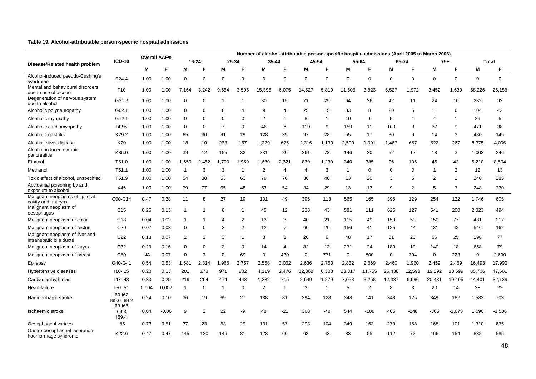#### **Table 19. Alcohol-attributable person-specific hospital admissions**

|                                                            |                             |           |                     | Number of alcohol-attributable person-specific hospital admissions (April 2005 to March 2006) |                |                |                |                |                |             |                |                |                |             |                |                |                  |             |              |
|------------------------------------------------------------|-----------------------------|-----------|---------------------|-----------------------------------------------------------------------------------------------|----------------|----------------|----------------|----------------|----------------|-------------|----------------|----------------|----------------|-------------|----------------|----------------|------------------|-------------|--------------|
| Disease/Related health problem                             | <b>ICD-10</b>               |           | <b>Overall AAF%</b> |                                                                                               | 16-24          |                | 25-34          |                | 35-44          |             | 45-54          |                | 55-64          |             | 65-74          |                | $75+$            |             | <b>Total</b> |
|                                                            |                             | М         | F.                  | М                                                                                             | F              | M              | F              | M              | F              | M           | F.             | M              | F              | M           | F              | M              | F                | M           | F            |
| Alcohol-induced pseudo-Cushing's<br>syndrome               | E24.4                       | 1.00      | 1.00                | $\mathbf 0$                                                                                   | $\Omega$       | $\mathbf 0$    | $\mathbf 0$    | $\mathbf 0$    | 0              | $\mathbf 0$ | $\mathbf 0$    | 0              | $\mathbf 0$    | $\mathbf 0$ | $\mathbf 0$    | $\mathbf 0$    | $\boldsymbol{0}$ | $\mathbf 0$ | $\mathbf 0$  |
| Mental and behavioural disorders<br>due to use of alcohol  | F <sub>10</sub>             | 1.00      | 1.00                | 7.164                                                                                         | 3,242          | 9,554          | 3,595          | 15,396         | 6,075          | 14,527      | 5,819          | 11,606         | 3,823          | 6,527       | 1,972          | 3,452          | 1,630            | 68,226      | 26,156       |
| Degeneration of nervous system<br>due to alcohol           | G31.2                       | 1.00      | 1.00                | 0                                                                                             | $\Omega$       | $\overline{1}$ | $\overline{1}$ | 30             | 15             | 71          | 29             | 64             | 26             | 42          | 11             | 24             | 10               | 232         | 92           |
| Alcoholic polyneuropathy                                   | G62.1                       | 1.00      | 1.00                | 0                                                                                             | $\Omega$       | 6              | $\overline{4}$ | 9              | 4              | 25          | 15             | 33             | 8              | 20          | 5              | 11             | 6                | 104         | 42           |
| Alcoholic myopathy                                         | G72.1                       | 1.00      | 1.00                | $\Omega$                                                                                      | $\Omega$       | $\Omega$       | $\Omega$       | $\overline{2}$ | $\mathbf{1}$   | 8           | $\mathbf{1}$   | 10             | $\overline{1}$ | 5           | -1             | $\overline{4}$ | $\mathbf{1}$     | 29          | 5            |
| Alcoholic cardiomyopathy                                   | 142.6                       | 1.00      | 1.00                | 0                                                                                             | $\Omega$       | $\overline{7}$ | 0              | 46             | 6              | 119         | 9              | 159            | 11             | 103         | 3              | 37             | 9                | 471         | 38           |
| Alcoholic gastritis                                        | K29.2                       | 1.00      | 1.00                | 65                                                                                            | 30             | 91             | 19             | 128            | 39             | 97          | 28             | 55             | 17             | 30          | 9              | 14             | 3                | 480         | 145          |
| Alcoholic liver disease                                    | K70                         | 1.00      | 1.00                | 18                                                                                            | 10             | 233            | 167            | 1,229          | 675            | 2,316       | 1,139          | 2,590          | 1.091          | 1.467       | 657            | 522            | 267              | 8,375       | 4,006        |
| Alcohol-induced chronic<br>pancreatitis                    | K86.0                       | 1.00      | 1.00                | 39                                                                                            | 12             | 155            | 32             | 331            | 80             | 261         | 72             | 146            | 30             | 52          | 17             | 18             | 3                | 1,002       | 246          |
| Ethanol                                                    | T51.0                       | 1.00      | 1.00                | 1,550                                                                                         | 2,452          | 1,700          | 1,959          | 1,639          | 2,321          | 839         | 1,239          | 340            | 385            | 96          | 105            | 46             | 43               | 6,210       | 8,504        |
| Methanol                                                   | T <sub>51.1</sub>           | 1.00      | 1.00                | $\mathbf 1$                                                                                   | 3              | 3              | $\overline{1}$ | $\overline{2}$ | 4              | 4           | 3              | $\overline{1}$ | $\Omega$       | $\Omega$    | $\mathbf 0$    | $\mathbf{1}$   | 2                | 12          | 13           |
| Toxic effect of alcohol, unspecified                       | T51.9                       | 1.00      | 1.00                | 54                                                                                            | 80             | 53             | 63             | 79             | 76             | 36          | 40             | 13             | 20             | 3           | 5              | $\overline{2}$ | $\mathbf{1}$     | 240         | 285          |
| Accidental poisoning by and<br>exposure to alcohol         | X45                         | 1.00      | 1.00                | 79                                                                                            | 77             | 55             | 48             | 53             | 54             | 34          | 29             | 13             | 13             | 9           | $\overline{2}$ | 5              | $\overline{7}$   | 248         | 230          |
| Malignant neoplasms of lip, oral<br>cavity and pharynx     | C00-C14                     | 0.47      | 0.28                | 11                                                                                            | 8              | 27             | 19             | 101            | 49             | 395         | 113            | 565            | 165            | 395         | 129            | 254            | 122              | 1,746       | 605          |
| Malignant neoplasm of<br>oesophagus                        | C <sub>15</sub>             | 0.26      | 0.13                |                                                                                               |                | 6              | $\overline{1}$ | 45             | 12             | 223         | 43             | 581            | 111            | 625         | 127            | 541            | 200              | 2,023       | 494          |
| Malignant neoplasm of colon                                | C <sub>18</sub>             | 0.04      | 0.02                | 1                                                                                             |                | $\overline{4}$ | 2              | 13             | 8              | 40          | 21             | 115            | 49             | 159         | 59             | 150            | 77               | 481         | 217          |
| Malignant neoplasm of rectum                               | C <sub>20</sub>             | 0.07      | 0.03                | 0                                                                                             | $\Omega$       | $\overline{2}$ | 2              | 12             | $\overline{7}$ | 60          | 20             | 156            | 41             | 185         | 44             | 131            | 48               | 546         | 162          |
| Malignant neoplasm of liver and<br>intrahepatic bile ducts | C <sub>22</sub>             | 0.13      | 0.07                | 2                                                                                             |                | 3              | $\overline{1}$ | 8              | 3              | 20          | 9              | 48             | 17             | 61          | 20             | 56             | 25               | 198         | 77           |
| Malignant neoplasm of larynx                               | C32                         | 0.29      | 0.16                | $\Omega$                                                                                      | $\Omega$       | $\overline{2}$ | $\Omega$       | 14             | 4              | 82          | 13             | 231            | 24             | 189         | 19             | 140            | 18               | 658         | 79           |
| Malignant neoplasm of breast                               | C <sub>50</sub>             | <b>NA</b> | 0.07                | $\mathbf 0$                                                                                   | 3              | 0              | 69             | $\mathbf 0$    | 430            | $\mathbf 0$ | 771            | 0              | 800            | $\mathbf 0$ | 394            | $\mathbf 0$    | 223              | $\mathbf 0$ | 2,690        |
| Epilepsy                                                   | G40-G41                     | 0.54      | 0.53                | 1,581                                                                                         | 2,314          | 1,966          | 2,757          | 2,558          | 3,062          | 2,636       | 2,760          | 2,832          | 2,669          | 2,460       | 1,960          | 2,459          | 2,469            | 16,493      | 17,990       |
| Hypertensive diseases                                      | $110 - 115$                 | 0.28      | 0.13                | 201                                                                                           | 173            | 971            | 602            | 4,119          | 2,476          | 12,368      | 6,303          | 23,317         | 11,755         | 25,438      | 12,593         | 19,292         | 13,699           | 85,706      | 47,601       |
| Cardiac arrhythmias                                        | 147-148                     | 0.33      | 0.25                | 219                                                                                           | 264            | 474            | 443            | 1,232          | 715            | 2,649       | 1,279          | 7,058          | 3,258          | 12,337      | 6,686          | 20,431         | 19,495           | 44,401      | 32,139       |
| Heart failure                                              | 150-151                     | 0.004     | 0.002               | $\mathbf{1}$                                                                                  | $\Omega$       | $\overline{1}$ | $\mathbf 0$    | $\overline{2}$ | $\mathbf{1}$   | 3           | $\overline{1}$ | 5              | $\overline{2}$ | 8           | 3              | 20             | 14               | 38          | 22           |
| Haemorrhagic stroke                                        | 160-162,<br>169.0-169.2     | 0.24      | 0.10                | 36                                                                                            | 19             | 69             | 27             | 138            | 81             | 294         | 128            | 348            | 141            | 348         | 125            | 349            | 182              | 1,583       | 703          |
| Ischaemic stroke                                           | 163-166,<br>169.3,<br>169.4 | 0.04      | $-0.06$             | 9                                                                                             | $\overline{2}$ | 22             | -9             | 48             | $-21$          | 308         | -48            | 544            | $-108$         | 465         | $-248$         | $-305$         | $-1,075$         | 1,090       | $-1,506$     |
| Oesophageal varices                                        | 185                         | 0.73      | 0.51                | 37                                                                                            | 23             | 53             | 29             | 131            | 57             | 293         | 104            | 349            | 163            | 279         | 158            | 168            | 101              | 1,310       | 635          |
| Gastro-oesophageal laceration-<br>haemorrhage syndrome     | K22.6                       | 0.47      | 0.47                | 145                                                                                           | 120            | 146            | 81             | 123            | 60             | 63          | 43             | 83             | 55             | 112         | 72             | 166            | 154              | 838         | 585          |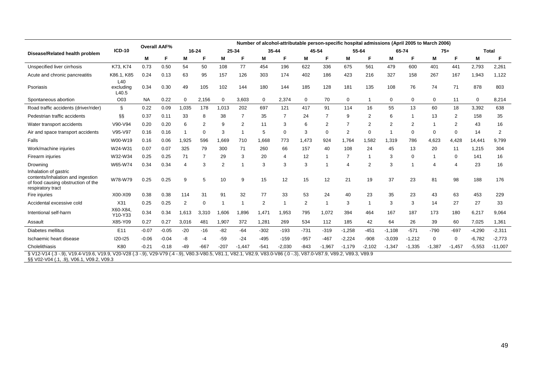|                                                                                                                                                                                                                |                           |           | <b>Overall AAF%</b> |                |                |                |          |        | Number of alcohol-attributable person-specific hospital admissions (April 2005 to March 2006) |                |          |          |                |                |                          |          |                |          |                |
|----------------------------------------------------------------------------------------------------------------------------------------------------------------------------------------------------------------|---------------------------|-----------|---------------------|----------------|----------------|----------------|----------|--------|-----------------------------------------------------------------------------------------------|----------------|----------|----------|----------------|----------------|--------------------------|----------|----------------|----------|----------------|
| Disease/Related health problem                                                                                                                                                                                 | <b>ICD-10</b>             |           |                     |                | 16-24          |                | 25-34    |        | 35-44                                                                                         |                | 45-54    | 55-64    |                |                | 65-74                    |          | $75+$          |          | <b>Total</b>   |
|                                                                                                                                                                                                                |                           | M         | Е                   | M              | F              | M              | F        | M      | F                                                                                             | М              | F        | M        | F              | M              | F                        | М        | F              | М        | F              |
| Unspecified liver cirrhosis                                                                                                                                                                                    | K73, K74                  | 0.73      | 0.50                | 54             | 50             | 108            | 77       | 454    | 196                                                                                           | 622            | 336      | 675      | 561            | 479            | 600                      | 401      | 441            | 2,793    | 2,261          |
| Acute and chronic pancreatitis                                                                                                                                                                                 | K86.1, K85                | 0.24      | 0.13                | 63             | 95             | 157            | 126      | 303    | 174                                                                                           | 402            | 186      | 423      | 216            | 327            | 158                      | 267      | 167            | 1,943    | 1,122          |
| Psoriasis                                                                                                                                                                                                      | L40<br>excluding<br>L40.5 | 0.34      | 0.30                | 49             | 105            | 102            | 144      | 180    | 144                                                                                           | 185            | 128      | 181      | 135            | 108            | 76                       | 74       | 71             | 878      | 803            |
| Spontaneous abortion                                                                                                                                                                                           | O03                       | <b>NA</b> | 0.22                | 0              | 2,156          | 0              | 3,603    | 0      | 2,374                                                                                         | 0              | 70       | 0        |                | 0              | $\mathbf 0$              | 0        | 11             | 0        | 8,214          |
| Road traffic accidents (driver/rider)                                                                                                                                                                          | ş                         | 0.22      | 0.09                | 1,035          | 178            | 1,013          | 202      | 697    | 121                                                                                           | 417            | 91       | 114      | 16             | 55             | 13                       | 60       | 18             | 3,392    | 638            |
| Pedestrian traffic accidents                                                                                                                                                                                   | ŞŞ                        | 0.37      | 0.11                | 33             | 8              | 38             | 7        | 35     | $\overline{7}$                                                                                | 24             | 7        | 9        | $\overline{2}$ | 6              | $\overline{\phantom{a}}$ | 13       | 2              | 158      | 35             |
| Water transport accidents                                                                                                                                                                                      | V90-V94                   | 0.20      | 0.20                | 6              | $\overline{2}$ | 9              | 2        | 11     | 3                                                                                             | 6              | 2        |          | $\overline{2}$ | $\overline{2}$ | $\overline{2}$           |          | 2              | 43       | 16             |
| Air and space transport accidents                                                                                                                                                                              | V95-V97                   | 0.16      | 0.16                |                | $\Omega$       | 3              |          | 5      | 0                                                                                             | 3              | 0        | 2        | $\Omega$       |                | $\Omega$                 | $\Omega$ | $\mathbf 0$    | 14       | $\overline{2}$ |
| Falls                                                                                                                                                                                                          | W00-W19                   | 0.16      | 0.06                | 1,925          | 596            | 1,669          | 710      | 1.668  | 773                                                                                           | 1.473          | 924      | 1.764    | 1.582          | 1,319          | 786                      | 4.623    | 4,428          | 14,441   | 9,799          |
| Work/machine injuries                                                                                                                                                                                          | W24-W31                   | 0.07      | 0.07                | 325            | 79             | 300            | 71       | 260    | 66                                                                                            | 157            | 40       | 108      | 24             | 45             | 13                       | 20       | 11             | 1,215    | 304            |
| Firearm injuries                                                                                                                                                                                               | W32-W34                   | 0.25      | 0.25                | 71             | 7              | 29             | 3        | 20     | 4                                                                                             | 12             | 1        | 7        |                | 3              | 0                        |          | $\mathbf 0$    | 141      | 16             |
| Drowning                                                                                                                                                                                                       | W65-W74                   | 0.34      | 0.34                | $\overline{4}$ | 3              | $\overline{2}$ | -1       | 3      | 3                                                                                             | 3              | -1       | 4        | $\overline{2}$ | 3              | $\overline{\phantom{a}}$ | 4        | $\overline{4}$ | 23       | 16             |
| Inhalation of gastric<br>contents/Inhalation and ingestion<br>of food causing obstruction of the<br>respiratory tract                                                                                          | W78-W79                   | 0.25      | 0.25                | 9              | 5              | 10             | 9        | 15     | 12                                                                                            | 15             | 12       | 21       | 19             | 37             | 23                       | 81       | 98             | 188      | 176            |
| Fire injuries                                                                                                                                                                                                  | X00-X09                   | 0.38      | 0.38                | 114            | 31             | 91             | 32       | 77     | 33                                                                                            | 53             | 24       | 40       | 23             | 35             | 23                       | 43       | 63             | 453      | 229            |
| Accidental excessive cold                                                                                                                                                                                      | X31                       | 0.25      | 0.25                | 2              | 0              | 1              | 1        | 2      |                                                                                               | $\overline{2}$ | 1        | 3        |                | 3              | 3                        | 14       | 27             | 27       | 33             |
| Intentional self-harm                                                                                                                                                                                          | X60-X84.<br>Y10-Y33       | 0.34      | 0.34                | 1,613          | 3,310          | 1,606          | 1,896    | 1,471  | 1,953                                                                                         | 795            | 1,072    | 394      | 464            | 167            | 187                      | 173      | 180            | 6,217    | 9,064          |
| Assault                                                                                                                                                                                                        | X85-Y09                   | 0.27      | 0.27                | 3,016          | 481            | 1,907          | 372      | 1,281  | 269                                                                                           | 534            | 112      | 185      | 42             | 64             | 26                       | 39       | 60             | 7,025    | 1,361          |
| Diabetes mellitus                                                                                                                                                                                              | E11                       | $-0.07$   | $-0.05$             | $-20$          | $-16$          | $-82$          | $-64$    | $-302$ | $-193$                                                                                        | $-731$         | $-319$   | $-1,258$ | $-451$         | $-1,108$       | $-571$                   | $-790$   | $-697$         | $-4,290$ | $-2,311$       |
| Ischaemic heart disease                                                                                                                                                                                        | $120 - 125$               | $-0.06$   | $-0.04$             | -8             | -4             | $-59$          | $-24$    | $-495$ | $-159$                                                                                        | $-957$         | $-467$   | $-2,224$ | $-908$         | $-3,039$       | $-1,212$                 | $\Omega$ | 0              | $-6,782$ | $-2,773$       |
| Cholelithiasis                                                                                                                                                                                                 | K80                       | $-0.21$   | $-0.18$             | $-49$          | $-667$         | $-207$         | $-1.447$ | $-541$ | $-2,030$                                                                                      | $-843$         | $-1,967$ | $-1.179$ | $-2,102$       | $-1,347$       | $-1,335$                 | $-1,387$ | $-1,457$       | $-5,553$ | $-11,007$      |
| § V12-V14 (.3 -.9), V19.4-V19.6, V19.9, V20-V28 (.3 -.9), V29-V79 (.4 -.9), V80.3-V80.5, V81.1, V82.1, V82.9, V83.0-V86 (.0 -.3), V87.0-V87.9, V89.2, V89.3, V89.9<br>§§ V02-V04 (.1, .9), V06.1, V09.2, V09.3 |                           |           |                     |                |                |                |          |        |                                                                                               |                |          |          |                |                |                          |          |                |          |                |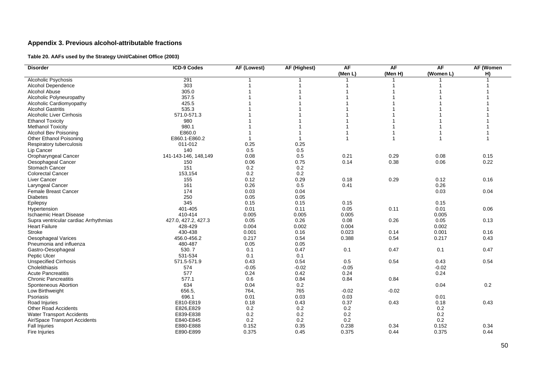## **Appendix 3. Previous alcohol-attributable fractions**

### **Table 20. AAFs used by the Strategy Unit/Cabinet Office (2003)**

| <b>Disorder</b>                        | <b>ICD-9 Codes</b>    | AF (Lowest) | <b>AF (Highest)</b> | <b>AF</b> | <b>AF</b>      | <b>AF</b>      | <b>AF (Women</b> |
|----------------------------------------|-----------------------|-------------|---------------------|-----------|----------------|----------------|------------------|
|                                        |                       |             |                     | (Men L)   | (Men H)        | (Women L)      | H)               |
| <b>Alcoholic Psychosis</b>             | 291                   |             |                     |           |                |                |                  |
| Alcohol Dependence                     | 303                   |             |                     |           |                |                |                  |
| Alcohol Abuse                          | 305.0                 |             |                     |           |                |                |                  |
| Alcoholic Polyneuropathy               | 357.5                 |             |                     |           |                |                |                  |
| Alcoholic Cardiomyopathy               | 425.5                 |             |                     |           |                |                |                  |
| <b>Alcohol Gastritis</b>               | 535.3                 |             |                     |           |                |                |                  |
| <b>Alcoholic Liver Cirrhosis</b>       | 571.0-571.3           |             |                     |           |                |                |                  |
| <b>Ethanol Toxicity</b>                | 980                   |             |                     |           |                |                |                  |
| <b>Methanol Toxicity</b>               | 980.1                 |             |                     |           |                |                |                  |
| Alcohol Bev Poisoning                  | E860.0                |             |                     |           |                | -1             |                  |
| Other Ethanol Poisoning                | E860.1-E860.2         |             | $\mathbf{1}$        |           | $\overline{1}$ | $\overline{1}$ | 1                |
|                                        | 011-012               | 0.25        | 0.25                |           |                |                |                  |
| Respiratory tuberculosis<br>Lip Cancer | 140                   | 0.5         | 0.5                 |           |                |                |                  |
|                                        | 141-143-146, 148, 149 | 0.08        | 0.5                 | 0.21      | 0.29           | 0.08           | 0.15             |
| Oropharyngeal Cancer                   |                       |             |                     |           |                |                |                  |
| Oesophageal Cancer                     | 150                   | 0.06        | 0.75                | 0.14      | 0.38           | 0.06           | 0.22             |
| Stomach Cancer                         | 151                   | 0.2         | 0.2                 |           |                |                |                  |
| <b>Colorectal Cancer</b>               | 153,154               | 0.2         | 0.2                 |           |                |                |                  |
| Liver Cancer                           | 155                   | 0.12        | 0.29                | 0.18      | 0.29           | 0.12           | 0.16             |
| Laryngeal Cancer                       | 161                   | 0.26        | 0.5                 | 0.41      |                | 0.26           |                  |
| <b>Female Breast Cancer</b>            | 174                   | 0.03        | 0.04                |           |                | 0.03           | 0.04             |
| <b>Diabetes</b>                        | 250                   | 0.05        | 0.05                |           |                |                |                  |
| Epilepsy                               | 345                   | 0.15        | 0.15                | 0.15      |                | 0.15           |                  |
| Hypertension                           | 401-405               | 0.01        | 0.11                | 0.05      | 0.11           | 0.01           | 0.06             |
| <b>Ischaemic Heart Disease</b>         | 410-414               | 0.005       | 0.005               | 0.005     |                | 0.005          |                  |
| Supra ventricular cardiac Arrhythmias  | 427.0, 427.2, 427.3   | 0.05        | 0.26                | 0.08      | 0.26           | 0.05           | 0.13             |
| Heart Failure                          | 428-429               | 0.004       | 0.002               | 0.004     |                | 0.002          |                  |
| <b>Stroke</b>                          | 430-438               | 0.001       | 0.16                | 0.023     | 0.14           | 0.001          | 0.16             |
| Oesophageal Varices                    | 456.0-456.2           | 0.217       | 0.54                | 0.388     | 0.54           | 0.217          | 0.43             |
| Pneumonia and influenza                | 480-487               | 0.05        | 0.05                |           |                |                |                  |
| Gastro-Oesophageal                     | 530.7                 | 0.1         | 0.47                | 0.1       | 0.47           | 0.1            | 0.47             |
| Peptic Ulcer                           | 531-534               | 0.1         | 0.1                 |           |                |                |                  |
| <b>Unspecified Cirrhosis</b>           | 571.5-571.9           | 0.43        | 0.54                | 0.5       | 0.54           | 0.43           | 0.54             |
| Cholelithiasis                         | 574                   | $-0.05$     | $-0.02$             | $-0.05$   |                | $-0.02$        |                  |
| <b>Acute Pancreatitis</b>              | 577                   | 0.24        | 0.42                | 0.24      |                | 0.24           |                  |
| <b>Chronic Pancreatitis</b>            | 577.1                 | 0.6         | 0.84                | 0.84      | 0.84           |                |                  |
| Sponteneous Abortion                   | 634                   | 0.04        | 0.2                 |           |                | 0.04           | 0.2              |
| Low Birthweight                        | 656.5                 | 764,        | 765                 | $-0.02$   | $-0.02$        |                |                  |
| Psoriasis                              | 696.1                 | 0.01        | 0.03                | 0.03      |                | 0.01           |                  |
| Road Injuries                          | E810-E819             | 0.18        | 0.43                | 0.37      | 0.43           | 0.18           | 0.43             |
| <b>Other Road Accidents</b>            | E826,E829             | 0.2         | 0.2                 | 0.2       |                | 0.2            |                  |
| <b>Water Transport Accidents</b>       | E839-E838             | 0.2         | 0.2                 | 0.2       |                | 0.2            |                  |
| Air/Space Transport Accidents          | E840-E845             | 0.2         | 0.2                 | 0.2       |                | 0.2            |                  |
| <b>Fall Injuries</b>                   | E880-E888             | 0.152       | 0.35                | 0.238     | 0.34           | 0.152          | 0.34             |
| Fire Injuries                          | E890-E899             | 0.375       | 0.45                | 0.375     | 0.44           | 0.375          | 0.44             |
|                                        |                       |             |                     |           |                |                |                  |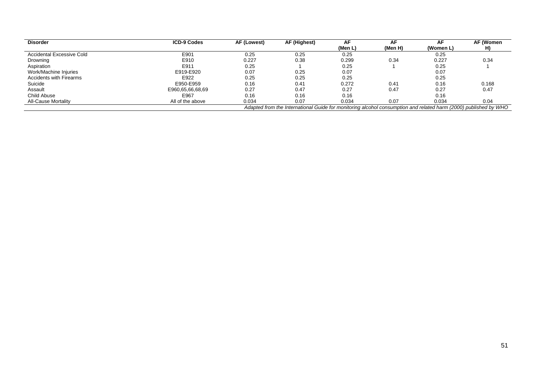| <b>Disorder</b>                | <b>ICD-9 Codes</b> | AF (Lowest) | AF (Highest)                                                                                                     | AF.     | AF      | AF.       | AF (Women |
|--------------------------------|--------------------|-------------|------------------------------------------------------------------------------------------------------------------|---------|---------|-----------|-----------|
|                                |                    |             |                                                                                                                  | (Men L) | (Men H) | (Women L) |           |
| Accidental Excessive Cold      | E901               | 0.25        | 0.25                                                                                                             | 0.25    |         | 0.25      |           |
| Drowning                       | E910               | 0.227       | 0.38                                                                                                             | 0.299   | 0.34    | 0.227     | 0.34      |
| Aspiration                     | E911               | 0.25        |                                                                                                                  | 0.25    |         | 0.25      |           |
| Work/Machine Injuries          | E919-E920          | 0.07        | 0.25                                                                                                             | 0.07    |         | 0.07      |           |
| <b>Accidents with Firearms</b> | E922               | 0.25        | 0.25                                                                                                             | 0.25    |         | 0.25      |           |
| Suicide                        | E950-E959          | 0.16        | 0.41                                                                                                             | 0.272   | 0.41    | 0.16      | 0.168     |
| Assault                        | E960,65,66,68,69   | 0.27        | 0.47                                                                                                             | 0.27    | 0.47    | 0.27      | 0.47      |
| Child Abuse                    | E967               | 0.16        | 0.16                                                                                                             | 0.16    |         | 0.16      |           |
| <b>All-Cause Mortality</b>     | All of the above   | 0.034       | 0.07                                                                                                             | 0.034   | 0.07    | 0.034     | 0.04      |
|                                |                    |             | Adapted from the International Guide for monitoring alcohol consumption and related harm (2000) published by WHO |         |         |           |           |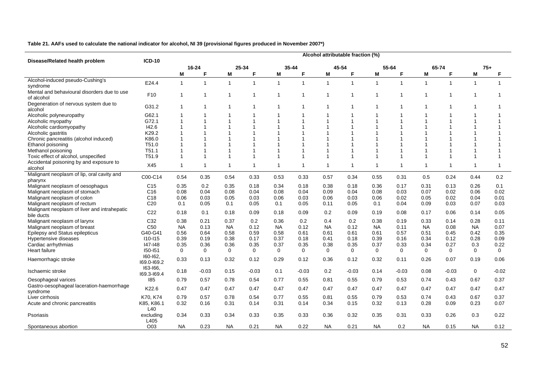**Table 21. AAFs used to calculate the national indicator for alcohol, NI 39 (provisional figures produced in November 2007\*)** 

| Disease/Related health problem                             | $ICD-10$                |              |                |              |                |              |                         |                | Alcohol attributable fraction (%) |              |                |                |             |              |                |
|------------------------------------------------------------|-------------------------|--------------|----------------|--------------|----------------|--------------|-------------------------|----------------|-----------------------------------|--------------|----------------|----------------|-------------|--------------|----------------|
|                                                            |                         |              | 16-24          | 25-34        |                |              | 35-44                   |                | 45-54                             |              | 55-64          |                | 65-74       | $75+$        |                |
|                                                            |                         | М            | F              | M            | F              | М            | E                       | M              | F                                 | M            | F              | М              | F           | M            | F              |
| Alcohol-induced pseudo-Cushing's<br>syndrome               | E24.4                   | $\mathbf{1}$ | $\mathbf 1$    | $\mathbf{1}$ | $\overline{1}$ | $\mathbf{1}$ | $\overline{1}$          | $\overline{1}$ | $\overline{1}$                    | $\mathbf{1}$ | $\mathbf 1$    | $\overline{1}$ | 1           | $\mathbf{1}$ | -1             |
| Mental and behavioural disorders due to use<br>of alcohol  | F <sub>10</sub>         | $\mathbf 1$  | -1             | -1           | $\overline{1}$ |              | -1                      | 1              | 1                                 |              | $\overline{1}$ | $\overline{1}$ | 1           | 1            | -1             |
| Degeneration of nervous system due to<br>alcohol           | G31.2                   | $\mathbf{1}$ | $\mathbf 1$    | -1           | $\overline{1}$ |              | -1                      | -1             | 1                                 |              | -1             | -1             | 1           | 1            |                |
| Alcoholic polyneuropathy                                   | G62.1                   | 1            |                |              |                |              |                         |                |                                   |              |                |                |             |              |                |
| Alcoholic myopathy                                         | G72.1                   | 1            |                |              |                |              | $\overline{1}$          |                |                                   |              |                |                |             |              |                |
| Alcoholic cardiomyopathy                                   | 142.6                   | 1            |                |              | $\overline{1}$ |              |                         |                | $\overline{\mathbf{1}}$           |              |                |                |             |              |                |
| Alcoholic gastritis                                        | K29.2                   | 1            |                |              |                |              |                         |                |                                   |              |                |                |             |              |                |
| Chronic pancreatitis (alcohol induced)                     | K86.0                   | 1            |                |              |                |              |                         |                |                                   |              |                |                |             |              |                |
| Ethanol poisoning                                          | T51.0                   | 1            |                |              |                |              |                         |                |                                   |              |                |                |             |              |                |
| Methanol poisoning                                         | T51.1                   | 1            |                |              |                |              | -1                      |                |                                   |              |                |                |             |              |                |
| Toxic effect of alcohol, unspecified                       | T <sub>51.9</sub>       | $\mathbf{1}$ | $\overline{1}$ |              |                |              | $\overline{\mathbf{1}}$ |                | $\overline{1}$                    |              | 1              |                |             |              | 1              |
| Accidental poisoning by and exposure to<br>alcohol         | X45                     | $\mathbf{1}$ | $\mathbf 1$    | -1           | $\overline{1}$ |              | -1                      | $\mathbf 1$    | 1                                 | 1            | -1             | $\overline{1}$ | 1           | 1            | $\overline{1}$ |
| Malignant neoplasm of lip, oral cavity and<br>pharynx      | C00-C14                 | 0.54         | 0.35           | 0.54         | 0.33           | 0.53         | 0.33                    | 0.57           | 0.34                              | 0.55         | 0.31           | 0.5            | 0.24        | 0.44         | 0.2            |
| Malignant neoplasm of oesophagus                           | C <sub>15</sub>         | 0.35         | 0.2            | 0.35         | 0.18           | 0.34         | 0.18                    | 0.38           | 0.18                              | 0.36         | 0.17           | 0.31           | 0.13        | 0.26         | 0.1            |
| Malignant neoplasm of stomach                              | C <sub>16</sub>         | 0.08         | 0.04           | 0.08         | 0.04           | 0.08         | 0.04                    | 0.09           | 0.04                              | 0.08         | 0.03           | 0.07           | 0.02        | 0.06         | 0.02           |
| Malignant neoplasm of colon                                | C18                     | 0.06         | 0.03           | 0.05         | 0.03           | 0.06         | 0.03                    | 0.06           | 0.03                              | 0.06         | 0.02           | 0.05           | 0.02        | 0.04         | 0.01           |
| Malignant neoplasm of rectum                               | C <sub>20</sub>         | 0.1          | 0.05           | 0.1          | 0.05           | 0.1          | 0.05                    | 0.11           | 0.05                              | 0.1          | 0.04           | 0.09           | 0.03        | 0.07         | 0.03           |
| Malignant neoplasm of liver and intrahepatic<br>bile ducts | C <sub>22</sub>         | 0.18         | 0.1            | 0.18         | 0.09           | 0.18         | 0.09                    | 0.2            | 0.09                              | 0.19         | 0.08           | 0.17           | 0.06        | 0.14         | 0.05           |
| Malignant neoplasm of larynx                               | C32                     | 0.38         | 0.21           | 0.37         | 0.2            | 0.36         | 0.2                     | 0.4            | 0.2                               | 0.38         | 0.19           | 0.33           | 0.14        | 0.28         | 0.11           |
| Malignant neoplasm of breast                               | C <sub>50</sub>         | <b>NA</b>    | 0.13           | <b>NA</b>    | 0.12           | <b>NA</b>    | 0.12                    | <b>NA</b>      | 0.12                              | <b>NA</b>    | 0.11           | <b>NA</b>      | 0.08        | <b>NA</b>    | 0.07           |
| Epilepsy and Status epilepticus                            | G40-G41                 | 0.56         | 0.64           | 0.58         | 0.59           | 0.58         | 0.61                    | 0.61           | 0.61                              | 0.61         | 0.57           | 0.51           | 0.45        | 0.42         | 0.35           |
| Hypertensive diseases                                      | <b>I10-I15</b>          | 0.39         | 0.19           | 0.38         | 0.17           | 0.37         | 0.18                    | 0.41           | 0.18                              | 0.39         | 0.16           | 0.34           | 0.12        | 0.28         | 0.09           |
| Cardiac arrhythmias                                        | 147-148                 | 0.35         | 0.36           | 0.36         | 0.35           | 0.37         | 0.35                    | 0.38           | 0.35                              | 0.37         | 0.33           | 0.34           | 0.27        | 0.3          | 0.22           |
| Heart failure                                              | I50-I51                 | 0            | $\mathbf 0$    | $\mathbf 0$  | $\mathbf 0$    | $\mathbf 0$  | $\mathbf 0$             | $\mathbf 0$    | $\mathbf 0$                       | $\mathbf 0$  | $\mathbf 0$    | $\mathbf 0$    | $\mathbf 0$ | 0            | $\mathbf 0$    |
| Haemorrhagic stroke                                        | 160-162,<br>169.0-169.2 | 0.33         | 0.13           | 0.32         | 0.12           | 0.29         | 0.12                    | 0.36           | 0.12                              | 0.32         | 0.11           | 0.26           | 0.07        | 0.19         | 0.06           |
| Ischaemic stroke                                           | 163-166,<br>169.3-169.4 | 0.18         | $-0.03$        | 0.15         | $-0.03$        | 0.1          | $-0.03$                 | 0.2            | $-0.03$                           | 0.14         | $-0.03$        | 0.08           | $-0.03$     | 0            | $-0.02$        |
| Oesophageal varices                                        | 185                     | 0.79         | 0.57           | 0.78         | 0.54           | 0.77         | 0.55                    | 0.81           | 0.55                              | 0.79         | 0.53           | 0.74           | 0.43        | 0.67         | 0.37           |
| Gastro-oesophageal laceration-haemorrhage<br>syndrome      | K22.6                   | 0.47         | 0.47           | 0.47         | 0.47           | 0.47         | 0.47                    | 0.47           | 0.47                              | 0.47         | 0.47           | 0.47           | 0.47        | 0.47         | 0.47           |
| Liver cirrhosis                                            | K70, K74                | 0.79         | 0.57           | 0.78         | 0.54           | 0.77         | 0.55                    | 0.81           | 0.55                              | 0.79         | 0.53           | 0.74           | 0.43        | 0.67         | 0.37           |
| Acute and chronic pancreatitis                             | K85, K86.1<br>L40       | 0.32         | 0.16           | 0.31         | 0.14           | 0.31         | 0.14                    | 0.34           | 0.15                              | 0.32         | 0.13           | 0.28           | 0.09        | 0.23         | 0.07           |
| Psoriasis                                                  | excluding<br>L405       | 0.34         | 0.33           | 0.34         | 0.33           | 0.35         | 0.33                    | 0.36           | 0.32                              | 0.35         | 0.31           | 0.33           | 0.26        | 0.3          | 0.22           |
| Spontaneous abortion                                       | O03                     | <b>NA</b>    | 0.23           | <b>NA</b>    | 0.21           | <b>NA</b>    | 0.22                    | <b>NA</b>      | 0.21                              | NA.          | 0.2            | <b>NA</b>      | 0.15        | <b>NA</b>    | 0.12           |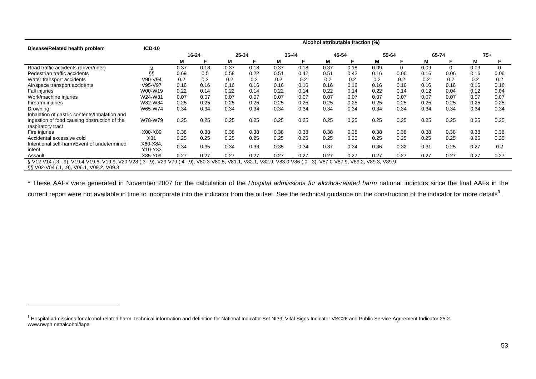|                                               |                                                                                                                                                                       | Alcohol attributable fraction (%) |      |       |      |           |      |       |      |       |      |       |      |      |          |
|-----------------------------------------------|-----------------------------------------------------------------------------------------------------------------------------------------------------------------------|-----------------------------------|------|-------|------|-----------|------|-------|------|-------|------|-------|------|------|----------|
| Disease/Related health problem                | $ICD-10$                                                                                                                                                              | 16-24                             |      | 25-34 |      | $35 - 44$ |      | 45-54 |      | 55-64 |      | 65-74 |      | 75+  |          |
|                                               |                                                                                                                                                                       | M                                 |      | М     |      | M         |      | M     | F    | М     |      | M     |      | M    |          |
| Road traffic accidents (driver/rider)         |                                                                                                                                                                       | 0.37                              | 0.18 | 0.37  | 0.18 | 0.37      | 0.18 | 0.37  | 0.18 | 0.09  | 0    | 0.09  | 0    | 0.09 | $\Omega$ |
| Pedestrian traffic accidents                  | ާ                                                                                                                                                                     | 0.69                              | 0.5  | 0.58  | 0.22 | 0.51      | 0.42 | 0.51  | 0.42 | 0.16  | 0.06 | 0.16  | 0.06 | 0.16 | 0.06     |
| Water transport accidents                     | V90-V94                                                                                                                                                               | 0.2                               | 0.2  | 0.2   | 0.2  | 0.2       | 0.2  | 0.2   | 0.2  | 0.2   | 0.2  | 0.2   | 0.2  | 0.2  | 0.2      |
| Air/space transport accidents                 | V95-V97                                                                                                                                                               | 0.16                              | 0.16 | 0.16  | 0.16 | 0.16      | 0.16 | 0.16  | 0.16 | 0.16  | 0.16 | 0.16  | 0.16 | 0.16 | 0.16     |
| <b>Fall injuries</b>                          | W00-W19                                                                                                                                                               | 0.22                              | 0.14 | 0.22  | 0.14 | 0.22      | 0.14 | 0.22  | 0.14 | 0.22  | 0.14 | 0.12  | 0.04 | 0.12 | 0.04     |
| Work/machine injuries                         | W24-W31                                                                                                                                                               | 0.07                              | 0.07 | 0.07  | 0.07 | 0.07      | 0.07 | 0.07  | 0.07 | 0.07  | 0.07 | 0.07  | 0.07 | 0.07 | 0.07     |
| Firearm injuries                              | W32-W34                                                                                                                                                               | 0.25                              | 0.25 | 0.25  | 0.25 | 0.25      | 0.25 | 0.25  | 0.25 | 0.25  | 0.25 | 0.25  | 0.25 | 0.25 | 0.25     |
| Drowning                                      | W65-W74                                                                                                                                                               | 0.34                              | 0.34 | 0.34  | 0.34 | 0.34      | 0.34 | 0.34  | 0.34 | 0.34  | 0.34 | 0.34  | 0.34 | 0.34 | 0.34     |
| Inhalation of gastric contents/Inhalation and |                                                                                                                                                                       |                                   |      |       |      |           |      |       |      |       |      |       |      |      |          |
| ingestion of food causing obstruction of the  | W78-W79                                                                                                                                                               | 0.25                              | 0.25 | 0.25  | 0.25 | 0.25      | 0.25 | 0.25  | 0.25 | 0.25  | 0.25 | 0.25  | 0.25 | 0.25 | 0.25     |
| respiratory tract                             |                                                                                                                                                                       |                                   |      |       |      |           |      |       |      |       |      |       |      |      |          |
| Fire injuries                                 | X00-X09                                                                                                                                                               | 0.38                              | 0.38 | 0.38  | 0.38 | 0.38      | 0.38 | 0.38  | 0.38 | 0.38  | 0.38 | 0.38  | 0.38 | 0.38 | 0.38     |
| Accidental excessive cold                     | X31                                                                                                                                                                   | 0.25                              | 0.25 | 0.25  | 0.25 | 0.25      | 0.25 | 0.25  | 0.25 | 0.25  | 0.25 | 0.25  | 0.25 | 0.25 | 0.25     |
| Intentional self-harm/Event of undetermined   | X60-X84.                                                                                                                                                              | 0.34                              | 0.35 | 0.34  | 0.33 | 0.35      | 0.34 | 0.37  | 0.34 | 0.36  | 0.32 | 0.31  | 0.25 | 0.27 | 0.2      |
| intent                                        | Y10-Y33                                                                                                                                                               |                                   |      |       |      |           |      |       |      |       |      |       |      |      |          |
| Assault                                       | X85-Y09                                                                                                                                                               | 0.27                              | 0.27 | 0.27  | 0.27 | 0.27      | 0.27 | 0.27  | 0.27 | 0.27  | 0.27 | 0.27  | 0.27 | 0.27 | 0.27     |
|                                               | V80.3-V80.5, V81.1, V82.1, V82.9, V83.0-V86 (.0 -.3), V87.0-V87.9, V89.2, V89.3, V89.9<br>§ V12-V14 (.3 -.9), V19.4-V19.6, V19.9, V20-V28 (.3 -.9), V29-V79 (.4 -.9), |                                   |      |       |      |           |      |       |      |       |      |       |      |      |          |
| §§ V02-V04 (.1, .9), V06.1, V09.2, V09.3      |                                                                                                                                                                       |                                   |      |       |      |           |      |       |      |       |      |       |      |      |          |

\* These AAFs were generated in November 2007 for the calculation of the *Hospital admissions for alcohol-related harm* national indictors since the final AAFs in the current report were not available in time to incorporate into the indicator from the outset. See the technical guidance on the construction of the indicator for more details<sup>9</sup>.

**<sup>9</sup>** Hospital admissions for alcohol-related harm: technical information and definition for National Indicator Set NI39, Vital Signs Indicator VSC26 and Public Service Agreement Indicator 25.2. www.nwph.net/alcohol/lape